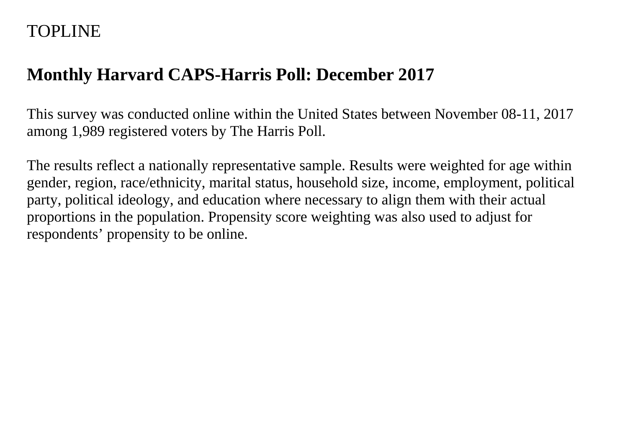## TOPLINE

# **Monthly Harvard CAPS-Harris Poll: December 2017**

This survey was conducted online within the United States between November 08-11, 2017 among 1,989 registered voters by The Harris Poll.

The results reflect a nationally representative sample. Results were weighted for age within gender, region, race/ethnicity, marital status, household size, income, employment, political party, political ideology, and education where necessary to align them with their actual proportions in the population. Propensity score weighting was also used to adjust for respondents' propensity to be online.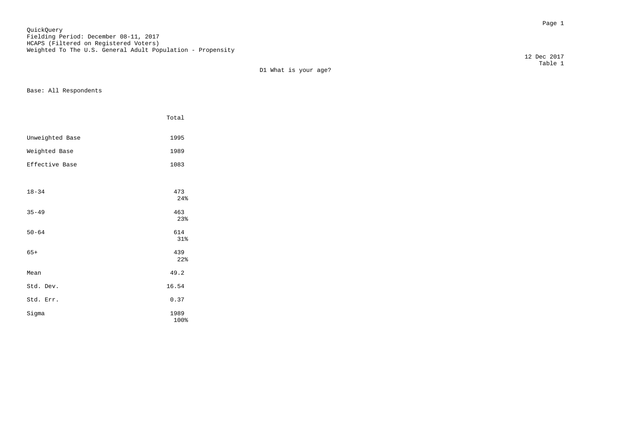Page 1 QuickQuery Fielding Period: December 08-11, 2017 HCAPS (Filtered on Registered Voters) Weighted To The U.S. General Adult Population - Propensity

D1 What is your age?

Base: All Respondents

|                 | Total      |
|-----------------|------------|
| Unweighted Base | 1995       |
| Weighted Base   | 1989       |
| Effective Base  | 1083       |
|                 |            |
| $18 - 34$       | 473<br>24% |
| $35 - 49$       | 463<br>23% |
| $50 - 64$       | 614<br>31% |
| $65+$           | 439<br>22% |
| Mean            | 49.2       |
| Std. Dev.       | 16.54      |
| Std. Err.       | 0.37       |
| Sigma           | 1989       |

 $100\%$ 

 12 Dec 2017 Table 1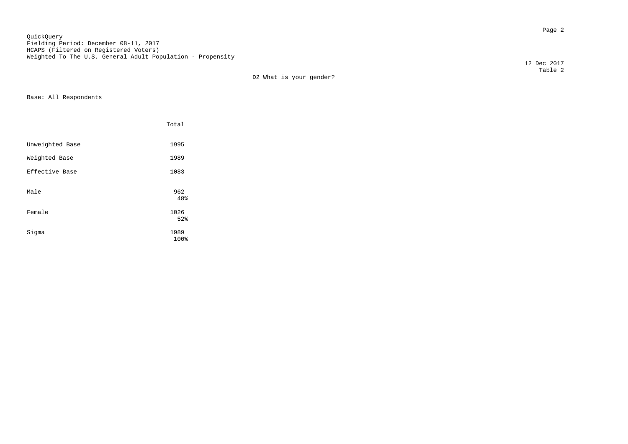en de la provincia de la provincia de la provincia de la provincia de la provincia de la provincia de la provi<br>Page 2 QuickQuery Fielding Period: December 08-11, 2017 HCAPS (Filtered on Registered Voters) Weighted To The U.S. General Adult Population - Propensity

D2 What is your gender?

Base: All Respondents

|                 | Total        |  |
|-----------------|--------------|--|
| Unweighted Base | 1995         |  |
| Weighted Base   | 1989         |  |
| Effective Base  | 1083         |  |
| Male            | 962<br>48%   |  |
| Female          | 1026<br>52%  |  |
| Sigma           | 1989<br>100% |  |

 12 Dec 2017 Table 2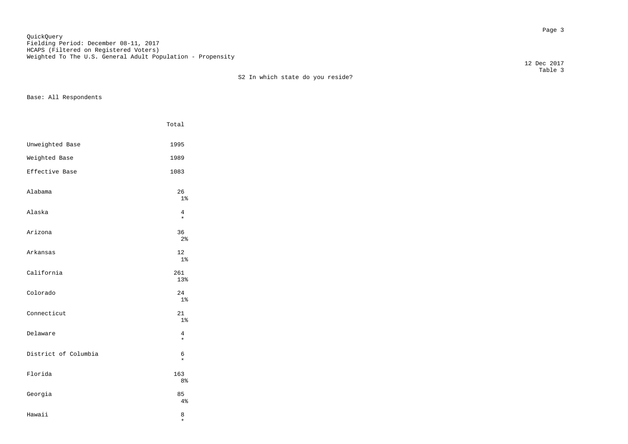en die staatsland van die stad van die stad van die stad van die stad van die stad van die stad van die stad v<br>Die stad van die stad van die stad van die stad van die stad van die stad van die stad van die stad van die st QuickQuery Fielding Period: December 08-11, 2017 HCAPS (Filtered on Registered Voters) Weighted To The U.S. General Adult Population - Propensity

 Table 3 S2 In which state do you reside?

Base: All Respondents

|                      | Total                 |
|----------------------|-----------------------|
| Unweighted Base      | 1995                  |
| Weighted Base        | 1989                  |
| Effective Base       | 1083                  |
| Alabama              | 26<br>1 <sup>°</sup>  |
| Alaska               | 4<br>$\star$          |
| Arizona              | 36<br>2 <sup>°</sup>  |
| Arkansas             | 12<br>$1\%$           |
| California           | 261<br>13%            |
| Colorado             | 24<br>1 <sup>°</sup>  |
| Connecticut          | 21<br>1 <sup>°</sup>  |
| Delaware             | 4<br>$\star$          |
| District of Columbia | 6<br>$\star$          |
| Florida              | 163<br>8 <sup>°</sup> |
| Georgia              | 85<br>4%              |
| Hawaii               | 8                     |

\*

12 Dec 2017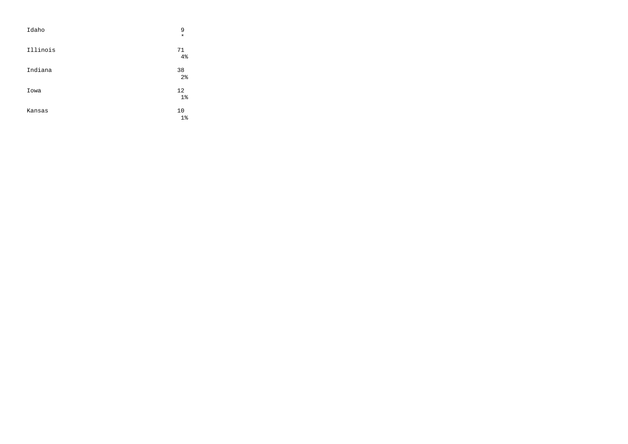| Idaho    | 9<br>$\star$         |
|----------|----------------------|
| Illinois | 71<br>4%             |
| Indiana  | 38<br>2 <sup>°</sup> |
| Iowa     | 12<br>$1\%$          |
| Kansas   | 10<br>$1\%$          |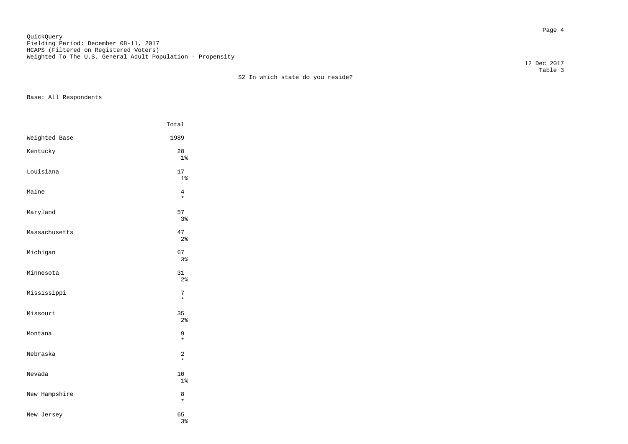Page 4 QuickQuery Fielding Period: December 08-11, 2017 HCAPS (Filtered on Registered Voters) Weighted To The U.S. General Adult Population - Propensity

S2 In which state do you reside?

Base: All Respondents

|               | Total                     |
|---------------|---------------------------|
| Weighted Base | 1989                      |
| Kentucky      | 28<br>1 <sup>°</sup>      |
| Louisiana     | 17<br>1 <sup>°</sup>      |
| Maine         | 4<br>$\star$              |
| Maryland      | 57<br>3%                  |
| Massachusetts | 47<br>2 <sub>8</sub>      |
| Michigan      | 67<br>3%                  |
| Minnesota     | 31<br>2 <sup>°</sup>      |
| Mississippi   | 7<br>$\star$              |
| Missouri      | 35<br>2 <sup>°</sup>      |
| Montana       | 9<br>$\star$              |
| Nebraska      | $\overline{c}$<br>$\star$ |
| Nevada        | 10<br>1 <sub>8</sub>      |
| New Hampshire | 8<br>$\star$              |
| New Jersey    | 65<br>3%                  |

 12 Dec 2017 Table 3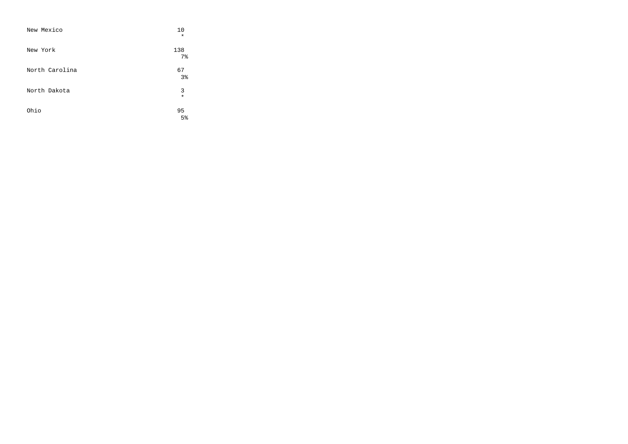| New Mexico     | 10<br>$\star$         |
|----------------|-----------------------|
| New York       | 138<br>7 <sup>8</sup> |
| North Carolina | 67<br>3 <sup>°</sup>  |
| North Dakota   | 3<br>$\star$          |
| Ohio           | 95<br>5 <sup>°</sup>  |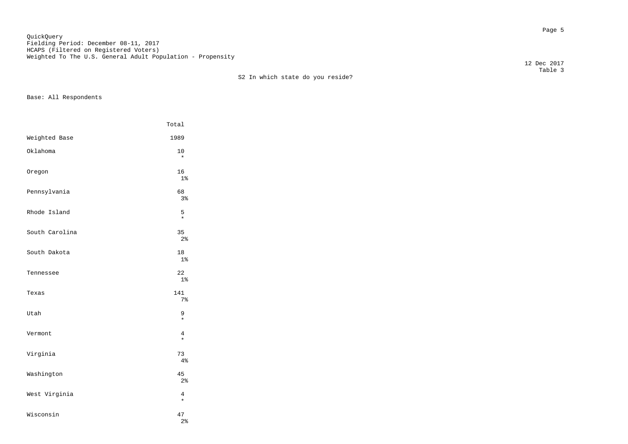en de la provincia de la provincia de la provincia de la provincia de la provincia de la provincia de la provi<br>Desenvolver de la provincia de la provincia de la provincia de la provincia de la provincia de la provincia de QuickQuery Fielding Period: December 08-11, 2017 HCAPS (Filtered on Registered Voters) Weighted To The U.S. General Adult Population - Propensity

S2 In which state do you reside?

Base: All Respondents

|                | Total                |
|----------------|----------------------|
| Weighted Base  | 1989                 |
| Oklahoma       | 10<br>$\star$        |
| Oregon         | 16<br>$1\%$          |
| Pennsylvania   | 68<br>3%             |
| Rhode Island   | 5<br>$\star$         |
| South Carolina | 35<br>2 <sup>°</sup> |
| South Dakota   | 18<br>$1\%$          |
| Tennessee      | 22<br>$1\%$          |
| Texas          | 141<br>$7\%$         |
| Utah           | 9<br>$\star$         |
| Vermont        | 4<br>$\star$         |
| Virginia       | 73<br>4%             |
| Washington     | 45<br>2%             |
| West Virginia  | 4<br>$\star$         |
| Wisconsin      | 47<br>2 <sup>°</sup> |

 12 Dec 2017 Table 3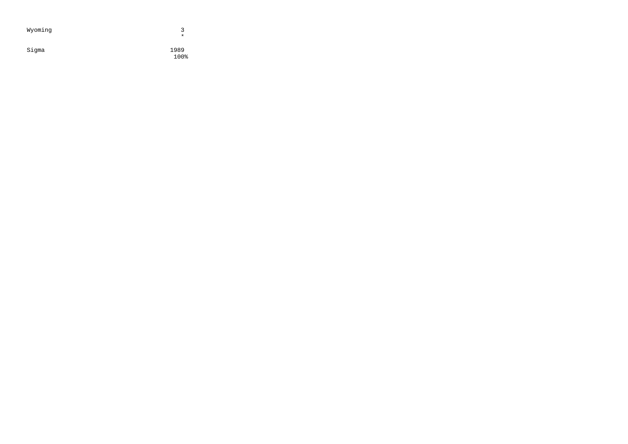| Wyoming | ર<br>$\star$ |
|---------|--------------|
| Sigma   | 1989<br>100% |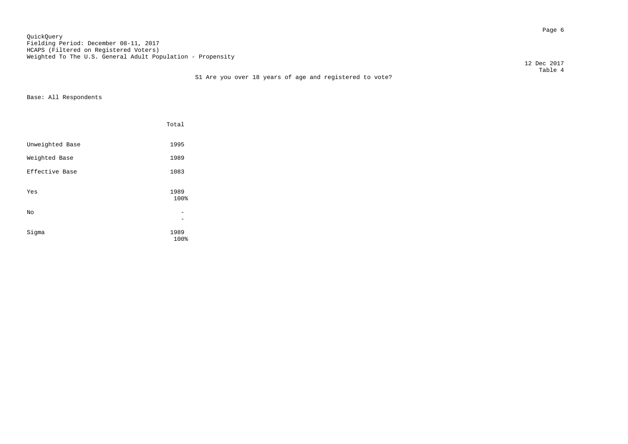Page 6 QuickQuery Fielding Period: December 08-11, 2017 HCAPS (Filtered on Registered Voters) Weighted To The U.S. General Adult Population - Propensity

12 Dec 2017

## Table 4 S1 Are you over 18 years of age and registered to vote?

|                 | Total        |  |
|-----------------|--------------|--|
| Unweighted Base | 1995         |  |
| Weighted Base   | 1989         |  |
| Effective Base  | 1083         |  |
| Yes             | 1989<br>100% |  |
| No              |              |  |
| Sigma           | 1989<br>100% |  |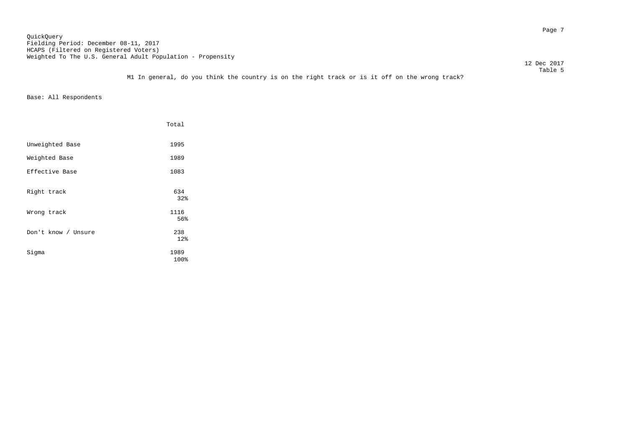en die 19de jaar van die 19de eeu n.C. In 19de jaar van die 19de eeu n.C. In 19de jaar 19de jaar 19de eeu n.C.<br>Gebeure QuickQuery Fielding Period: December 08-11, 2017 HCAPS (Filtered on Registered Voters) Weighted To The U.S. General Adult Population - Propensity

12 Dec 2017

 Table 5 M1 In general, do you think the country is on the right track or is it off on the wrong track?

|                     | Total        |
|---------------------|--------------|
| Unweighted Base     | 1995         |
| Weighted Base       | 1989         |
| Effective Base      | 1083         |
| Right track         | 634<br>32%   |
| Wrong track         | 1116<br>56%  |
| Don't know / Unsure | 238<br>12%   |
| Sigma               | 1989<br>100% |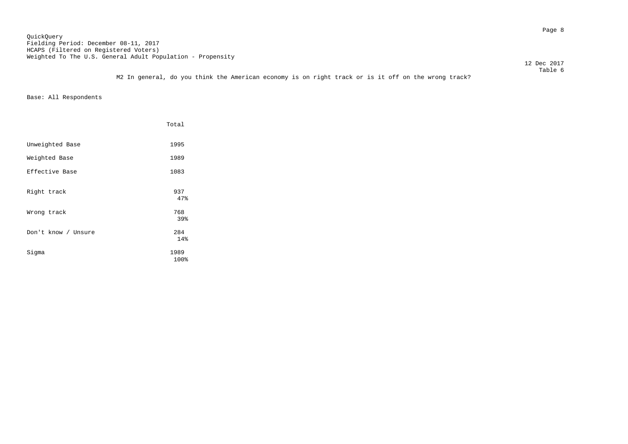en de la provincia de la provincia de la provincia de la provincia de la provincia de la provincia de la provi<br>Page 8 QuickQuery Fielding Period: December 08-11, 2017 HCAPS (Filtered on Registered Voters) Weighted To The U.S. General Adult Population - Propensity

12 Dec 2017

 Table 6 M2 In general, do you think the American economy is on right track or is it off on the wrong track?

|                     | Total             |
|---------------------|-------------------|
| Unweighted Base     | 1995              |
| Weighted Base       | 1989              |
| Effective Base      | 1083              |
| Right track         | 937<br>47%        |
| Wrong track         | 768               |
| Don't know / Unsure | 39%<br>284<br>14% |
| Sigma               | 1989<br>100%      |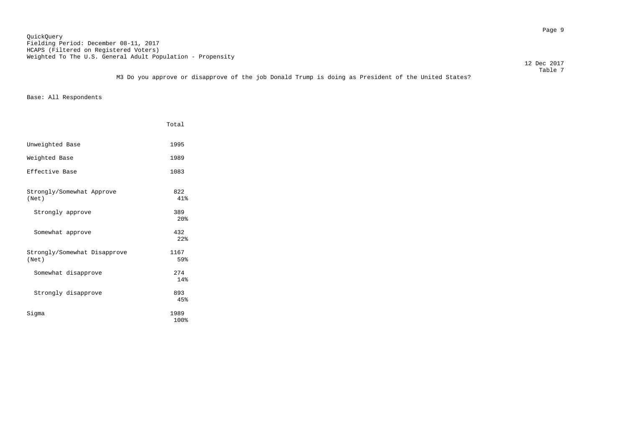Page 9 QuickQuery Fielding Period: December 08-11, 2017 HCAPS (Filtered on Registered Voters) Weighted To The U.S. General Adult Population - Propensity

 $\footnotesize\substack{\texttt{Table 7}}$ M3 Do you approve or disapprove of the job Donald Trump is doing as President of the United States?

Base: All Respondents

|                                       | Total                  |
|---------------------------------------|------------------------|
| Unweighted Base                       | 1995                   |
| Weighted Base                         | 1989                   |
| Effective Base                        | 1083                   |
| Strongly/Somewhat Approve<br>(Net)    | 822<br>41%             |
| Strongly approve                      | 389<br>20 <sup>8</sup> |
| Somewhat approve                      | 432<br>2.2%            |
| Strongly/Somewhat Disapprove<br>(Net) | 1167<br>59%            |
| Somewhat disapprove                   | 274<br>14%             |
| Strongly disapprove                   | 893<br>45%             |
| Siqma                                 | 1989<br>100%           |

12 Dec 2017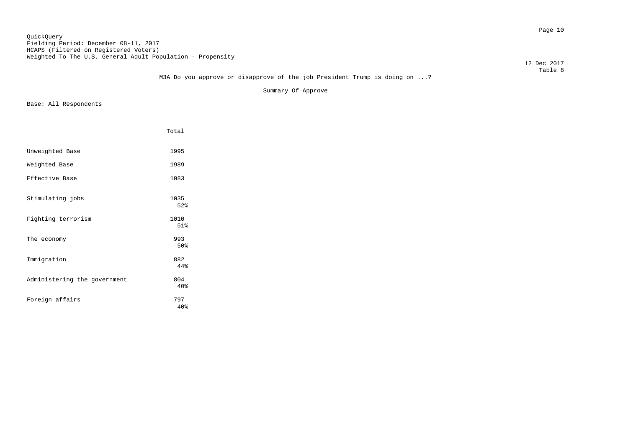Page 10 QuickQuery Fielding Period: December 08-11, 2017 HCAPS (Filtered on Registered Voters) Weighted To The U.S. General Adult Population - Propensity

12 Dec 2017

## Table 8 M3A Do you approve or disapprove of the job President Trump is doing on ...?

Summary Of Approve

|                              | Total       |
|------------------------------|-------------|
| Unweighted Base              | 1995        |
|                              |             |
| Weighted Base                | 1989        |
| Effective Base               | 1083        |
|                              |             |
| Stimulating jobs             | 1035<br>52% |
|                              |             |
| Fighting terrorism           | 1010<br>51% |
| The economy                  | 993         |
|                              | 50%         |
| Immigration                  | 882         |
|                              | 44%         |
| Administering the government | 804         |
|                              | 40%         |
| Foreign affairs              | 797<br>40%  |
|                              |             |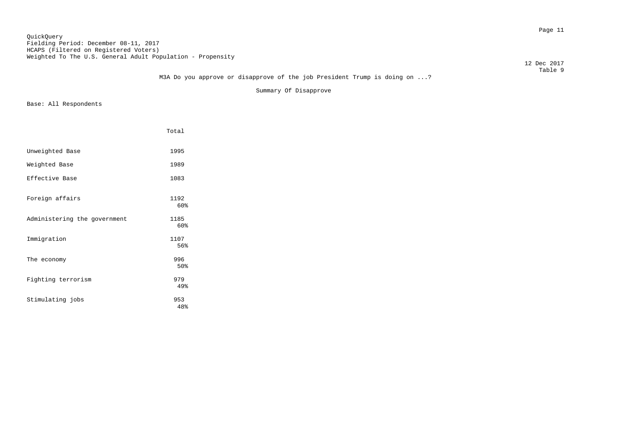Page 11 QuickQuery Fielding Period: December 08-11, 2017 HCAPS (Filtered on Registered Voters) Weighted To The U.S. General Adult Population - Propensity

12 Dec 2017

## Table 9 M3A Do you approve or disapprove of the job President Trump is doing on ...?

Summary Of Disapprove

|                              | Total       |
|------------------------------|-------------|
| Unweighted Base              | 1995        |
| Weighted Base                | 1989        |
| Effective Base               | 1083        |
| Foreign affairs              | 1192<br>60% |
| Administering the government | 1185<br>60% |
| Immigration                  | 1107<br>56% |
| The economy                  | 996<br>50%  |
| Fighting terrorism           | 979<br>49%  |
| Stimulating jobs             | 953<br>48%  |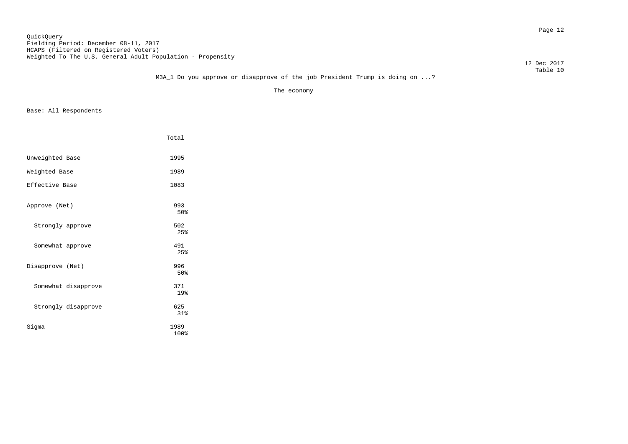Page 12 QuickQuery Fielding Period: December 08-11, 2017 HCAPS (Filtered on Registered Voters) Weighted To The U.S. General Adult Population - Propensity

12 Dec 2017

## Table 10 M3A\_1 Do you approve or disapprove of the job President Trump is doing on ...?

The economy

|                     | Total        |
|---------------------|--------------|
| Unweighted Base     | 1995         |
| Weighted Base       | 1989         |
| Effective Base      | 1083         |
| Approve (Net)       | 993<br>50%   |
| Strongly approve    | 502<br>2.5%  |
| Somewhat approve    | 491<br>25%   |
| Disapprove (Net)    | 996<br>50%   |
| Somewhat disapprove | 371<br>19%   |
| Strongly disapprove | 625<br>31%   |
| Sigma               | 1989<br>100% |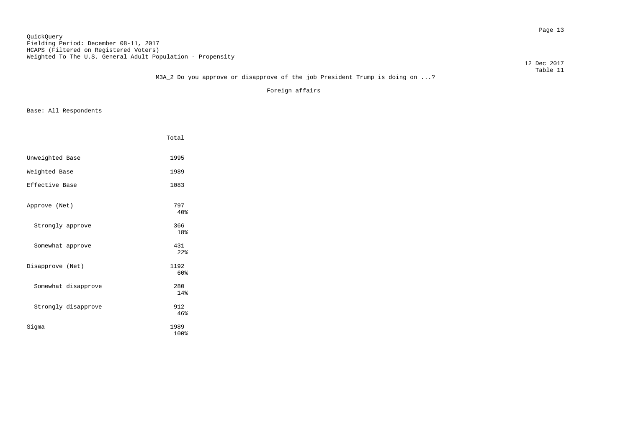Page 13 QuickQuery Fielding Period: December 08-11, 2017 HCAPS (Filtered on Registered Voters) Weighted To The U.S. General Adult Population - Propensity

12 Dec 2017

## Table 11 M3A\_2 Do you approve or disapprove of the job President Trump is doing on ...?

Foreign affairs

|                     | Total        |
|---------------------|--------------|
| Unweighted Base     | 1995         |
| Weighted Base       | 1989         |
| Effective Base      | 1083         |
| Approve (Net)       | 797<br>40%   |
| Strongly approve    | 366<br>18%   |
| Somewhat approve    | 431<br>2.2%  |
| Disapprove (Net)    | 1192<br>60%  |
| Somewhat disapprove | 280<br>14%   |
| Strongly disapprove | 912<br>46%   |
| Sigma               | 1989<br>100% |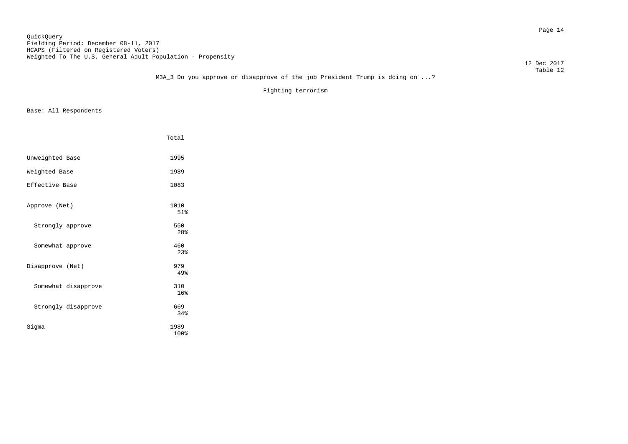Page 14 QuickQuery Fielding Period: December 08-11, 2017 HCAPS (Filtered on Registered Voters) Weighted To The U.S. General Adult Population - Propensity

12 Dec 2017

## Table 12 M3A\_3 Do you approve or disapprove of the job President Trump is doing on ...?

Fighting terrorism

|                     | Total                  |
|---------------------|------------------------|
| Unweighted Base     | 1995                   |
| Weighted Base       | 1989                   |
| Effective Base      | 1083                   |
| Approve (Net)       | 1010<br>51%            |
| Strongly approve    | 550<br>28 <sup>8</sup> |
| Somewhat approve    | 460<br>23%             |
| Disapprove (Net)    | 979<br>49%             |
| Somewhat disapprove | 310<br>16%             |
| Strongly disapprove | 669<br>34%             |
| Sigma               | 1989<br>100%           |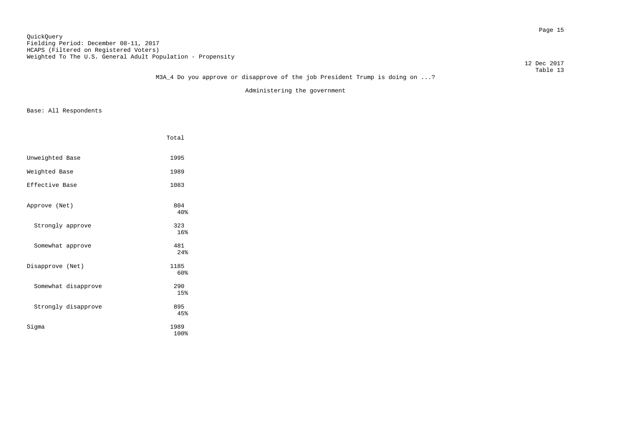#### Page 15 QuickQuery Fielding Period: December 08-11, 2017 HCAPS (Filtered on Registered Voters) Weighted To The U.S. General Adult Population - Propensity

12 Dec 2017

## Table 13 M3A\_4 Do you approve or disapprove of the job President Trump is doing on ...?

Administering the government

|                     | Total        |
|---------------------|--------------|
| Unweighted Base     | 1995         |
| Weighted Base       | 1989         |
| Effective Base      | 1083         |
| Approve (Net)       | 804<br>40%   |
| Strongly approve    | 323<br>16%   |
| Somewhat approve    | 481<br>2.4%  |
| Disapprove (Net)    | 1185<br>60%  |
| Somewhat disapprove | 290<br>15%   |
| Strongly disapprove | 895<br>45%   |
| Sigma               | 1989<br>100% |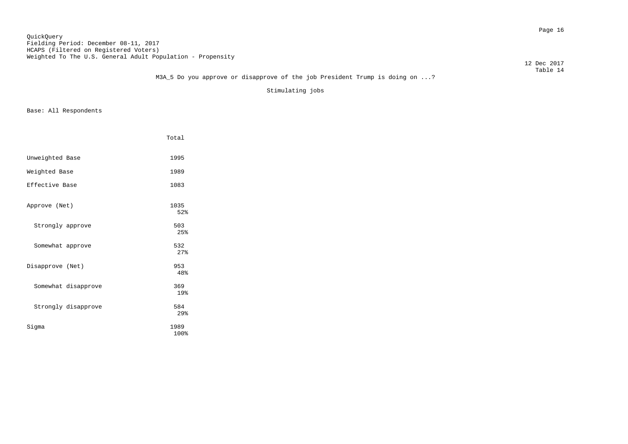Page 16 QuickQuery Fielding Period: December 08-11, 2017 HCAPS (Filtered on Registered Voters) Weighted To The U.S. General Adult Population - Propensity

 12 Dec 2017 Table 14

## M3A\_5 Do you approve or disapprove of the job President Trump is doing on ...?

Stimulating jobs

|                     | Total                  |
|---------------------|------------------------|
| Unweighted Base     | 1995                   |
| Weighted Base       | 1989                   |
| Effective Base      | 1083                   |
| Approve (Net)       | 1035<br>52%            |
| Strongly approve    | 503<br>2.5%            |
| Somewhat approve    | 532<br>27%             |
| Disapprove (Net)    | 953<br>48%             |
| Somewhat disapprove | 369<br>19%             |
| Strongly disapprove | 584<br>29 <sub>8</sub> |
| Sigma               | 1989<br>100%           |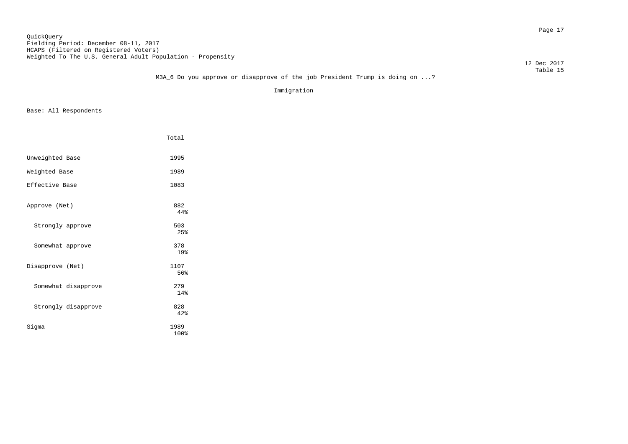Page 17 QuickQuery Fielding Period: December 08-11, 2017 HCAPS (Filtered on Registered Voters) Weighted To The U.S. General Adult Population - Propensity

12 Dec 2017

## Table 15 M3A\_6 Do you approve or disapprove of the job President Trump is doing on ...?

Immigration

|                     | Total        |
|---------------------|--------------|
| Unweighted Base     | 1995         |
| Weighted Base       | 1989         |
| Effective Base      | 1083         |
| Approve (Net)       | 882<br>44%   |
| Strongly approve    | 503<br>25%   |
| Somewhat approve    | 378<br>19%   |
| Disapprove (Net)    | 1107<br>56%  |
| Somewhat disapprove | 279<br>14%   |
| Strongly disapprove | 828<br>42%   |
| Sigma               | 1989<br>100% |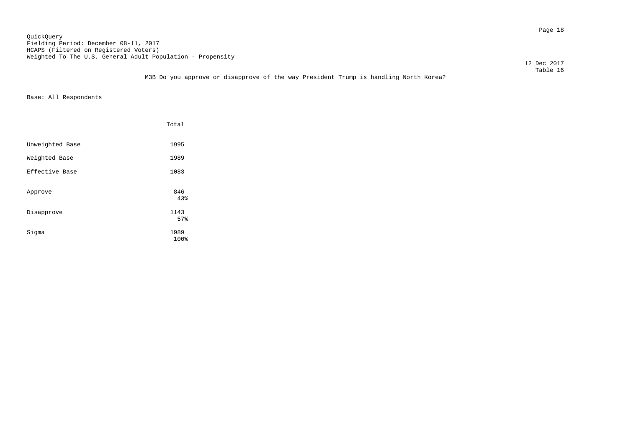Page 18 QuickQuery Fielding Period: December 08-11, 2017 HCAPS (Filtered on Registered Voters) Weighted To The U.S. General Adult Population - Propensity

12 Dec 2017

## Table 16 M3B Do you approve or disapprove of the way President Trump is handling North Korea?

|                 | Total        |
|-----------------|--------------|
| Unweighted Base | 1995         |
| Weighted Base   | 1989         |
| Effective Base  | 1083         |
| Approve         | 846<br>43%   |
| Disapprove      | 1143<br>57%  |
| Sigma           | 1989<br>100% |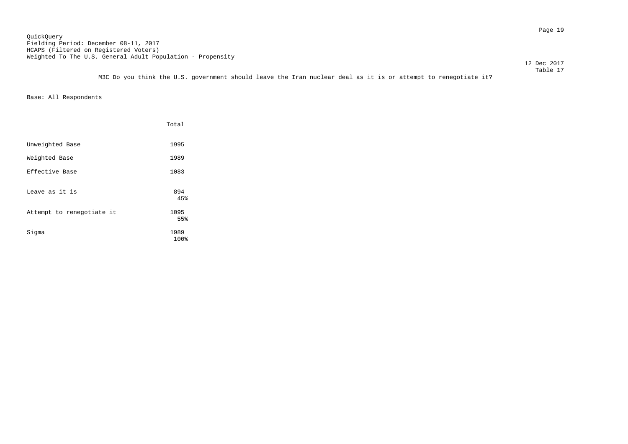Page 19 QuickQuery Fielding Period: December 08-11, 2017 HCAPS (Filtered on Registered Voters) Weighted To The U.S. General Adult Population - Propensity

 12 Dec 2017 Table 17

M3C Do you think the U.S. government should leave the Iran nuclear deal as it is or attempt to renegotiate it?

|                           | Total        |
|---------------------------|--------------|
| Unweighted Base           | 1995         |
| Weighted Base             | 1989         |
| Effective Base            | 1083         |
| Leave as it is            | 894<br>45%   |
| Attempt to renegotiate it | 1095<br>55%  |
| Sigma                     | 1989<br>100% |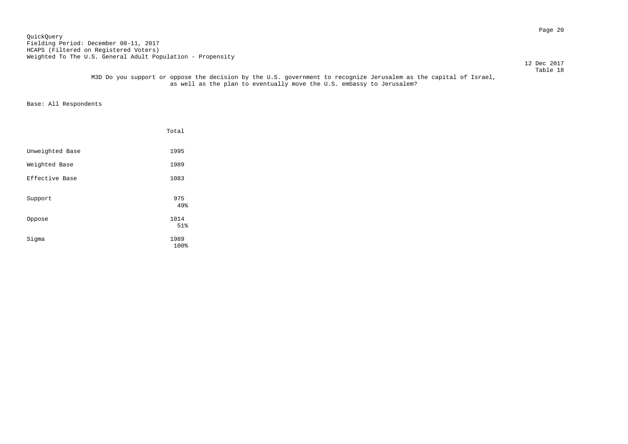Page 20 QuickQuery Fielding Period: December 08-11, 2017 HCAPS (Filtered on Registered Voters) Weighted To The U.S. General Adult Population - Propensity

 12 Dec 2017 Table 18

> M3D Do you support or oppose the decision by the U.S. government to recognize Jerusalem as the capital of Israel, as well as the plan to eventually move the U.S. embassy to Jerusalem?

|                 | Total        |  |
|-----------------|--------------|--|
| Unweighted Base | 1995         |  |
| Weighted Base   | 1989         |  |
| Effective Base  | 1083         |  |
| Support         | 975<br>49%   |  |
| Oppose          | 1014<br>51%  |  |
| Sigma           | 1989<br>100% |  |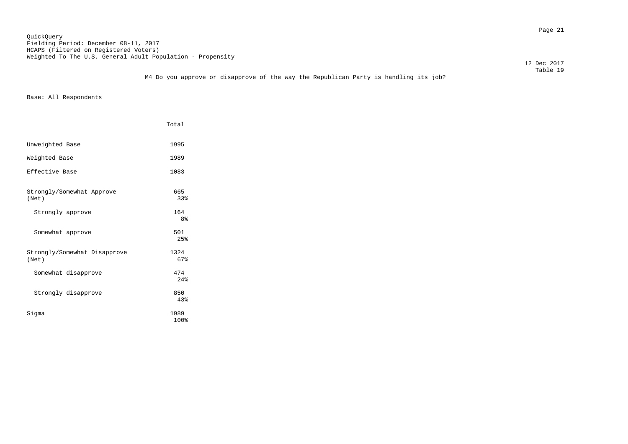Page 21 QuickQuery Fielding Period: December 08-11, 2017 HCAPS (Filtered on Registered Voters) Weighted To The U.S. General Adult Population - Propensity

12 Dec 2017

 Table 19 M4 Do you approve or disapprove of the way the Republican Party is handling its job?

|                                       | Total                 |
|---------------------------------------|-----------------------|
| Unweighted Base                       | 1995                  |
| Weighted Base                         | 1989                  |
| Effective Base                        | 1083                  |
| Strongly/Somewhat Approve<br>(Net)    | 665<br>33%            |
| Strongly approve                      | 164<br>8 <sup>°</sup> |
| Somewhat approve                      | 501<br>2.5%           |
| Strongly/Somewhat Disapprove<br>(Net) | 1324<br>67%           |
| Somewhat disapprove                   | 474<br>2.4%           |
| Strongly disapprove                   | 850<br>43%            |
| Siqma                                 | 1989<br>100%          |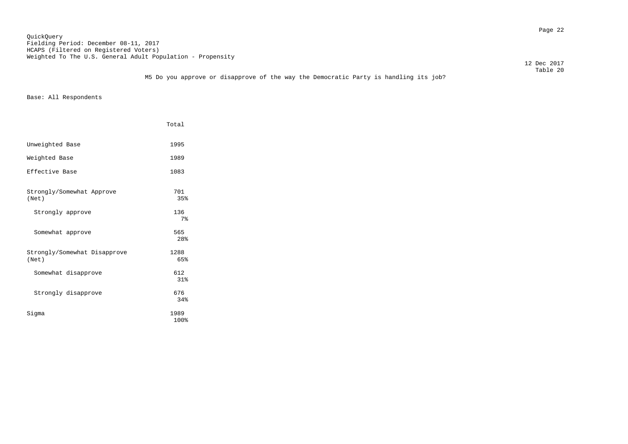Page 22 QuickQuery Fielding Period: December 08-11, 2017 HCAPS (Filtered on Registered Voters) Weighted To The U.S. General Adult Population - Propensity

 12 Dec 2017 Table 20

## M5 Do you approve or disapprove of the way the Democratic Party is handling its job?

|                                       | Total                  |
|---------------------------------------|------------------------|
| Unweighted Base                       | 1995                   |
| Weighted Base                         | 1989                   |
| Effective Base                        | 1083                   |
| Strongly/Somewhat Approve<br>(Net)    | 701<br>35%             |
| Strongly approve                      | 136<br>7 <sup>8</sup>  |
| Somewhat approve                      | 565<br>28 <sup>8</sup> |
| Strongly/Somewhat Disapprove<br>(Net) | 1288<br>65%            |
| Somewhat disapprove                   | 612<br>31%             |
| Strongly disapprove                   | 676<br>34%             |
| Siqma                                 | 1989<br>100%           |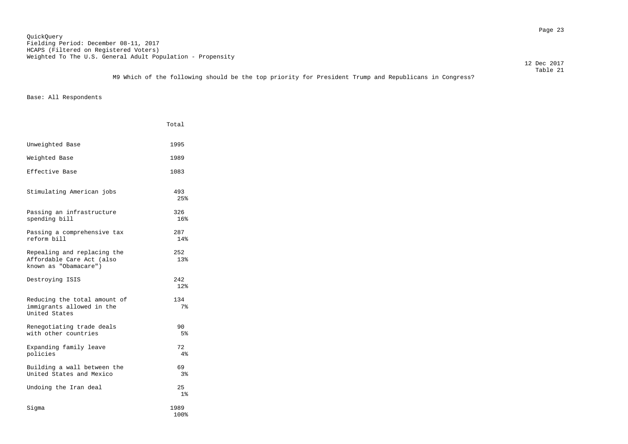## Table 21 M9 Which of the following should be the top priority for President Trump and Republicans in Congress?

|                                                                                   | Total                 |
|-----------------------------------------------------------------------------------|-----------------------|
| Unweighted Base                                                                   | 1995                  |
| Weighted Base                                                                     | 1989                  |
| Effective Base                                                                    | 1083                  |
| Stimulating American jobs                                                         | 493<br>2.5%           |
| Passing an infrastructure<br>spending bill                                        | 326<br>16%            |
| Passing a comprehensive tax<br>reform bill                                        | 287<br>14%            |
| Repealing and replacing the<br>Affordable Care Act (also<br>known as "Obamacare") | 252<br>13%            |
| Destroying ISIS                                                                   | 2.42<br>12%           |
| Reducing the total amount of<br>immigrants allowed in the<br>United States        | 134<br>7 <sup>°</sup> |
| Renegotiating trade deals<br>with other countries                                 | 90<br>5%              |
| Expanding family leave<br>policies                                                | 72<br>4%              |
| Building a wall between the<br>United States and Mexico                           | 69<br>3%              |
| Undoing the Iran deal                                                             | 2.5<br>$1\%$          |
| Sigma                                                                             | 1989<br>100%          |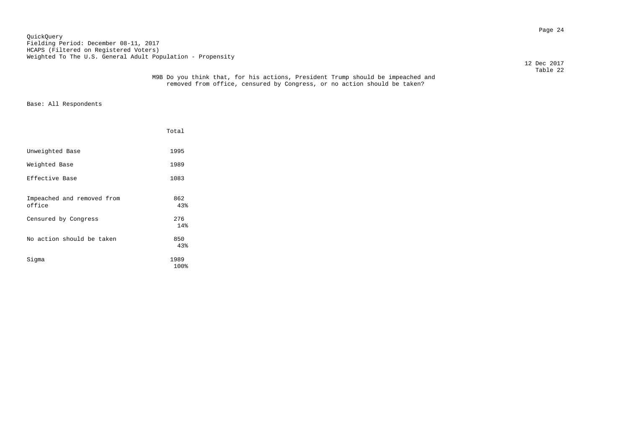Page 24 QuickQuery Fielding Period: December 08-11, 2017 HCAPS (Filtered on Registered Voters) Weighted To The U.S. General Adult Population - Propensity

12 Dec 2017

|                                      | Total        |
|--------------------------------------|--------------|
| Unweighted Base                      | 1995         |
| Weighted Base                        | 1989         |
| Effective Base                       | 1083         |
| Impeached and removed from<br>office | 862<br>43%   |
| Censured by Congress                 | 276<br>14%   |
| No action should be taken            | 850<br>43%   |
| Sigma                                | 1989<br>100% |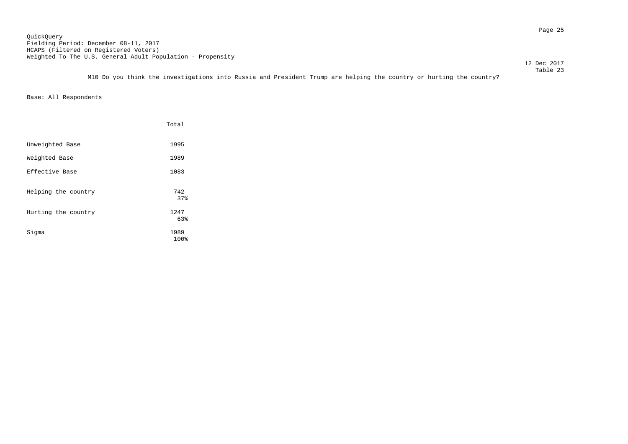Page 25 QuickQuery Fielding Period: December 08-11, 2017 HCAPS (Filtered on Registered Voters) Weighted To The U.S. General Adult Population - Propensity

12 Dec 2017

 Table 23 M10 Do you think the investigations into Russia and President Trump are helping the country or hurting the country?

|                     | Total        |
|---------------------|--------------|
| Unweighted Base     | 1995         |
| Weighted Base       | 1989         |
| Effective Base      | 1083         |
| Helping the country | 742<br>37%   |
| Hurting the country | 1247<br>63%  |
| Sigma               | 1989<br>100% |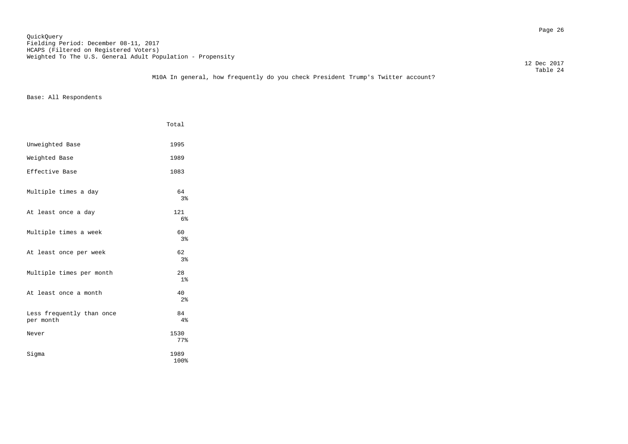Page 26 QuickQuery Fielding Period: December 08-11, 2017 HCAPS (Filtered on Registered Voters) Weighted To The U.S. General Adult Population - Propensity

12 Dec 2017

## Table 24 M10A In general, how frequently do you check President Trump's Twitter account?

|                                        | Total                 |
|----------------------------------------|-----------------------|
| Unweighted Base                        | 1995                  |
| Weighted Base                          | 1989                  |
| Effective Base                         | 1083                  |
| Multiple times a day                   | 64<br>3%              |
| At least once a day                    | 121<br>6 <sup>°</sup> |
| Multiple times a week                  | 60<br>3 <sup>°</sup>  |
| At least once per week                 | 62<br>3%              |
| Multiple times per month               | 28<br>1 <sup>°</sup>  |
| At least once a month                  | 40<br>2 <sup>°</sup>  |
| Less frequently than once<br>per month | 84<br>4%              |
| Never                                  | 1530<br>77%           |
| Sigma                                  | 1989<br>100%          |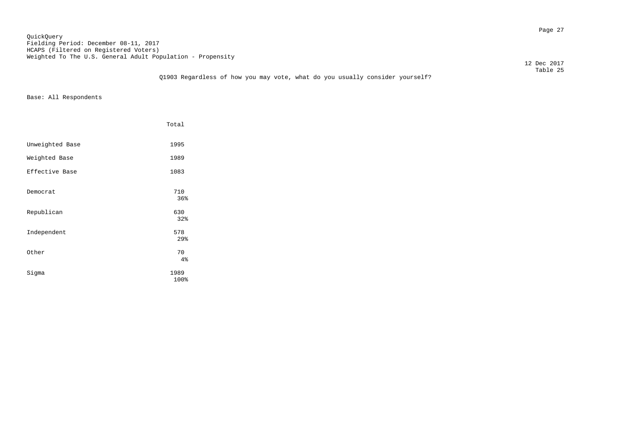Page 27 QuickQuery Fielding Period: December 08-11, 2017 HCAPS (Filtered on Registered Voters) Weighted To The U.S. General Adult Population - Propensity

12 Dec 2017

## Table 25 Q1903 Regardless of how you may vote, what do you usually consider yourself?

|                 | Total             |
|-----------------|-------------------|
| Unweighted Base | 1995              |
| Weighted Base   | 1989              |
| Effective Base  | 1083              |
| Democrat        | 710<br>36%        |
| Republican      | 630               |
| Independent     | 32%<br>578<br>29% |
| Other           | 70<br>4%          |
| Sigma           | 1989<br>100%      |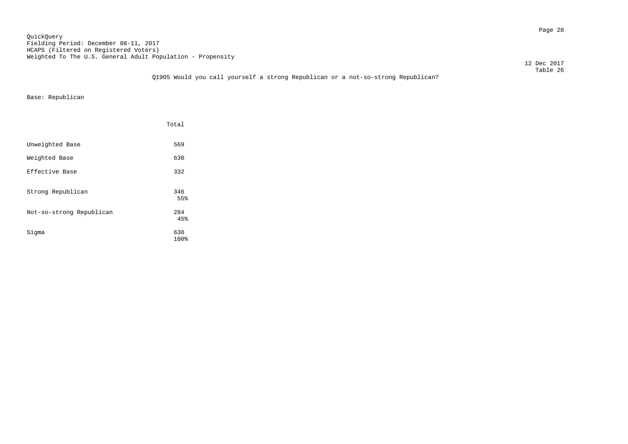Page 28 QuickQuery Fielding Period: December 08-11, 2017 HCAPS (Filtered on Registered Voters) Weighted To The U.S. General Adult Population - Propensity

12 Dec 2017

 Table 26 Q1905 Would you call yourself a strong Republican or a not-so-strong Republican?

Base: Republican

|                          | Total       |
|--------------------------|-------------|
| Unweighted Base          | 569         |
| Weighted Base            | 630         |
| Effective Base           | 332         |
| Strong Republican        | 346<br>55%  |
| Not-so-strong Republican | 284<br>45%  |
| Sigma                    | 630<br>100% |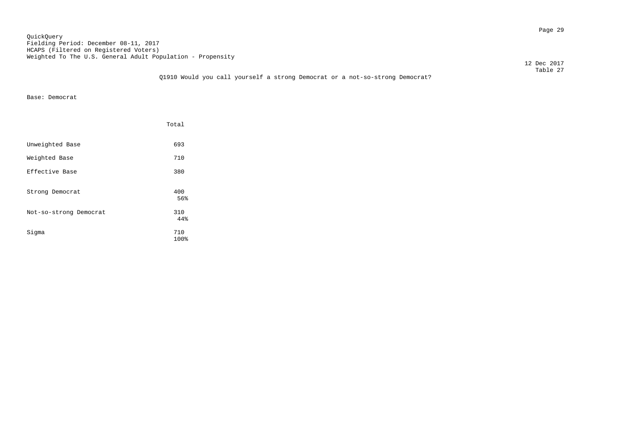Page 29 QuickQuery Fielding Period: December 08-11, 2017 HCAPS (Filtered on Registered Voters) Weighted To The U.S. General Adult Population - Propensity

12 Dec 2017

## Table 27 Q1910 Would you call yourself a strong Democrat or a not-so-strong Democrat?

Base: Democrat

|                        | Total       |
|------------------------|-------------|
| Unweighted Base        | 693         |
| Weighted Base          | 710         |
| Effective Base         | 380         |
| Strong Democrat        | 400<br>56%  |
| Not-so-strong Democrat | 310<br>44%  |
| Sigma                  | 710<br>100% |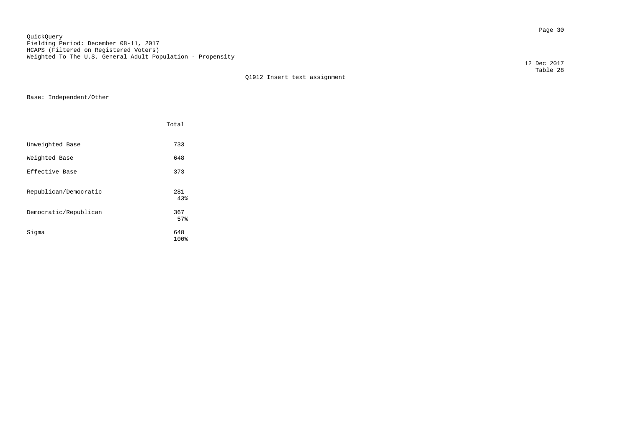Page 30 QuickQuery Fielding Period: December 08-11, 2017 HCAPS (Filtered on Registered Voters) Weighted To The U.S. General Adult Population - Propensity

Q1912 Insert text assignment

Base: Independent/Other

|                       | Total       |
|-----------------------|-------------|
| Unweighted Base       | 733         |
| Weighted Base         | 648         |
| Effective Base        | 373         |
| Republican/Democratic | 281<br>43%  |
| Democratic/Republican | 367<br>57%  |
| Sigma                 | 648<br>100% |

 12 Dec 2017 Table 28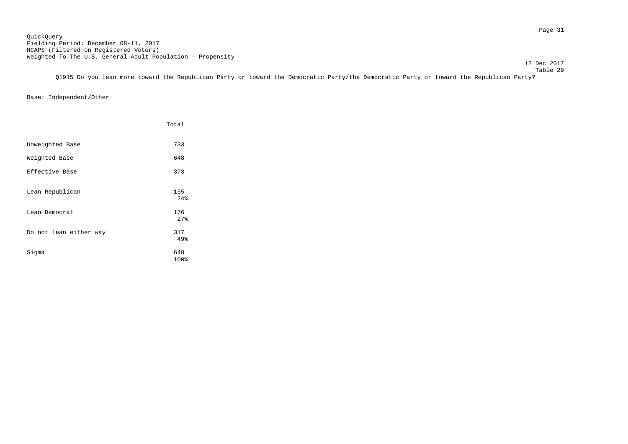12 Dec 2017

 Table 29 Q1915 Do you lean more toward the Republican Party or toward the Democratic Party/the Democratic Party or toward the Republican Party?

Base: Independent/Other

|                        | Total             |
|------------------------|-------------------|
| Unweighted Base        | 733               |
| Weighted Base          | 648               |
| Effective Base         | 373               |
| Lean Republican        | 155<br>24%        |
| Lean Democrat          | 176               |
| Do not lean either way | 27%<br>317<br>49% |
| Sigma                  | 648<br>100%       |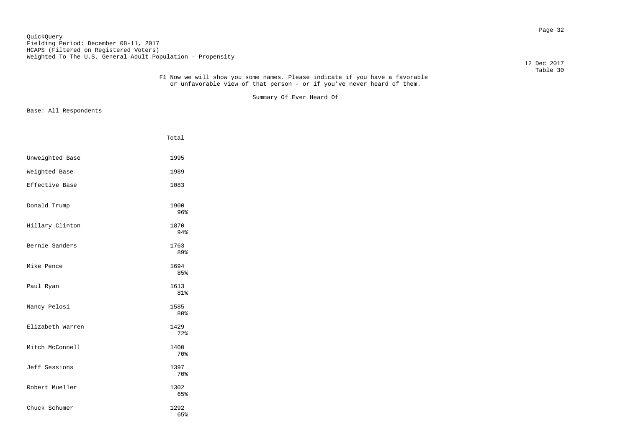Page 32 QuickQuery Fielding Period: December 08-11, 2017 HCAPS (Filtered on Registered Voters) Weighted To The U.S. General Adult Population - Propensity

12 Dec 2017

#### Table 30 F1 Now we will show you some names. Please indicate if you have a favorable or unfavorable view of that person - or if you've never heard of them.

Summary Of Ever Heard Of

|                  | Total       |
|------------------|-------------|
| Unweighted Base  | 1995        |
| Weighted Base    | 1989        |
| Effective Base   | 1083        |
| Donald Trump     | 1900<br>96% |
| Hillary Clinton  | 1870<br>94% |
| Bernie Sanders   | 1763<br>89% |
| Mike Pence       | 1694<br>85% |
| Paul Ryan        | 1613<br>81% |
| Nancy Pelosi     | 1585<br>80% |
| Elizabeth Warren | 1429<br>72% |
| Mitch McConnell  | 1400<br>70% |
| Jeff Sessions    | 1397<br>70% |
| Robert Mueller   | 1302<br>65% |
| Chuck Schumer    | 1292<br>65% |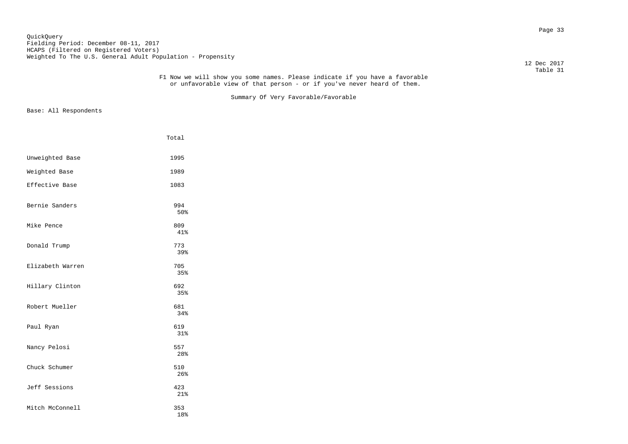#### Page 33 QuickQuery Fielding Period: December 08-11, 2017 HCAPS (Filtered on Registered Voters) Weighted To The U.S. General Adult Population - Propensity

12 Dec 2017

#### Table 31 F1 Now we will show you some names. Please indicate if you have a favorable or unfavorable view of that person - or if you've never heard of them.

Summary Of Very Favorable/Favorable

|                  | Total      |
|------------------|------------|
| Unweighted Base  | 1995       |
| Weighted Base    | 1989       |
| Effective Base   | 1083       |
| Bernie Sanders   | 994<br>50% |
| Mike Pence       | 809<br>41% |
| Donald Trump     | 773<br>39% |
| Elizabeth Warren | 705<br>35% |
| Hillary Clinton  | 692<br>35% |
| Robert Mueller   | 681<br>34% |
| Paul Ryan        | 619<br>31% |
| Nancy Pelosi     | 557<br>28% |
| Chuck Schumer    | 510<br>26% |
| Jeff Sessions    | 423<br>21% |
| Mitch McConnell  | 353<br>18% |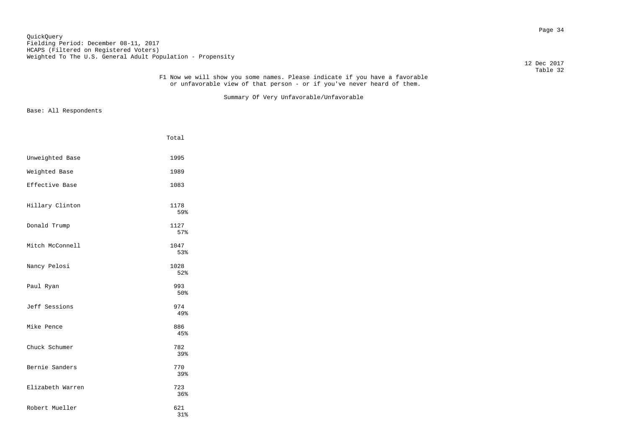#### Page 34 QuickQuery Fielding Period: December 08-11, 2017 HCAPS (Filtered on Registered Voters) Weighted To The U.S. General Adult Population - Propensity

12 Dec 2017

#### Table 32 F1 Now we will show you some names. Please indicate if you have a favorable or unfavorable view of that person - or if you've never heard of them.

Summary Of Very Unfavorable/Unfavorable

|                  | Total       |
|------------------|-------------|
| Unweighted Base  | 1995        |
| Weighted Base    | 1989        |
| Effective Base   | 1083        |
| Hillary Clinton  | 1178<br>59% |
| Donald Trump     | 1127<br>57% |
| Mitch McConnell  | 1047<br>53% |
| Nancy Pelosi     | 1028<br>52% |
| Paul Ryan        | 993<br>50%  |
| Jeff Sessions    | 974<br>49%  |
| Mike Pence       | 886<br>45%  |
| Chuck Schumer    | 782<br>39%  |
| Bernie Sanders   | 770<br>39%  |
| Elizabeth Warren | 723<br>36%  |
| Robert Mueller   | 621<br>31%  |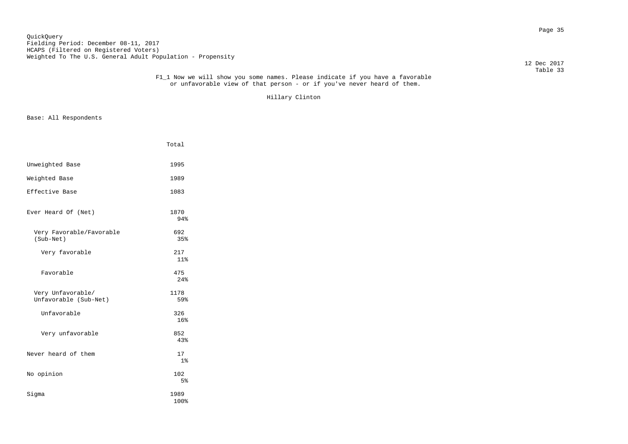Page 35 QuickQuery Fielding Period: December 08-11, 2017 HCAPS (Filtered on Registered Voters) Weighted To The U.S. General Adult Population - Propensity

12 Dec 2017

#### Table 33 F1\_1 Now we will show you some names. Please indicate if you have a favorable or unfavorable view of that person - or if you've never heard of them.

Hillary Clinton

|                                            | Total                 |  |
|--------------------------------------------|-----------------------|--|
| Unweighted Base                            | 1995                  |  |
| Weighted Base                              | 1989                  |  |
| Effective Base                             | 1083                  |  |
| Ever Heard Of (Net)                        | 1870<br>94%           |  |
| Very Favorable/Favorable<br>(Sub-Net)      | 692<br>35%            |  |
| Very favorable                             | 217<br>11%            |  |
| Favorable                                  | 475<br>24%            |  |
| Very Unfavorable/<br>Unfavorable (Sub-Net) | 1178<br>59%           |  |
| Unfavorable                                | 326<br>16%            |  |
| Very unfavorable                           | 852<br>43%            |  |
| Never heard of them                        | 17<br>1 <sub>8</sub>  |  |
| No opinion                                 | 102<br>5 <sup>8</sup> |  |
| Sigma                                      | 1989<br>100%          |  |
|                                            |                       |  |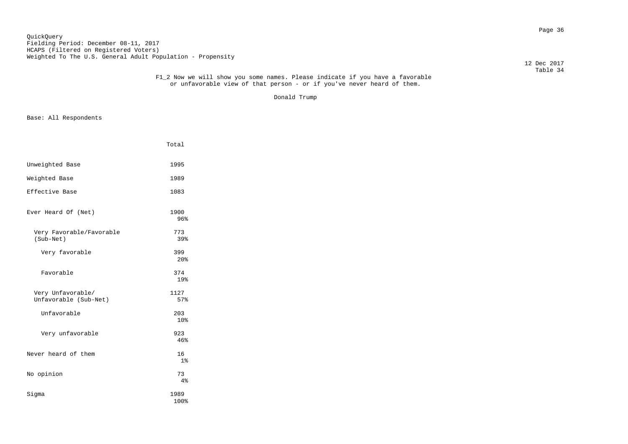Page 36 QuickQuery Fielding Period: December 08-11, 2017 HCAPS (Filtered on Registered Voters) Weighted To The U.S. General Adult Population - Propensity

12 Dec 2017

#### Table 34 F1\_2 Now we will show you some names. Please indicate if you have a favorable or unfavorable view of that person - or if you've never heard of them.

Donald Trump

|                                            | Total                  |  |
|--------------------------------------------|------------------------|--|
| Unweighted Base                            | 1995                   |  |
| Weighted Base                              | 1989                   |  |
| Effective Base                             | 1083                   |  |
| Ever Heard Of (Net)                        | 1900<br>96%            |  |
| Very Favorable/Favorable<br>(Sub-Net)      | 773<br>39%             |  |
| Very favorable                             | 399<br>20 <sup>8</sup> |  |
| Favorable                                  | 374<br>19%             |  |
| Very Unfavorable/<br>Unfavorable (Sub-Net) | 1127<br>57%            |  |
| Unfavorable                                | 203<br>10%             |  |
| Very unfavorable                           | 923<br>46%             |  |
| Never heard of them                        | 16<br>1 <sup>°</sup>   |  |
| No opinion                                 | 73<br>4%               |  |
| Sigma                                      | 1989<br>100%           |  |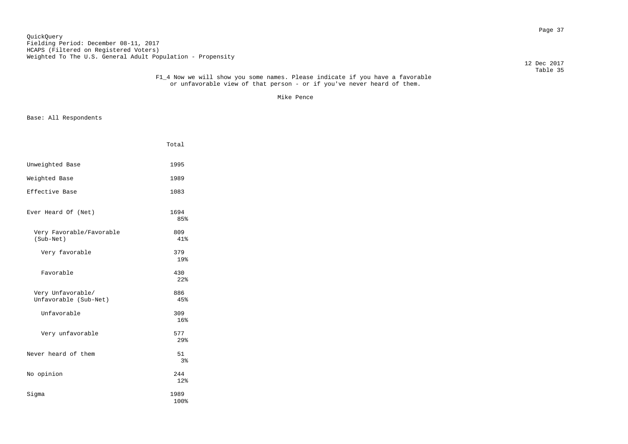Page 37 QuickQuery Fielding Period: December 08-11, 2017 HCAPS (Filtered on Registered Voters) Weighted To The U.S. General Adult Population - Propensity

12 Dec 2017

#### Table 35 F1\_4 Now we will show you some names. Please indicate if you have a favorable or unfavorable view of that person - or if you've never heard of them.

Mike Pence

| Unweighted Base<br>1995<br>Weighted Base<br>1989<br>Effective Base<br>1083 |  |
|----------------------------------------------------------------------------|--|
|                                                                            |  |
|                                                                            |  |
|                                                                            |  |
| Ever Heard Of (Net)<br>1694<br>85%                                         |  |
| Very Favorable/Favorable<br>809<br>(Sub-Net)<br>41%                        |  |
| Very favorable<br>379<br>19%                                               |  |
| Favorable<br>430<br>$22$ <sup>2</sup>                                      |  |
| Very Unfavorable/<br>886<br>Unfavorable (Sub-Net)<br>45%                   |  |
| Unfavorable<br>309<br>16%                                                  |  |
| Very unfavorable<br>577<br>29%                                             |  |
| Never heard of them<br>51<br>3%                                            |  |
| No opinion<br>244<br>12%                                                   |  |
| Sigma<br>1989<br>100%                                                      |  |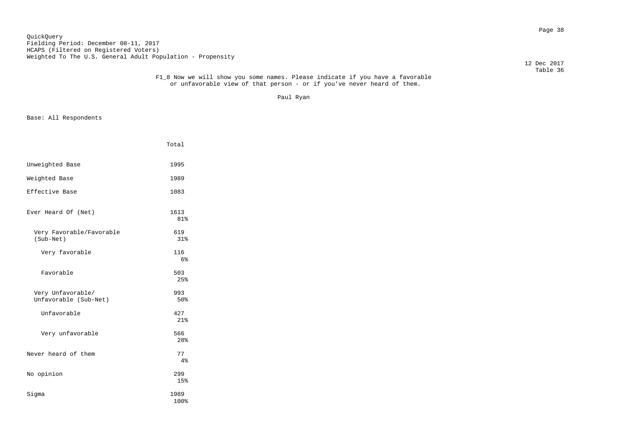Page 38 QuickQuery Fielding Period: December 08-11, 2017 HCAPS (Filtered on Registered Voters) Weighted To The U.S. General Adult Population - Propensity

12 Dec 2017

#### Table 36 F1\_8 Now we will show you some names. Please indicate if you have a favorable or unfavorable view of that person - or if you've never heard of them.

Paul Ryan

|                                            | Total        |
|--------------------------------------------|--------------|
| Unweighted Base                            | 1995         |
| Weighted Base                              | 1989         |
| Effective Base                             | 1083         |
| Ever Heard Of (Net)                        | 1613<br>81%  |
| Very Favorable/Favorable<br>(Sub-Net)      | 619<br>31%   |
| Very favorable                             | 116<br>6%    |
| Favorable                                  | 503<br>25%   |
| Very Unfavorable/<br>Unfavorable (Sub-Net) | 993<br>50%   |
| Unfavorable                                | 427<br>21%   |
| Very unfavorable                           | 566<br>28%   |
| Never heard of them                        | 77<br>4%     |
| No opinion                                 | 299<br>15%   |
| Sigma                                      | 1989<br>100% |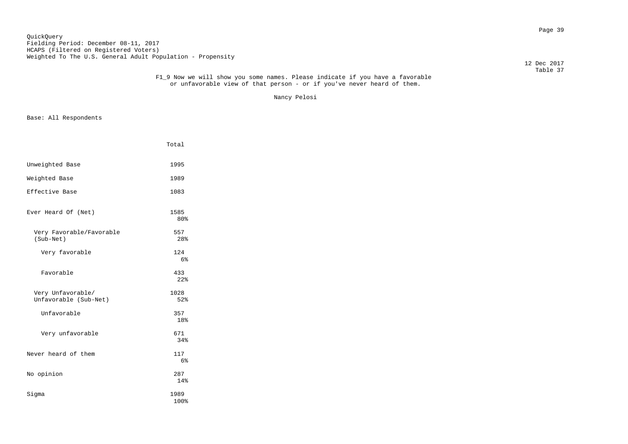Page 39 QuickQuery Fielding Period: December 08-11, 2017 HCAPS (Filtered on Registered Voters) Weighted To The U.S. General Adult Population - Propensity

12 Dec 2017

#### Table 37 F1\_9 Now we will show you some names. Please indicate if you have a favorable or unfavorable view of that person - or if you've never heard of them.

Nancy Pelosi

|                                            | Total                 |  |
|--------------------------------------------|-----------------------|--|
| Unweighted Base                            | 1995                  |  |
| Weighted Base                              | 1989                  |  |
| Effective Base                             | 1083                  |  |
| Ever Heard Of (Net)                        | 1585<br>80%           |  |
| Very Favorable/Favorable<br>(Sub-Net)      | 557<br>28%            |  |
| Very favorable                             | 124<br>6%             |  |
| Favorable                                  | 433<br>22%            |  |
| Very Unfavorable/<br>Unfavorable (Sub-Net) | 1028<br>52%           |  |
| Unfavorable                                | 357<br>18%            |  |
| Very unfavorable                           | 671<br>34%            |  |
| Never heard of them                        | 117<br>6 <sup>°</sup> |  |
| No opinion                                 | 287<br>14%            |  |
| Sigma                                      | 1989<br>100%          |  |
|                                            |                       |  |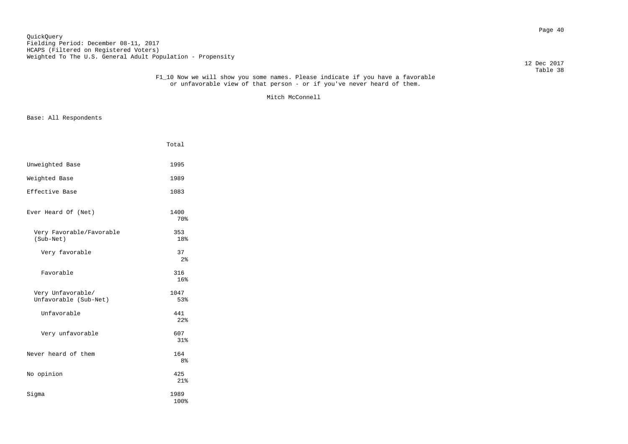Page 40 QuickQuery Fielding Period: December 08-11, 2017 HCAPS (Filtered on Registered Voters) Weighted To The U.S. General Adult Population - Propensity

12 Dec 2017

#### Table 38 F1\_10 Now we will show you some names. Please indicate if you have a favorable or unfavorable view of that person - or if you've never heard of them.

Mitch McConnell

|                                            | Total                 |  |
|--------------------------------------------|-----------------------|--|
| Unweighted Base                            | 1995                  |  |
| Weighted Base                              | 1989                  |  |
| Effective Base                             | 1083                  |  |
| Ever Heard Of (Net)                        | 1400<br>70%           |  |
| Very Favorable/Favorable<br>(Sub-Net)      | 353<br>18%            |  |
| Very favorable                             | 37<br>2 <sup>°</sup>  |  |
| Favorable                                  | 316<br>16%            |  |
| Very Unfavorable/<br>Unfavorable (Sub-Net) | 1047<br>53%           |  |
| Unfavorable                                | 441<br>22%            |  |
| Very unfavorable                           | 607<br>31%            |  |
| Never heard of them                        | 164<br>8 <sup>°</sup> |  |
| No opinion                                 | 425<br>21%            |  |
| Sigma                                      | 1989<br>100%          |  |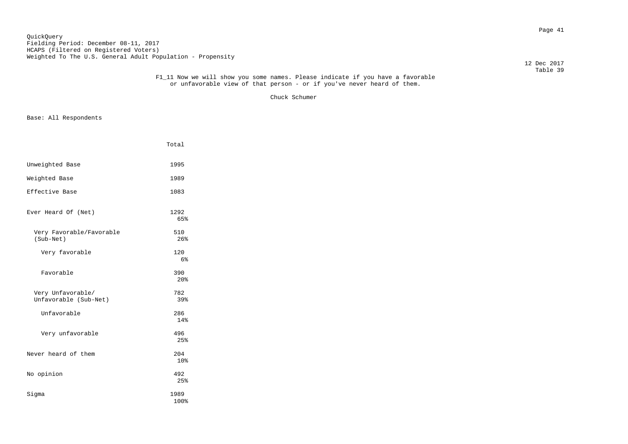Page 41 QuickQuery Fielding Period: December 08-11, 2017 HCAPS (Filtered on Registered Voters) Weighted To The U.S. General Adult Population - Propensity

12 Dec 2017

#### Table 39 F1\_11 Now we will show you some names. Please indicate if you have a favorable or unfavorable view of that person - or if you've never heard of them.

Chuck Schumer

|                                            | Total                  |
|--------------------------------------------|------------------------|
| Unweighted Base                            | 1995                   |
| Weighted Base                              | 1989                   |
| Effective Base                             | 1083                   |
| Ever Heard Of (Net)                        | 1292<br>65%            |
| Very Favorable/Favorable<br>(Sub-Net)      | 510<br>26%             |
| Very favorable                             | 120<br>6%              |
| Favorable                                  | 390<br>20 <sup>8</sup> |
| Very Unfavorable/<br>Unfavorable (Sub-Net) | 782<br>39%             |
| Unfavorable                                | 286<br>14%             |
| Very unfavorable                           | 496<br>25%             |
| Never heard of them                        | 204<br>10%             |
| No opinion                                 | 492<br>25%             |
| Sigma                                      | 1989<br>100%           |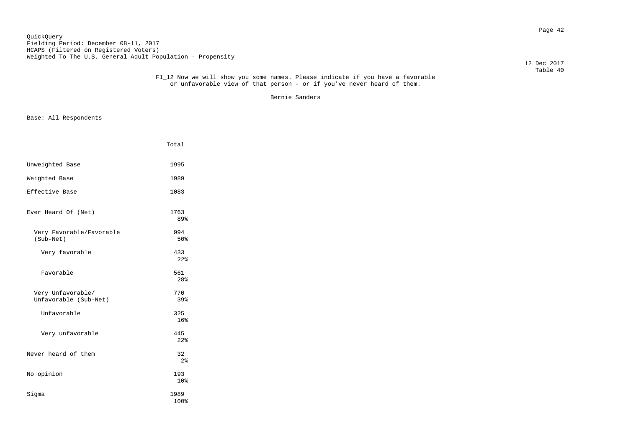Page 42 QuickQuery Fielding Period: December 08-11, 2017 HCAPS (Filtered on Registered Voters) Weighted To The U.S. General Adult Population - Propensity

12 Dec 2017

#### Table 40 F1\_12 Now we will show you some names. Please indicate if you have a favorable or unfavorable view of that person - or if you've never heard of them.

Bernie Sanders

|                                            | Total                |  |
|--------------------------------------------|----------------------|--|
| Unweighted Base                            | 1995                 |  |
| Weighted Base                              | 1989                 |  |
| Effective Base                             | 1083                 |  |
| Ever Heard Of (Net)                        | 1763<br>89%          |  |
| Very Favorable/Favorable<br>(Sub-Net)      | 994<br>50%           |  |
| Very favorable                             | 433<br>22%           |  |
| Favorable                                  | 561<br>28%           |  |
| Very Unfavorable/<br>Unfavorable (Sub-Net) | 770<br>39%           |  |
| Unfavorable                                | 325<br>16%           |  |
| Very unfavorable                           | 445<br>22%           |  |
| Never heard of them                        | 32<br>2 <sup>°</sup> |  |
| No opinion                                 | 193<br>10%           |  |
| Sigma                                      | 1989<br>100%         |  |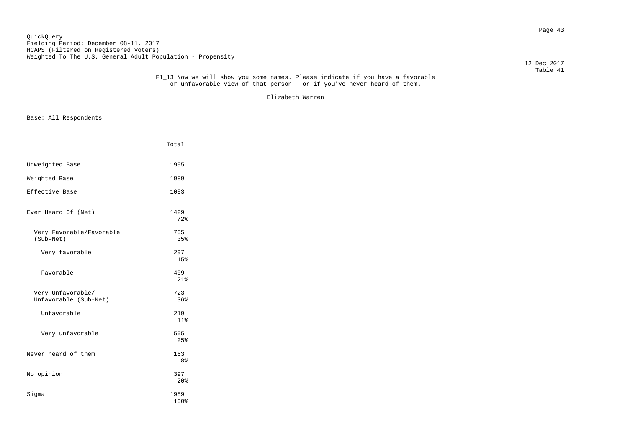Page 43 QuickQuery Fielding Period: December 08-11, 2017 HCAPS (Filtered on Registered Voters) Weighted To The U.S. General Adult Population - Propensity

12 Dec 2017

#### Table 41 F1\_13 Now we will show you some names. Please indicate if you have a favorable or unfavorable view of that person - or if you've never heard of them.

Elizabeth Warren

|                                            | Total                  |
|--------------------------------------------|------------------------|
| Unweighted Base                            | 1995                   |
| Weighted Base                              | 1989                   |
| Effective Base                             | 1083                   |
| Ever Heard Of (Net)                        | 1429<br>72%            |
| Very Favorable/Favorable<br>(Sub-Net)      | 705<br>35%             |
| Very favorable                             | 297<br>15%             |
| Favorable                                  | 409<br>21%             |
| Very Unfavorable/<br>Unfavorable (Sub-Net) | 723<br>36%             |
| Unfavorable                                | 219<br>11%             |
| Very unfavorable                           | 505<br>25%             |
| Never heard of them                        | 163<br>8%              |
| No opinion                                 | 397<br>20 <sup>8</sup> |
| Sigma                                      | 1989<br>100%           |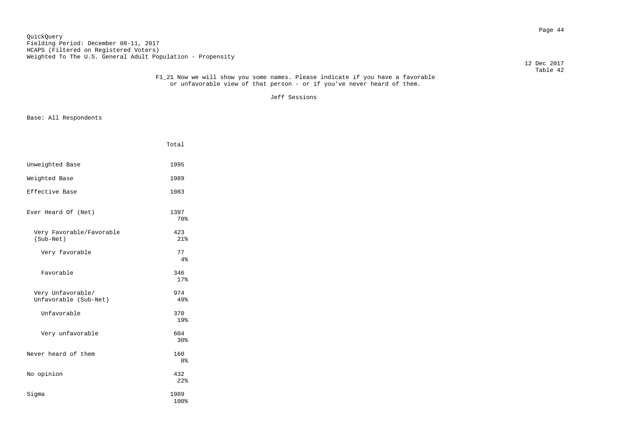Page 44 QuickQuery Fielding Period: December 08-11, 2017 HCAPS (Filtered on Registered Voters) Weighted To The U.S. General Adult Population - Propensity

12 Dec 2017

#### Table 42 F1\_21 Now we will show you some names. Please indicate if you have a favorable or unfavorable view of that person - or if you've never heard of them.

Jeff Sessions

|                                            | Total                 |
|--------------------------------------------|-----------------------|
| Unweighted Base                            | 1995                  |
| Weighted Base                              | 1989                  |
| Effective Base                             | 1083                  |
| Ever Heard Of (Net)                        | 1397<br>70%           |
| Very Favorable/Favorable<br>(Sub-Net)      | 423<br>21%            |
| Very favorable                             | 77<br>4%              |
| Favorable                                  | 346<br>17%            |
| Very Unfavorable/<br>Unfavorable (Sub-Net) | 974<br>49%            |
| Unfavorable                                | 370<br>19%            |
| Very unfavorable                           | 604<br>30%            |
| Never heard of them                        | 160<br>8 <sup>°</sup> |
| No opinion                                 | 432<br>22%            |
| Sigma                                      | 1989<br>100%          |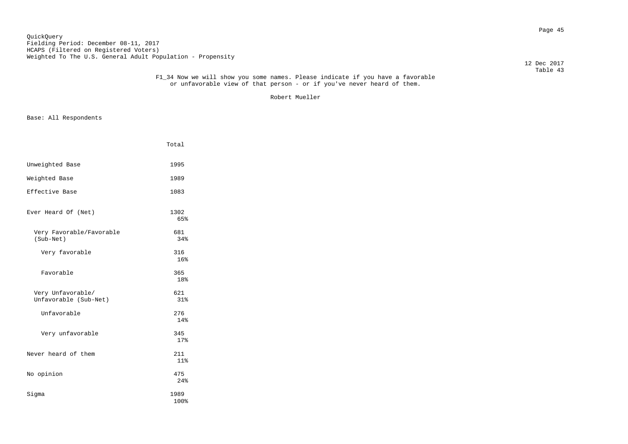Page 45 QuickQuery Fielding Period: December 08-11, 2017 HCAPS (Filtered on Registered Voters) Weighted To The U.S. General Adult Population - Propensity

12 Dec 2017

#### Table 43 F1\_34 Now we will show you some names. Please indicate if you have a favorable or unfavorable view of that person - or if you've never heard of them.

Robert Mueller

|                                            | Total        |  |
|--------------------------------------------|--------------|--|
| Unweighted Base                            | 1995         |  |
| Weighted Base                              | 1989         |  |
| Effective Base                             | 1083         |  |
| Ever Heard Of (Net)                        | 1302<br>65%  |  |
| Very Favorable/Favorable<br>(Sub-Net)      | 681<br>34%   |  |
| Very favorable                             | 316<br>16%   |  |
| Favorable                                  | 365<br>18%   |  |
| Very Unfavorable/<br>Unfavorable (Sub-Net) | 621<br>31%   |  |
| Unfavorable                                | 276<br>14%   |  |
| Very unfavorable                           | 345<br>17%   |  |
| Never heard of them                        | 211<br>11%   |  |
| No opinion                                 | 475<br>24%   |  |
| Sigma                                      | 1989<br>100% |  |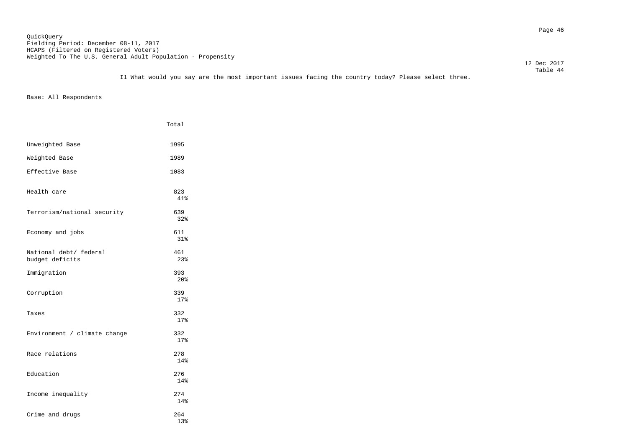Page 46 QuickQuery Fielding Period: December 08-11, 2017 HCAPS (Filtered on Registered Voters) Weighted To The U.S. General Adult Population - Propensity

12 Dec 2017

 Table 44 I1 What would you say are the most important issues facing the country today? Please select three.

|                                           | Total                  |
|-------------------------------------------|------------------------|
| Unweighted Base                           | 1995                   |
| Weighted Base                             | 1989                   |
| Effective Base                            | 1083                   |
| Health care                               | 823<br>41%             |
| Terrorism/national security               | 639<br>32%             |
| Economy and jobs                          | 611<br>31%             |
| National debt/ federal<br>budget deficits | 461<br>23%             |
| Immigration                               | 393<br>20 <sup>8</sup> |
| Corruption                                | 339<br>17%             |
| Taxes                                     | 332<br>17%             |
| Environment / climate change              | 332<br>17%             |
| Race relations                            | 278<br>14%             |
| Education                                 | 276<br>14%             |
| Income inequality                         | 274<br>14%             |
| Crime and drugs                           | 264<br>13%             |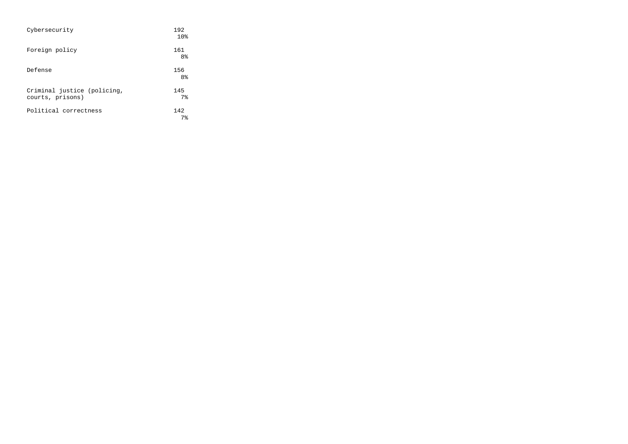| Cybersecurity                                   | 192<br>10%            |
|-------------------------------------------------|-----------------------|
| Foreign policy                                  | 161<br>8 <sup>°</sup> |
| Defense                                         | 156<br>8 <sup>°</sup> |
| Criminal justice (policing,<br>courts, prisons) | 145<br>7 <sup>8</sup> |
| Political correctness                           | 142<br>7 <sup>8</sup> |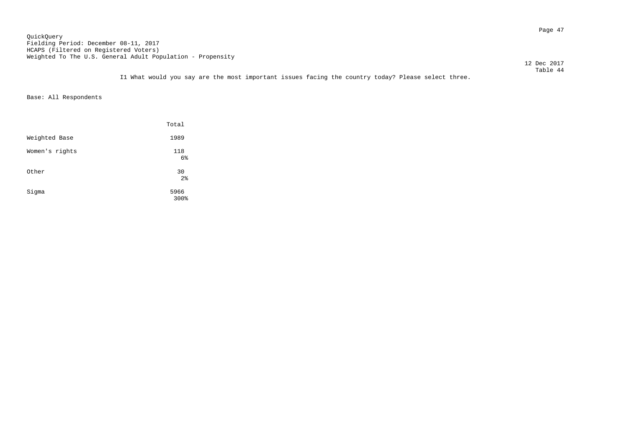Page 47 QuickQuery Fielding Period: December 08-11, 2017 HCAPS (Filtered on Registered Voters) Weighted To The U.S. General Adult Population - Propensity

12 Dec 2017

 Table 44 I1 What would you say are the most important issues facing the country today? Please select three.

|                | Total                |
|----------------|----------------------|
| Weighted Base  | 1989                 |
| Women's rights | 118<br>6%            |
| Other          | 30<br>2 <sup>°</sup> |
| Sigma          | 5966<br>300%         |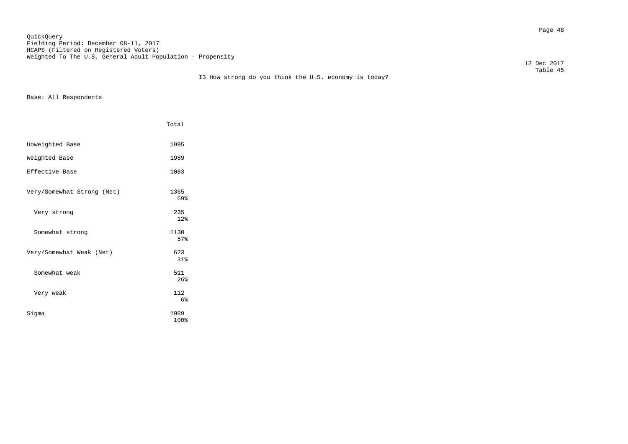Page 48 QuickQuery Fielding Period: December 08-11, 2017 HCAPS (Filtered on Registered Voters) Weighted To The U.S. General Adult Population - Propensity

12 Dec 2017

|                            | Total        |
|----------------------------|--------------|
| Unweighted Base            | 1995         |
| Weighted Base              | 1989         |
| Effective Base             | 1083         |
| Very/Somewhat Strong (Net) | 1365<br>69%  |
| Very strong                | 235<br>12%   |
| Somewhat strong            | 1130<br>57%  |
| Very/Somewhat Weak (Net)   | 623<br>31%   |
| Somewhat, weak             | 511<br>26%   |
| Very weak                  | 112<br>6%    |
| Sigma                      | 1989<br>100% |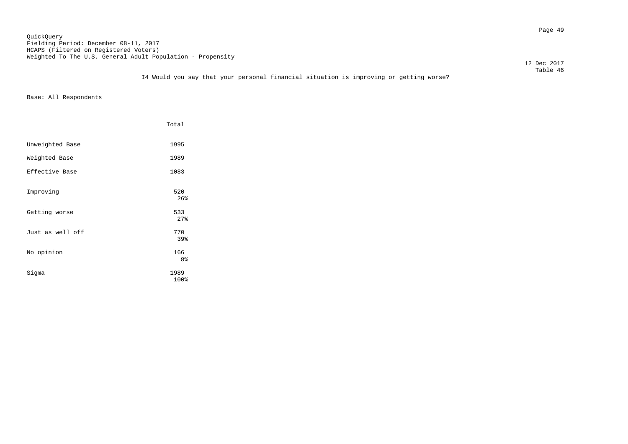Page 49 QuickQuery Fielding Period: December 08-11, 2017 HCAPS (Filtered on Registered Voters) Weighted To The U.S. General Adult Population - Propensity

12 Dec 2017

### Table 46 I4 Would you say that your personal financial situation is improving or getting worse?

|                  | Total        |
|------------------|--------------|
| Unweighted Base  | 1995         |
| Weighted Base    | 1989         |
| Effective Base   | 1083         |
| Improving        | 520<br>26%   |
| Getting worse    | 533<br>27%   |
| Just as well off | 770<br>39%   |
| No opinion       | 166<br>8%    |
| Sigma            | 1989<br>100% |
|                  |              |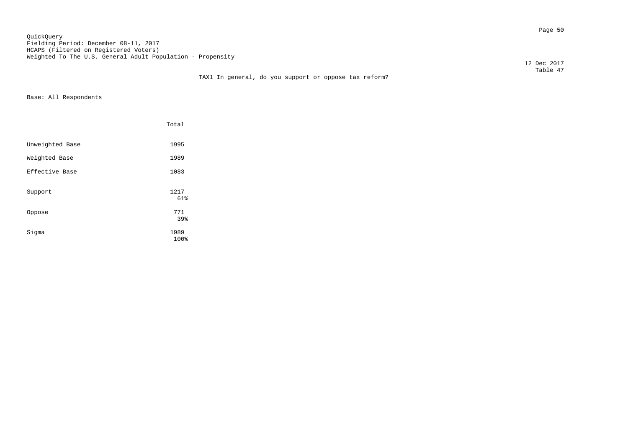Page 50 QuickQuery Fielding Period: December 08-11, 2017 HCAPS (Filtered on Registered Voters) Weighted To The U.S. General Adult Population - Propensity

12 Dec 2017

### Table 47 TAX1 In general, do you support or oppose tax reform?

|                 | Total        |  |
|-----------------|--------------|--|
| Unweighted Base | 1995         |  |
| Weighted Base   | 1989         |  |
| Effective Base  | 1083         |  |
| Support         | 1217<br>61%  |  |
| Oppose          | 771<br>39%   |  |
| Sigma           | 1989<br>100% |  |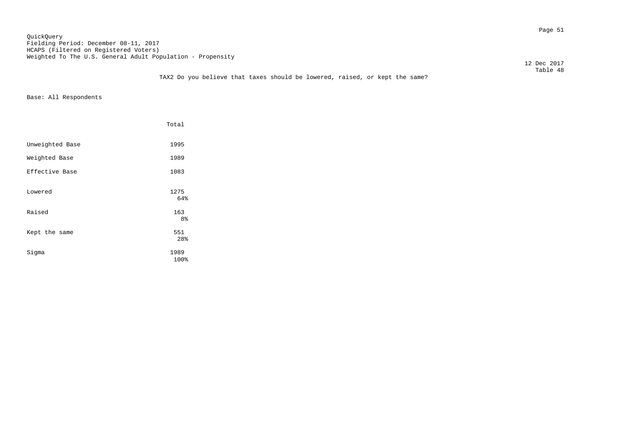Page 51 QuickQuery Fielding Period: December 08-11, 2017 HCAPS (Filtered on Registered Voters) Weighted To The U.S. General Adult Population - Propensity

12 Dec 2017

### Table 48 TAX2 Do you believe that taxes should be lowered, raised, or kept the same?

|                 | Total            |
|-----------------|------------------|
| Unweighted Base | 1995             |
| Weighted Base   | 1989             |
| Effective Base  | 1083             |
| Lowered         | 1275<br>64%      |
| Raised          | 163              |
| Kept the same   | 8%<br>551<br>28% |
| Sigma           | 1989<br>100%     |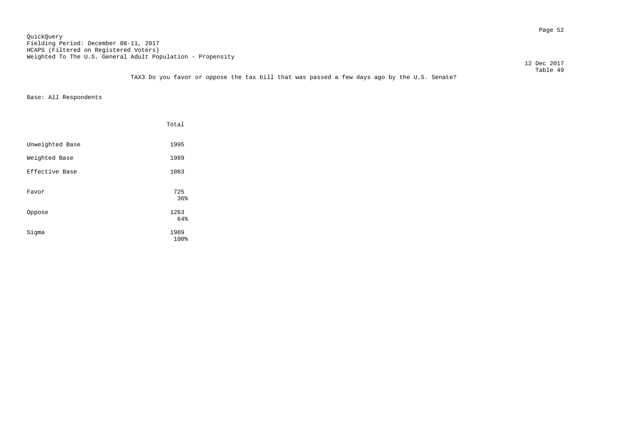Page 52 QuickQuery Fielding Period: December 08-11, 2017 HCAPS (Filtered on Registered Voters) Weighted To The U.S. General Adult Population - Propensity

12 Dec 2017

 Table 49 TAX3 Do you favor or oppose the tax bill that was passed a few days ago by the U.S. Senate?

|                 | Total        |
|-----------------|--------------|
| Unweighted Base | 1995         |
| Weighted Base   | 1989         |
| Effective Base  | 1083         |
| Favor           | 725<br>36%   |
| Oppose          | 1263<br>64%  |
| Sigma           | 1989<br>100% |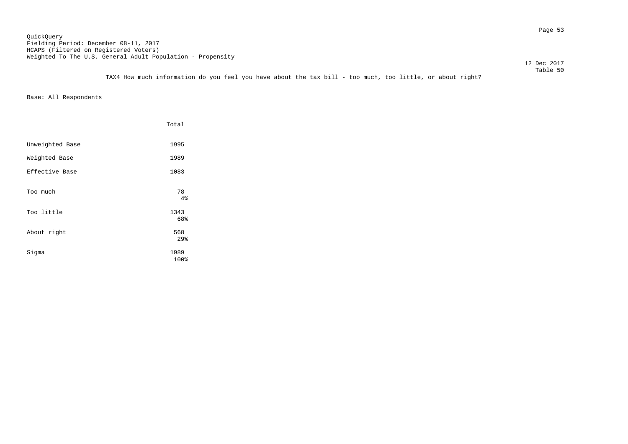TAX4 How much information do you feel you have about the tax bill - too much, too little, or about right?

|                 | Total             |
|-----------------|-------------------|
| Unweighted Base | 1995              |
| Weighted Base   | 1989              |
| Effective Base  | 1083              |
| Too much        | 78<br>4%          |
| Too little      | 1343              |
| About right     | 68%<br>568<br>29% |
| Sigma           | 1989<br>100%      |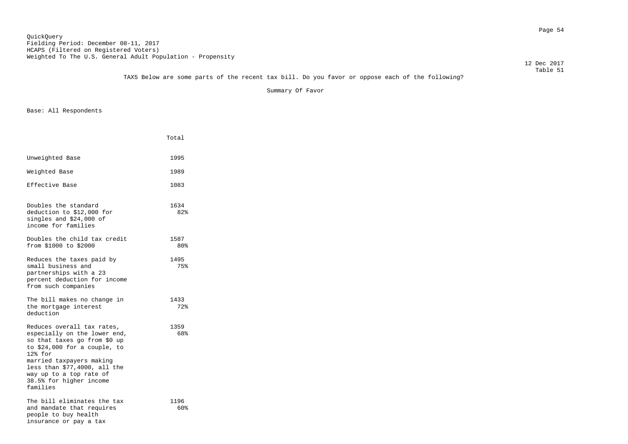TAX5 Below are some parts of the recent tax bill. Do you favor or oppose each of the following?

Summary Of Favor

|                                                                                                                                                                                                                                                                          | Total       |
|--------------------------------------------------------------------------------------------------------------------------------------------------------------------------------------------------------------------------------------------------------------------------|-------------|
| Unweighted Base                                                                                                                                                                                                                                                          | 1995        |
| Weighted Base                                                                                                                                                                                                                                                            | 1989        |
| Effective Base                                                                                                                                                                                                                                                           | 1083        |
| Doubles the standard<br>deduction to \$12,000 for<br>singles and \$24,000 of<br>income for families                                                                                                                                                                      | 1634<br>82% |
| Doubles the child tax credit<br>from \$1000 to \$2000                                                                                                                                                                                                                    | 1587<br>80% |
| Reduces the taxes paid by<br>small business and<br>partnerships with a 23<br>percent deduction for income<br>from such companies                                                                                                                                         | 1495<br>75% |
| The bill makes no change in<br>the mortgage interest<br>deduction                                                                                                                                                                                                        | 1433<br>72% |
| Reduces overall tax rates,<br>especially on the lower end,<br>so that taxes go from \$0 up<br>to \$24,000 for a couple, to<br>$12$ $%$ for<br>married taxpayers making<br>less than \$77,4000, all the<br>way up to a top rate of<br>38.5% for higher income<br>families | 1359<br>68% |
| The bill eliminates the tax<br>and mandate that requires<br>people to buy health<br>insurance or pay a tax                                                                                                                                                               | 1196<br>60% |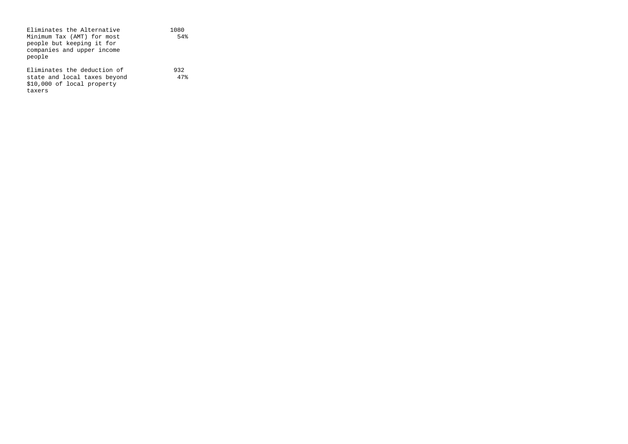| Eliminates the Alternative   | 1080 |
|------------------------------|------|
| Minimum Tax (AMT) for most   | 54%  |
| people but keeping it for    |      |
| companies and upper income   |      |
| people                       |      |
|                              |      |
| Eliminates the deduction of  | 932  |
| state and local taxes beyond | 47%  |
| \$10,000 of local property   |      |
| taxers                       |      |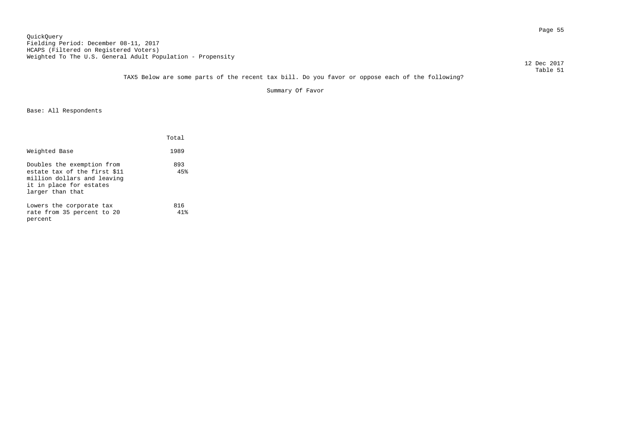TAX5 Below are some parts of the recent tax bill. Do you favor or oppose each of the following?

Summary Of Favor

|                                                                                                                                          | Total      |
|------------------------------------------------------------------------------------------------------------------------------------------|------------|
| Weighted Base                                                                                                                            | 1989       |
| Doubles the exemption from<br>estate tax of the first \$11<br>million dollars and leaving<br>it in place for estates<br>larger than that | 893<br>45% |
| Lowers the corporate tax<br>rate from 35 percent to 20<br>percent                                                                        | 816<br>41% |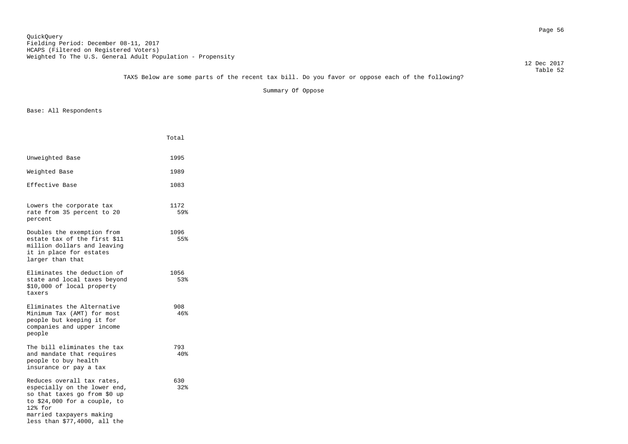# TAX5 Below are some parts of the recent tax bill. Do you favor or oppose each of the following?

Summary Of Oppose

|                                                                                                                                                                                                   | Total       |
|---------------------------------------------------------------------------------------------------------------------------------------------------------------------------------------------------|-------------|
| Unweighted Base                                                                                                                                                                                   | 1995        |
| Weighted Base                                                                                                                                                                                     | 1989        |
| Effective Base                                                                                                                                                                                    | 1083        |
| Lowers the corporate tax<br>rate from 35 percent to 20<br>percent                                                                                                                                 | 1172<br>59% |
| Doubles the exemption from<br>estate tax of the first \$11<br>million dollars and leaving<br>it in place for estates<br>larger than that                                                          | 1096<br>55% |
| Eliminates the deduction of<br>state and local taxes beyond<br>\$10,000 of local property<br>taxers                                                                                               | 1056<br>53% |
| Eliminates the Alternative<br>Minimum Tax (AMT) for most<br>people but keeping it for<br>companies and upper income<br>people                                                                     | 908<br>46%  |
| The bill eliminates the tax<br>and mandate that requires<br>people to buy health<br>insurance or pay a tax                                                                                        | 793<br>40%  |
| Reduces overall tax rates,<br>especially on the lower end,<br>so that taxes go from \$0 up<br>to \$24,000 for a couple, to<br>12% for<br>married taxpayers making<br>less than \$77,4000, all the | 630<br>32%  |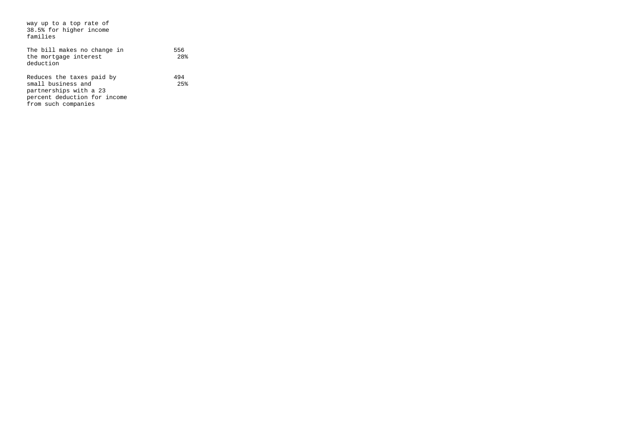| way up to a top rate of<br>38.5% for higher income<br>families                                                                   |                        |
|----------------------------------------------------------------------------------------------------------------------------------|------------------------|
| The bill makes no change in<br>the mortgage interest<br>deduction                                                                | 556<br>28 <sup>8</sup> |
| Reduces the taxes paid by<br>small business and<br>partnerships with a 23<br>percent deduction for income<br>from such companies | 494<br>2.5%            |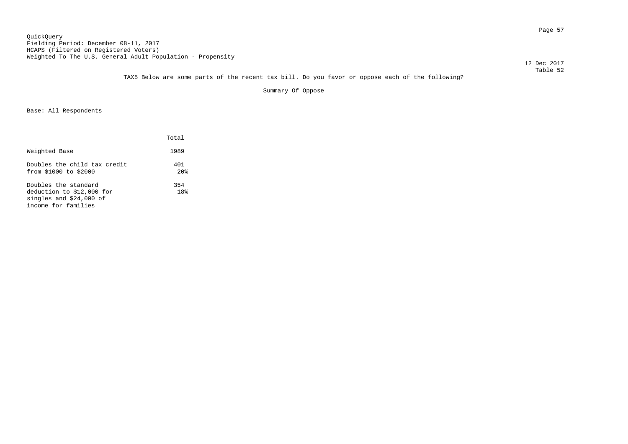TAX5 Below are some parts of the recent tax bill. Do you favor or oppose each of the following?

Summary Of Oppose

|                                                                                                      | Total                  |
|------------------------------------------------------------------------------------------------------|------------------------|
| Weighted Base                                                                                        | 1989                   |
| Doubles the child tax credit<br>from \$1000 to \$2000                                                | 401<br>20 <sub>8</sub> |
| Doubles the standard<br>deduction to \$12,000 for<br>singles and $$24,000$ of<br>income for families | 354<br>18%             |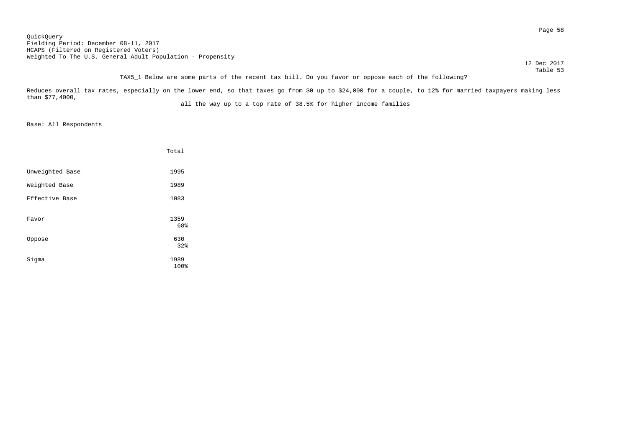Page 58 QuickQuery Fielding Period: December 08-11, 2017 HCAPS (Filtered on Registered Voters) Weighted To The U.S. General Adult Population - Propensity

 12 Dec 2017 Table 53

# TAX5\_1 Below are some parts of the recent tax bill. Do you favor or oppose each of the following?

Reduces overall tax rates, especially on the lower end, so that taxes go from \$0 up to \$24,000 for a couple, to 12% for married taxpayers making less than \$77,4000,

all the way up to a top rate of 38.5% for higher income families

|                 | Total        |
|-----------------|--------------|
| Unweighted Base | 1995         |
| Weighted Base   | 1989         |
| Effective Base  | 1083         |
| Favor           | 1359<br>68%  |
| Oppose          | 630<br>32%   |
| Sigma           | 1989<br>100% |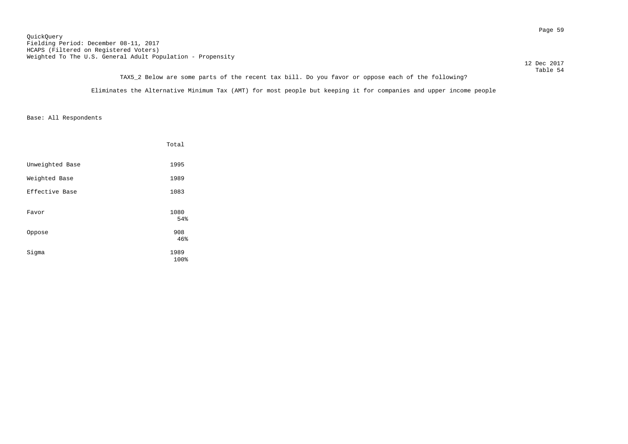Page 59 QuickQuery Fielding Period: December 08-11, 2017 HCAPS (Filtered on Registered Voters) Weighted To The U.S. General Adult Population - Propensity

12 Dec 2017

 Table 54 TAX5\_2 Below are some parts of the recent tax bill. Do you favor or oppose each of the following?

Eliminates the Alternative Minimum Tax (AMT) for most people but keeping it for companies and upper income people

|                 | Total        |
|-----------------|--------------|
| Unweighted Base | 1995         |
| Weighted Base   | 1989         |
| Effective Base  | 1083         |
| Favor           | 1080<br>54%  |
| Oppose          | 908<br>46%   |
| Sigma           | 1989<br>100% |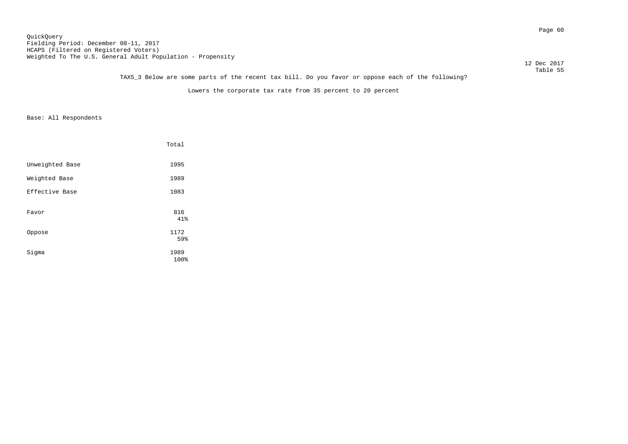Page 60 QuickQuery Fielding Period: December 08-11, 2017 HCAPS (Filtered on Registered Voters) Weighted To The U.S. General Adult Population - Propensity

 12 Dec 2017 Table 55

# TAX5\_3 Below are some parts of the recent tax bill. Do you favor or oppose each of the following?

Lowers the corporate tax rate from 35 percent to 20 percent

|                 | Total        |
|-----------------|--------------|
| Unweighted Base | 1995         |
| Weighted Base   | 1989         |
| Effective Base  | 1083         |
| Favor           | 816<br>41%   |
| Oppose          | 1172<br>59%  |
| Sigma           | 1989<br>100% |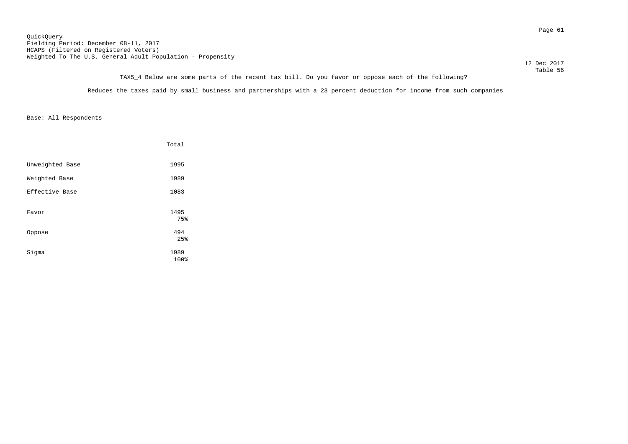Page 61 QuickQuery Fielding Period: December 08-11, 2017 HCAPS (Filtered on Registered Voters) Weighted To The U.S. General Adult Population - Propensity

12 Dec 2017

### Table 56 TAX5\_4 Below are some parts of the recent tax bill. Do you favor or oppose each of the following?

Reduces the taxes paid by small business and partnerships with a 23 percent deduction for income from such companies

|                 | Total        |
|-----------------|--------------|
| Unweighted Base | 1995         |
| Weighted Base   | 1989         |
| Effective Base  | 1083         |
| Favor           | 1495<br>75%  |
| Oppose          | 494<br>25%   |
| Sigma           | 1989<br>100% |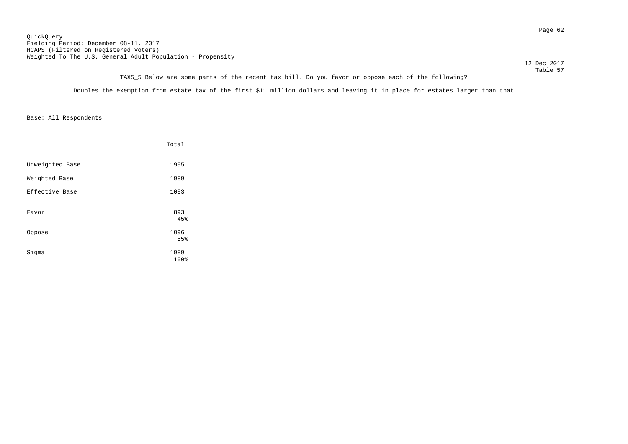Page 62 QuickQuery Fielding Period: December 08-11, 2017 HCAPS (Filtered on Registered Voters) Weighted To The U.S. General Adult Population - Propensity

12 Dec 2017

Table 57 TAX5\_5 Below are some parts of the recent tax bill. Do you favor or oppose each of the following?

Doubles the exemption from estate tax of the first \$11 million dollars and leaving it in place for estates larger than that

|                 | Total        |
|-----------------|--------------|
| Unweighted Base | 1995         |
| Weighted Base   | 1989         |
| Effective Base  | 1083         |
| Favor           | 893<br>45%   |
| Oppose          | 1096<br>55%  |
| Sigma           | 1989<br>100% |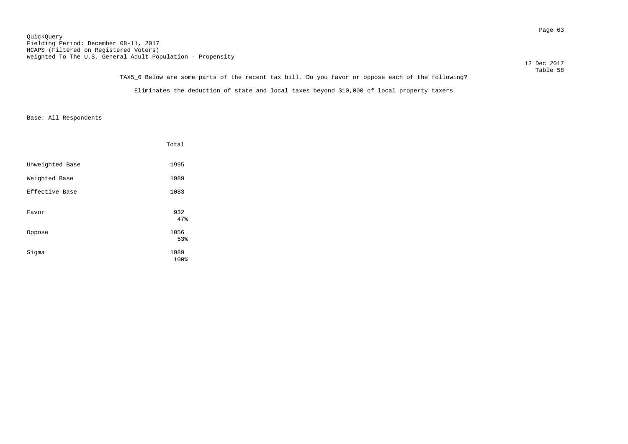TAX5\_6 Below are some parts of the recent tax bill. Do you favor or oppose each of the following? Eliminates the deduction of state and local taxes beyond \$10,000 of local property taxers

|                 | Total        |
|-----------------|--------------|
| Unweighted Base | 1995         |
| Weighted Base   | 1989         |
| Effective Base  | 1083         |
| Favor           | 932<br>47%   |
| Oppose          | 1056<br>53%  |
| Sigma           | 1989<br>100% |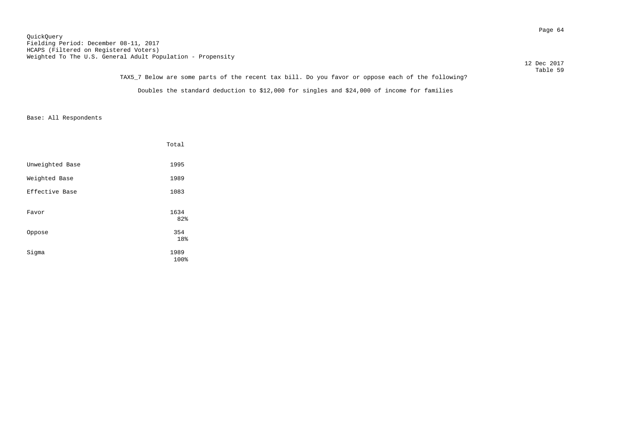Table 59 TAX5\_7 Below are some parts of the recent tax bill. Do you favor or oppose each of the following? Doubles the standard deduction to \$12,000 for singles and \$24,000 of income for families

|                 | Total        |
|-----------------|--------------|
| Unweighted Base | 1995         |
| Weighted Base   | 1989         |
| Effective Base  | 1083         |
| Favor           | 1634<br>82%  |
| Oppose          | 354<br>18%   |
| Sigma           | 1989<br>100% |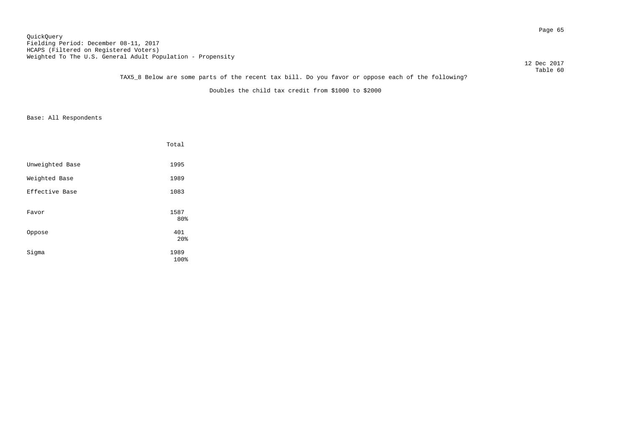Page 65 QuickQuery Fielding Period: December 08-11, 2017 HCAPS (Filtered on Registered Voters) Weighted To The U.S. General Adult Population - Propensity

12 Dec 2017

### Table 60 TAX5\_8 Below are some parts of the recent tax bill. Do you favor or oppose each of the following?

Doubles the child tax credit from \$1000 to \$2000

|                 | Total                  |
|-----------------|------------------------|
| Unweighted Base | 1995                   |
| Weighted Base   | 1989                   |
| Effective Base  | 1083                   |
| Favor           | 1587<br>80%            |
| Oppose          | 401<br>20 <sup>8</sup> |
| Sigma           | 1989<br>100%           |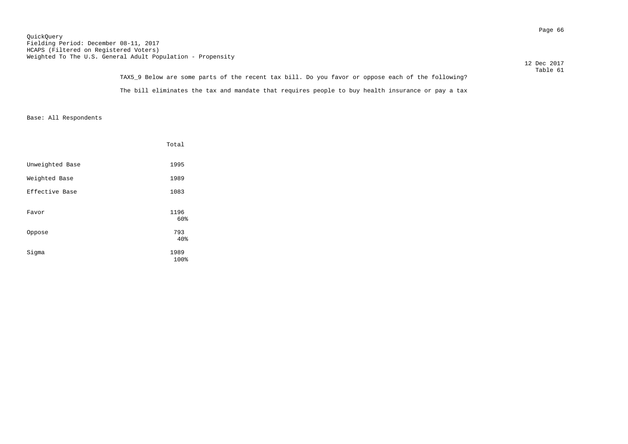Page 66 QuickQuery Fielding Period: December 08-11, 2017 HCAPS (Filtered on Registered Voters) Weighted To The U.S. General Adult Population - Propensity

|                                                                                                   | 12 Dec 2017 |
|---------------------------------------------------------------------------------------------------|-------------|
|                                                                                                   | Table 61    |
| TAVE 0 Delay are game parts of the regent toy bill. Do you found ar eppese sagh of the following? |             |

| TAX5 9 Below are some parts of the recent tax bill. Do you favor or oppose each of the following? | Table 61 |
|---------------------------------------------------------------------------------------------------|----------|
| The bill eliminates the tax and mandate that requires people to buy health insurance or pay a tax |          |

|                 | Total        |
|-----------------|--------------|
| Unweighted Base | 1995         |
| Weighted Base   | 1989         |
| Effective Base  | 1083         |
| Favor           | 1196<br>60%  |
| Oppose          | 793<br>40%   |
| Sigma           | 1989<br>100% |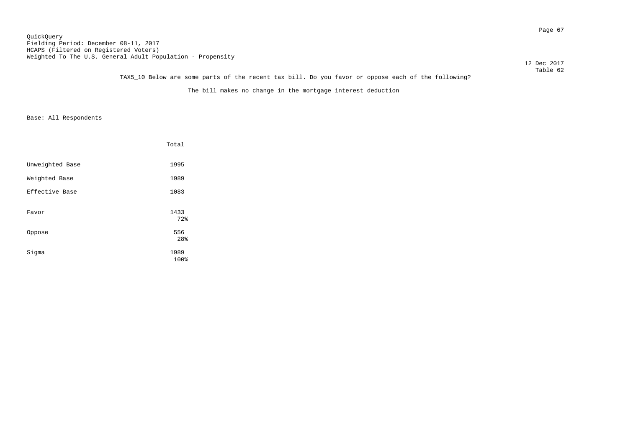Page 67 QuickQuery Fielding Period: December 08-11, 2017 HCAPS (Filtered on Registered Voters) Weighted To The U.S. General Adult Population - Propensity

12 Dec 2017

# Table 62 TAX5\_10 Below are some parts of the recent tax bill. Do you favor or oppose each of the following?

The bill makes no change in the mortgage interest deduction

|                 | Total        |
|-----------------|--------------|
| Unweighted Base | 1995         |
| Weighted Base   | 1989         |
| Effective Base  | 1083         |
| Favor           | 1433<br>72%  |
| Oppose          | 556<br>28%   |
| Sigma           | 1989<br>100% |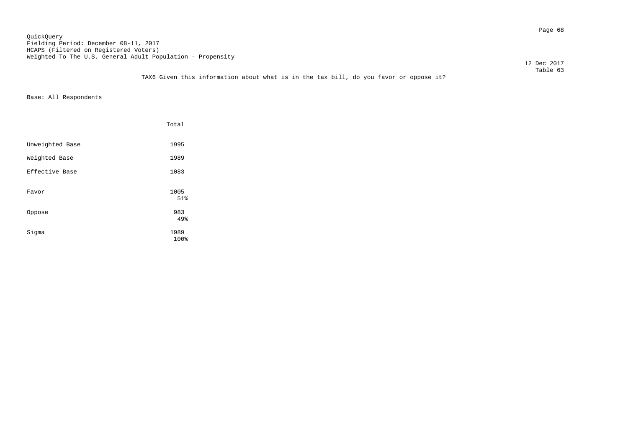Page 68 QuickQuery Fielding Period: December 08-11, 2017 HCAPS (Filtered on Registered Voters) Weighted To The U.S. General Adult Population - Propensity

12 Dec 2017

 Table 63 TAX6 Given this information about what is in the tax bill, do you favor or oppose it?

|                 | Total        |
|-----------------|--------------|
| Unweighted Base | 1995         |
| Weighted Base   | 1989         |
| Effective Base  | 1083         |
| Favor           | 1005<br>51%  |
| Oppose          | 983<br>49%   |
| Sigma           | 1989<br>100% |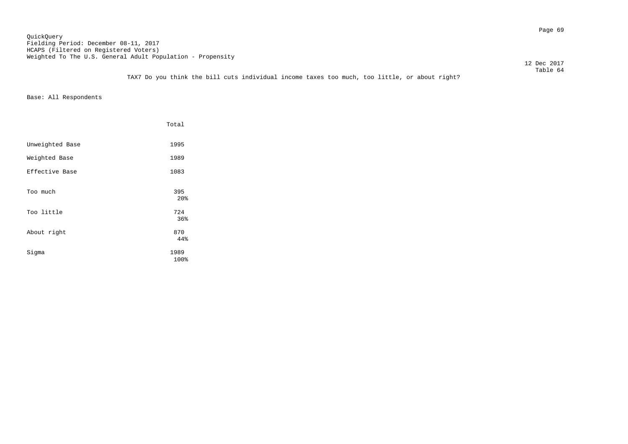Page 69 QuickQuery Fielding Period: December 08-11, 2017 HCAPS (Filtered on Registered Voters) Weighted To The U.S. General Adult Population - Propensity

12 Dec 2017

 Table 64 TAX7 Do you think the bill cuts individual income taxes too much, too little, or about right?

|                 | Total                  |
|-----------------|------------------------|
| Unweighted Base | 1995                   |
| Weighted Base   | 1989                   |
| Effective Base  | 1083                   |
| Too much        | 395<br>20 <sup>8</sup> |
| Too little      | 724<br>36%             |
| About right     | 870<br>44%             |
| Sigma           | 1989<br>100%           |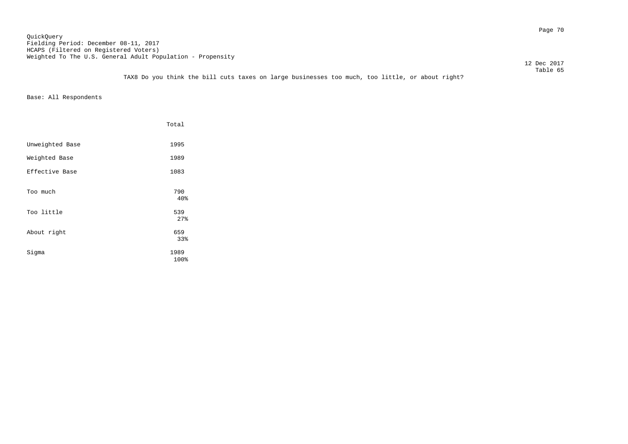Page 70 QuickQuery Fielding Period: December 08-11, 2017 HCAPS (Filtered on Registered Voters) Weighted To The U.S. General Adult Population - Propensity

12 Dec 2017

 Table 65 TAX8 Do you think the bill cuts taxes on large businesses too much, too little, or about right?

|                 | Total             |
|-----------------|-------------------|
| Unweighted Base | 1995              |
| Weighted Base   | 1989              |
| Effective Base  | 1083              |
| Too much        | 790<br>40%        |
| Too little      | 539               |
| About right     | 27%<br>659<br>33% |
| Sigma           | 1989<br>100%      |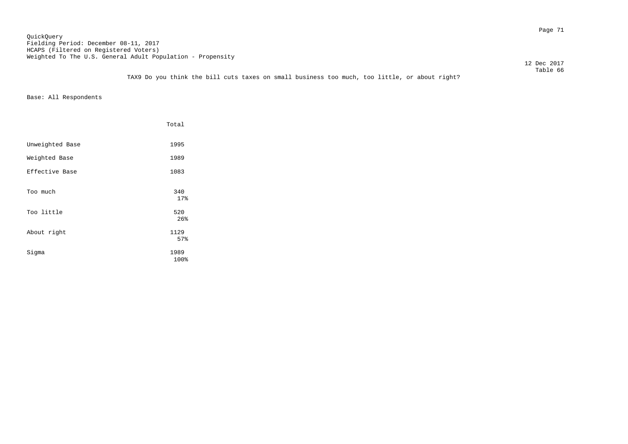Page 71 QuickQuery Fielding Period: December 08-11, 2017 HCAPS (Filtered on Registered Voters) Weighted To The U.S. General Adult Population - Propensity

12 Dec 2017

 Table 66 TAX9 Do you think the bill cuts taxes on small business too much, too little, or about right?

|                 | Total              |
|-----------------|--------------------|
| Unweighted Base | 1995               |
| Weighted Base   | 1989               |
| Effective Base  | 1083               |
| Too much        | 340<br>17%         |
| Too little      | 520                |
| About right     | 26%<br>1129<br>57% |
| Sigma           | 1989<br>100%       |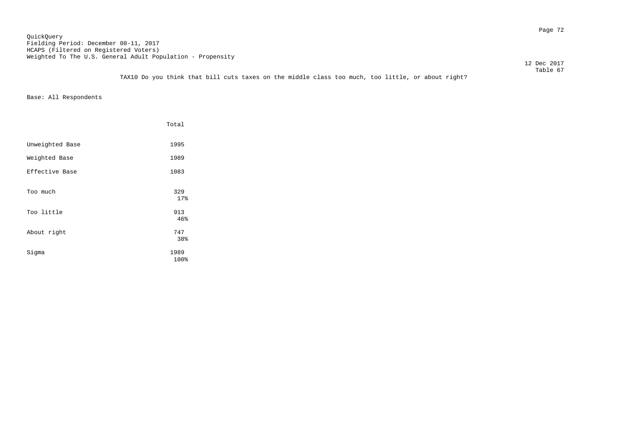Page 72 QuickQuery Fielding Period: December 08-11, 2017 HCAPS (Filtered on Registered Voters) Weighted To The U.S. General Adult Population - Propensity

12 Dec 2017

Table 67 TAX10 Do you think that bill cuts taxes on the middle class too much, too little, or about right?

|                 | Total             |  |
|-----------------|-------------------|--|
| Unweighted Base | 1995              |  |
| Weighted Base   | 1989              |  |
| Effective Base  | 1083              |  |
| Too much        | 329<br>17%        |  |
| Too little      | 913               |  |
| About right     | 46%<br>747<br>38% |  |
| Sigma           | 1989<br>100%      |  |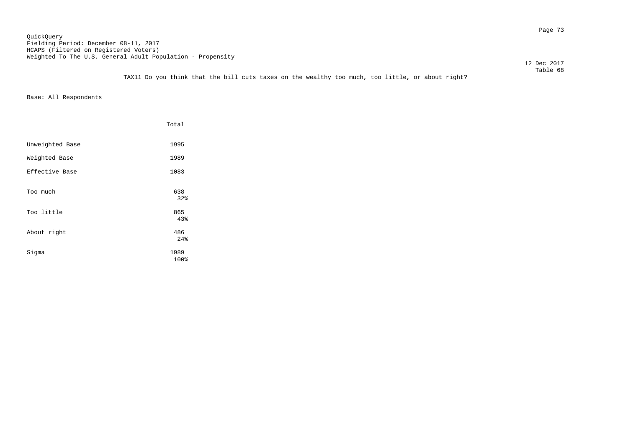Page 73 QuickQuery Fielding Period: December 08-11, 2017 HCAPS (Filtered on Registered Voters) Weighted To The U.S. General Adult Population - Propensity

 12 Dec 2017 Table 68

TAX11 Do you think that the bill cuts taxes on the wealthy too much, too little, or about right?

|                 | Total        |
|-----------------|--------------|
| Unweighted Base | 1995         |
| Weighted Base   | 1989         |
| Effective Base  | 1083         |
| Too much        | 638<br>32%   |
| Too little      | 865<br>43%   |
| About right     | 486<br>24%   |
| Sigma           | 1989<br>100% |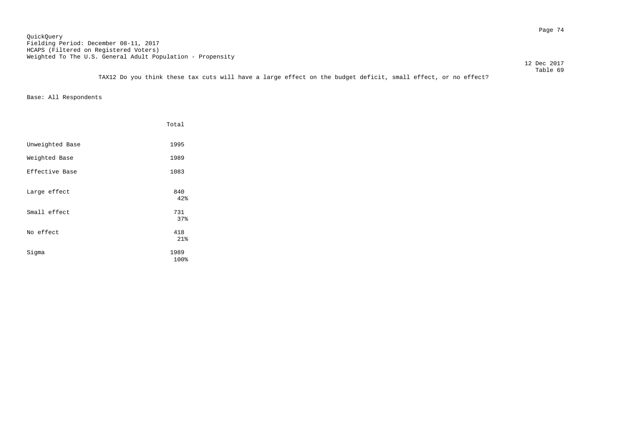Page 74 QuickQuery Fielding Period: December 08-11, 2017 HCAPS (Filtered on Registered Voters) Weighted To The U.S. General Adult Population - Propensity

 Table 69 TAX12 Do you think these tax cuts will have a large effect on the budget deficit, small effect, or no effect?

Base: All Respondents

|                 | Total        |
|-----------------|--------------|
| Unweighted Base | 1995         |
| Weighted Base   | 1989         |
| Effective Base  | 1083         |
| Large effect    | 840<br>42%   |
| Small effect    | 731<br>37%   |
| No effect       | 418<br>21%   |
| Sigma           | 1989<br>100% |

12 Dec 2017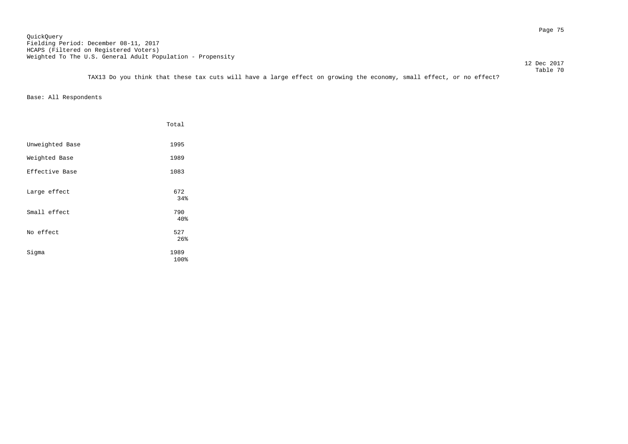Page 75 QuickQuery Fielding Period: December 08-11, 2017 HCAPS (Filtered on Registered Voters) Weighted To The U.S. General Adult Population - Propensity

12 Dec 2017

 Table 70 TAX13 Do you think that these tax cuts will have a large effect on growing the economy, small effect, or no effect?

|                 | Total        |
|-----------------|--------------|
| Unweighted Base | 1995         |
| Weighted Base   | 1989         |
| Effective Base  | 1083         |
| Large effect    | 672<br>34%   |
| Small effect    | 790<br>40%   |
| No effect       | 527<br>26%   |
| Sigma           | 1989<br>100% |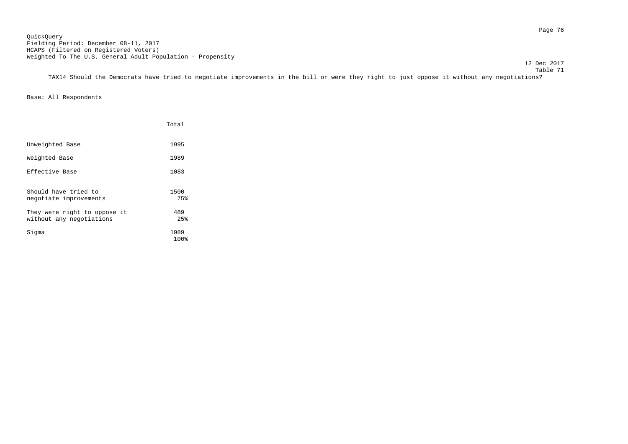12 Dec 2017

 Table 71 TAX14 Should the Democrats have tried to negotiate improvements in the bill or were they right to just oppose it without any negotiations?

|                                                          | Total        |
|----------------------------------------------------------|--------------|
| Unweighted Base                                          | 1995         |
| Weighted Base                                            | 1989         |
| Effective Base                                           | 1083         |
| Should have tried to<br>negotiate improvements           | 1500<br>75%  |
| They were right to oppose it<br>without any negotiations | 489<br>25%   |
| Sigma                                                    | 1989<br>100% |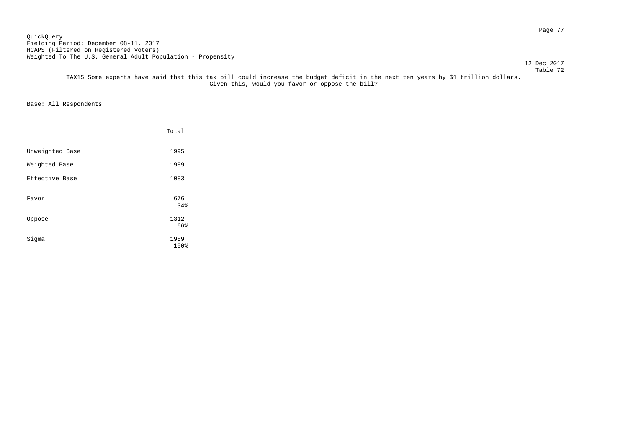Page 77 QuickQuery Fielding Period: December 08-11, 2017 HCAPS (Filtered on Registered Voters) Weighted To The U.S. General Adult Population - Propensity

#### Table 72 TAX15 Some experts have said that this tax bill could increase the budget deficit in the next ten years by \$1 trillion dollars. Given this, would you favor or oppose the bill?

Base: All Respondents

|                 | Total       |
|-----------------|-------------|
| Unweighted Base | 1995        |
| Weighted Base   | 1989        |
| Effective Base  | 1083        |
| Favor           | 676<br>34%  |
| Oppose          | 1312<br>66% |
| Sigma           | 1989        |

12 Dec 2017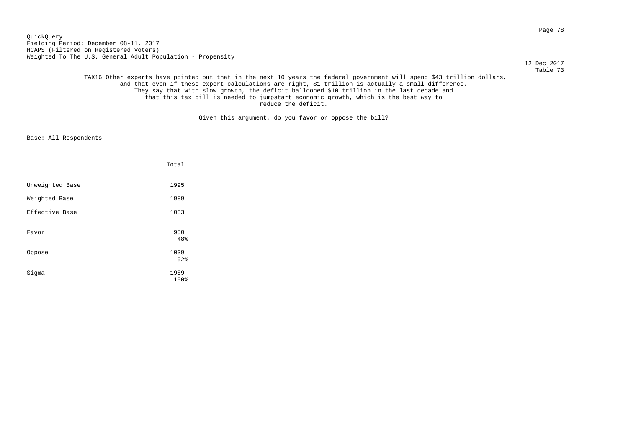Page 78 QuickQuery Fielding Period: December 08-11, 2017 HCAPS (Filtered on Registered Voters) Weighted To The U.S. General Adult Population - Propensity

12 Dec 2017

 Table 73 TAX16 Other experts have pointed out that in the next 10 years the federal government will spend \$43 trillion dollars, and that even if these expert calculations are right, \$1 trillion is actually a small difference. They say that with slow growth, the deficit ballooned \$10 trillion in the last decade and that this tax bill is needed to jumpstart economic growth, which is the best way to reduce the deficit.

Given this argument, do you favor or oppose the bill?

|                 | Total        |
|-----------------|--------------|
| Unweighted Base | 1995         |
| Weighted Base   | 1989         |
| Effective Base  | 1083         |
| Favor           | 950<br>48%   |
| Oppose          | 1039<br>52%  |
| Sigma           | 1989<br>100% |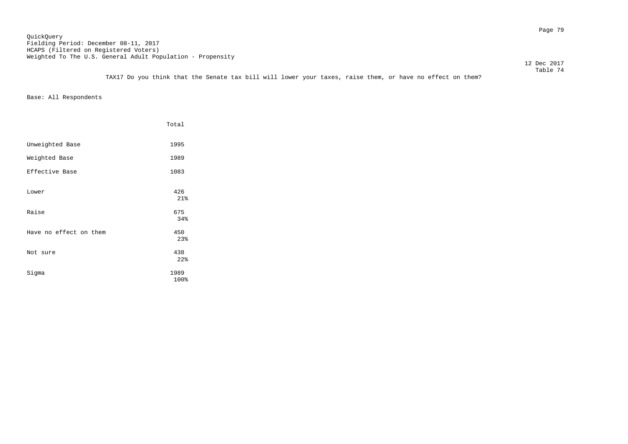Table 74 TAX17 Do you think that the Senate tax bill will lower your taxes, raise them, or have no effect on them?

Base: All Respondents

|                        | Total             |
|------------------------|-------------------|
| Unweighted Base        | 1995              |
| Weighted Base          | 1989              |
| Effective Base         | 1083              |
| Lower                  | 426<br>21%        |
| Raise                  | 675               |
| Have no effect on them | 34%<br>450<br>23% |
| Not sure               | 438<br>22%        |
| Sigma                  | 1989<br>100%      |
|                        |                   |

12 Dec 2017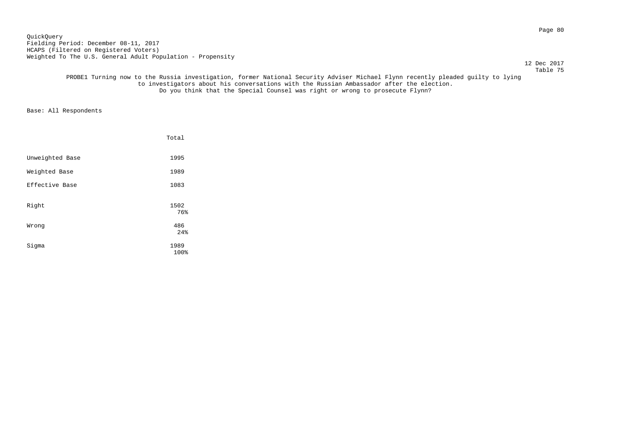Page 80 QuickQuery Fielding Period: December 08-11, 2017 HCAPS (Filtered on Registered Voters) Weighted To The U.S. General Adult Population - Propensity

12 Dec 2017

 Table 75 PROBE1 Turning now to the Russia investigation, former National Security Adviser Michael Flynn recently pleaded guilty to lying to investigators about his conversations with the Russian Ambassador after the election. Do you think that the Special Counsel was right or wrong to prosecute Flynn?

|                 | Total        |
|-----------------|--------------|
| Unweighted Base | 1995         |
| Weighted Base   | 1989         |
| Effective Base  | 1083         |
| Right           | 1502<br>76%  |
| Wrong           | 486<br>24%   |
| Sigma           | 1989<br>100% |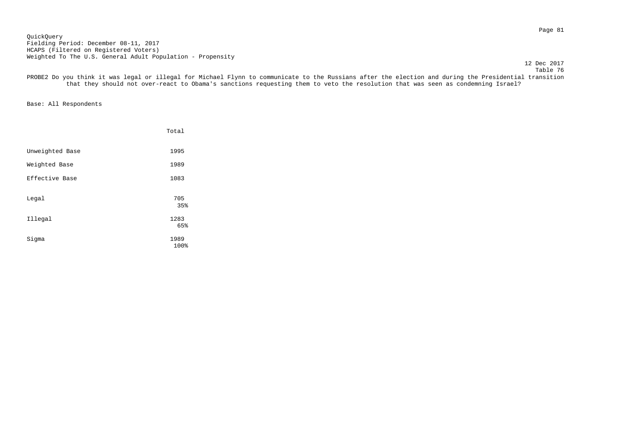Page 81 QuickQuery Fielding Period: December 08-11, 2017 HCAPS (Filtered on Registered Voters) Weighted To The U.S. General Adult Population - Propensity

12 Dec 2017

 Table 76 PROBE2 Do you think it was legal or illegal for Michael Flynn to communicate to the Russians after the election and during the Presidential transition that they should not over-react to Obama's sanctions requesting them to veto the resolution that was seen as condemning Israel?

|                 | Total       |
|-----------------|-------------|
| Unweighted Base | 1995        |
| Weighted Base   | 1989        |
| Effective Base  | 1083        |
| Legal           | 705<br>35%  |
| Illegal         | 1283<br>65% |
|                 |             |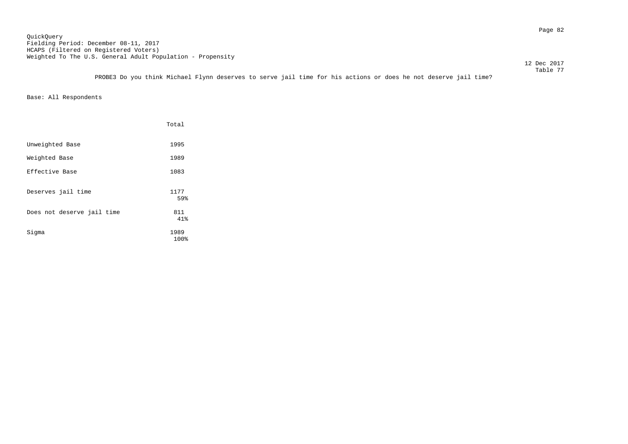Table 77 PROBE3 Do you think Michael Flynn deserves to serve jail time for his actions or does he not deserve jail time?

|                            | Total        |
|----------------------------|--------------|
| Unweighted Base            | 1995         |
| Weighted Base              | 1989         |
| Effective Base             | 1083         |
| Deserves jail time         | 1177<br>59%  |
| Does not deserve jail time | 811<br>41%   |
| Sigma                      | 1989<br>100% |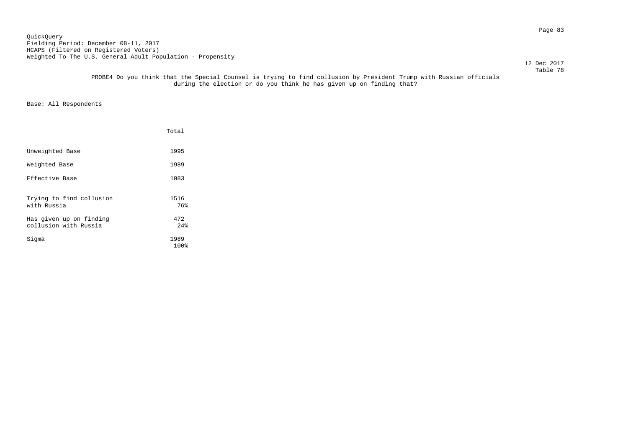Page 83 QuickQuery Fielding Period: December 08-11, 2017 HCAPS (Filtered on Registered Voters) Weighted To The U.S. General Adult Population - Propensity

12 Dec 2017

#### Table 78 PROBE4 Do you think that the Special Counsel is trying to find collusion by President Trump with Russian officials during the election or do you think he has given up on finding that?

|                                                  | Total        |
|--------------------------------------------------|--------------|
| Unweighted Base                                  | 1995         |
| Weighted Base                                    | 1989         |
| Effective Base                                   | 1083         |
| Trying to find collusion<br>with Russia          | 1516<br>76%  |
| Has given up on finding<br>collusion with Russia | 472<br>2.4%  |
| Sigma                                            | 1989<br>100% |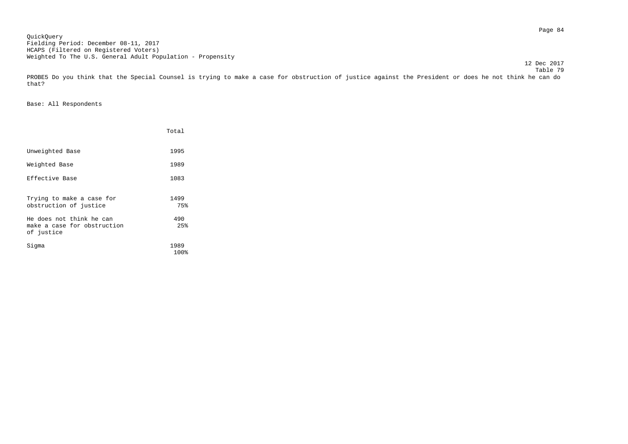Page 84 QuickQuery Fielding Period: December 08-11, 2017 HCAPS (Filtered on Registered Voters) Weighted To The U.S. General Adult Population - Propensity

 Table 79 PROBE5 Do you think that the Special Counsel is trying to make a case for obstruction of justice against the President or does he not think he can do that?

12 Dec 2017

|                                                                       | Total        |
|-----------------------------------------------------------------------|--------------|
| Unweighted Base                                                       | 1995         |
| Weighted Base                                                         | 1989         |
| Effective Base                                                        | 1083         |
| Trying to make a case for<br>obstruction of justice                   | 1499<br>75%  |
| He does not think he can<br>make a case for obstruction<br>of justice | 490<br>2.5%  |
| Siqma                                                                 | 1989<br>100% |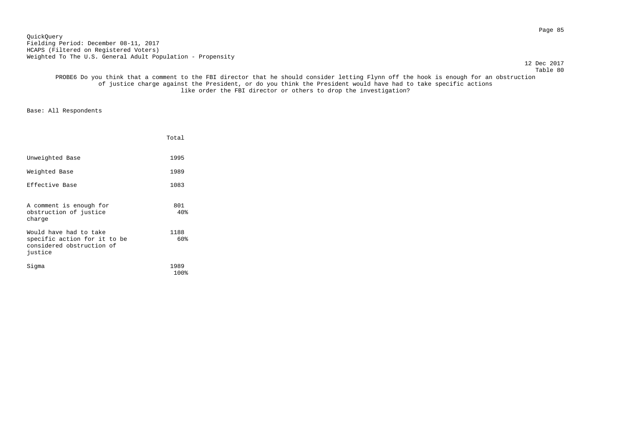Page 85 QuickQuery Fielding Period: December 08-11, 2017 HCAPS (Filtered on Registered Voters) Weighted To The U.S. General Adult Population - Propensity

12 Dec 2017

 Table 80 PROBE6 Do you think that a comment to the FBI director that he should consider letting Flynn off the hook is enough for an obstruction of justice charge against the President, or do you think the President would have had to take specific actions like order the FBI director or others to drop the investigation?

|                                                                                                | Total        |
|------------------------------------------------------------------------------------------------|--------------|
| Unweighted Base                                                                                | 1995         |
| Weighted Base                                                                                  | 1989         |
| Effective Base                                                                                 | 1083         |
| A comment is enough for<br>obstruction of justice<br>charge                                    | 801<br>40%   |
| Would have had to take<br>specific action for it to be<br>considered obstruction of<br>justice | 1188<br>60%  |
| Sigma                                                                                          | 1989<br>100% |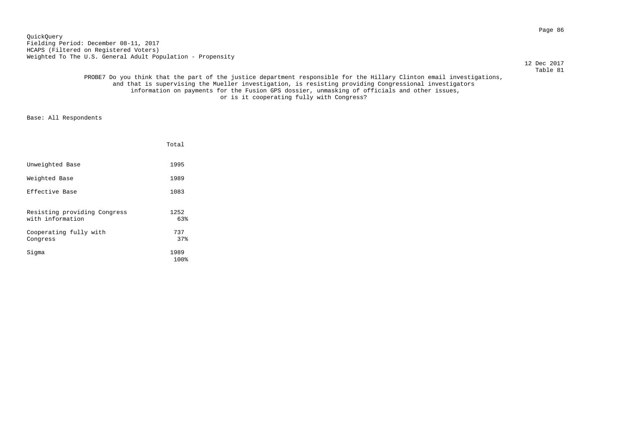Page 86 QuickQuery Fielding Period: December 08-11, 2017 HCAPS (Filtered on Registered Voters) Weighted To The U.S. General Adult Population - Propensity

12 Dec 2017

# Table 81 PROBE7 Do you think that the part of the justice department responsible for the Hillary Clinton email investigations, and that is supervising the Mueller investigation, is resisting providing Congressional investigators information on payments for the Fusion GPS dossier, unmasking of officials and other issues, or is it cooperating fully with Congress?

|                                                  | Total              |
|--------------------------------------------------|--------------------|
| Unweighted Base                                  | 1995               |
| Weighted Base                                    | 1989               |
| Effective Base                                   | 1083               |
| Resisting providing Congress<br>with information | 1252<br>63%<br>737 |
| Cooperating fully with<br>Congress               | 37%                |
| Sigma                                            | 1989<br>100%       |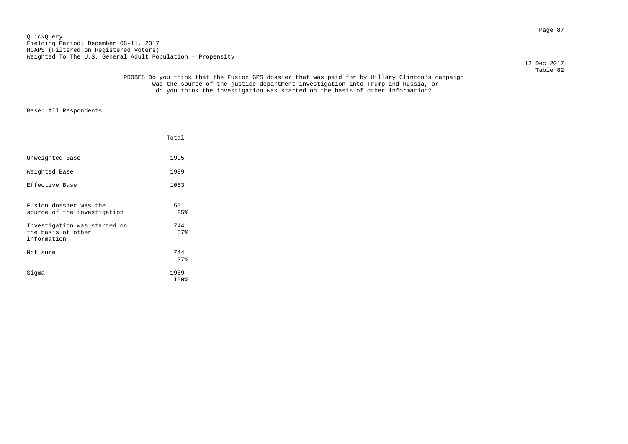Page 87 QuickQuery Fielding Period: December 08-11, 2017 HCAPS (Filtered on Registered Voters) Weighted To The U.S. General Adult Population - Propensity

12 Dec 2017

# Table 82 PROBE8 Do you think that the Fusion GPS dossier that was paid for by Hillary Clinton's campaign was the source of the justice department investigation into Trump and Russia, or do you think the investigation was started on the basis of other information?

|                                                                   | Total        |
|-------------------------------------------------------------------|--------------|
| Unweighted Base                                                   | 1995         |
| Weighted Base                                                     | 1989         |
| Effective Base                                                    | 1083         |
| Fusion dossier was the<br>source of the investigation             | 501<br>25%   |
| Investigation was started on<br>the basis of other<br>information | 744<br>37%   |
| Not sure                                                          | 744<br>37%   |
| Sigma                                                             | 1989<br>100% |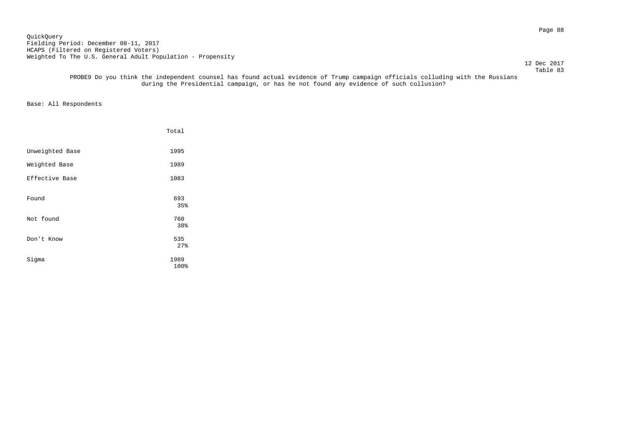Page 88 QuickQuery Fielding Period: December 08-11, 2017 HCAPS (Filtered on Registered Voters) Weighted To The U.S. General Adult Population - Propensity

12 Dec 2017

#### Table 83 PROBE9 Do you think the independent counsel has found actual evidence of Trump campaign officials colluding with the Russians during the Presidential campaign, or has he not found any evidence of such collusion?

|                 | Total        |
|-----------------|--------------|
| Unweighted Base | 1995         |
| Weighted Base   | 1989         |
| Effective Base  | 1083         |
| Found           | 693<br>35%   |
| Not found       | 760<br>38%   |
| Don't Know      | 535<br>27%   |
| Sigma           | 1989<br>100% |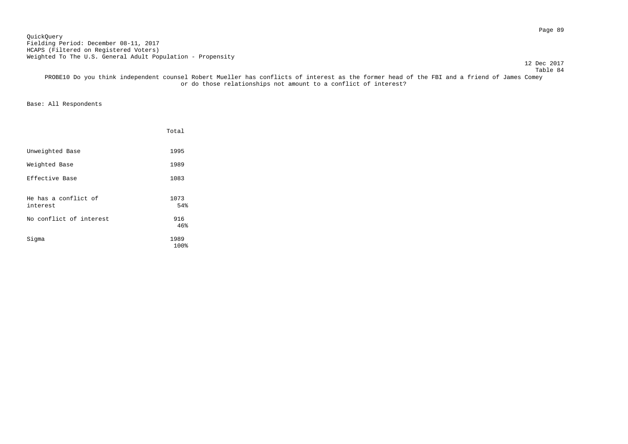Page 89 QuickQuery Fielding Period: December 08-11, 2017 HCAPS (Filtered on Registered Voters) Weighted To The U.S. General Adult Population - Propensity

12 Dec 2017

 Table 84 PROBE10 Do you think independent counsel Robert Mueller has conflicts of interest as the former head of the FBI and a friend of James Comey or do those relationships not amount to a conflict of interest?

|                                  | Total        |
|----------------------------------|--------------|
| Unweighted Base                  | 1995         |
| Weighted Base                    | 1989         |
| Effective Base                   | 1083         |
| He has a conflict of<br>interest | 1073<br>54%  |
| No conflict of interest          | 916<br>46%   |
| Sigma                            | 1989<br>100% |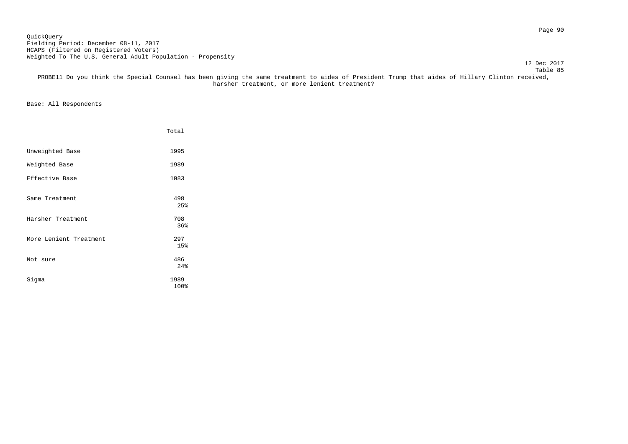Page 90 QuickQuery Fielding Period: December 08-11, 2017 HCAPS (Filtered on Registered Voters) Weighted To The U.S. General Adult Population - Propensity

12 Dec 2017

Table 85

 PROBE11 Do you think the Special Counsel has been giving the same treatment to aides of President Trump that aides of Hillary Clinton received, harsher treatment, or more lenient treatment?

|                        | Total        |
|------------------------|--------------|
| Unweighted Base        | 1995         |
| Weighted Base          | 1989         |
| Effective Base         | 1083         |
| Same Treatment         | 498<br>25%   |
| Harsher Treatment      | 708<br>36%   |
| More Lenient Treatment | 297<br>15%   |
| Not sure               | 486<br>24%   |
| Sigma                  | 1989<br>100% |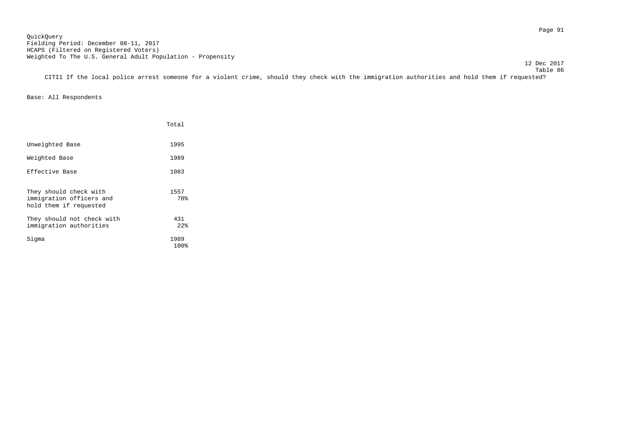Table 86 CITI1 If the local police arrest someone for a violent crime, should they check with the immigration authorities and hold them if requested?

Base: All Respondents

|                                                                              | Total        |
|------------------------------------------------------------------------------|--------------|
| Unweighted Base                                                              | 1995         |
| Weighted Base                                                                | 1989         |
| Effective Base                                                               | 1083         |
| They should check with<br>immigration officers and<br>hold them if requested | 1557<br>78%  |
| They should not check with<br>immigration authorities                        | 431<br>2.2%  |
| Sigma                                                                        | 1989<br>100% |

12 Dec 2017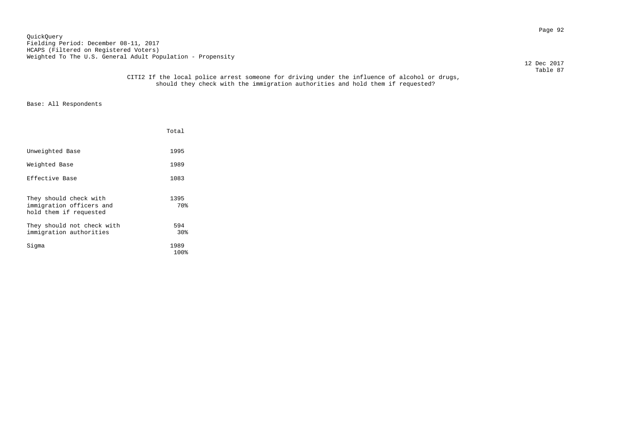Page 92 QuickQuery Fielding Period: December 08-11, 2017 HCAPS (Filtered on Registered Voters) Weighted To The U.S. General Adult Population - Propensity

12 Dec 2017

 Table 87 CITI2 If the local police arrest someone for driving under the influence of alcohol or drugs, should they check with the immigration authorities and hold them if requested?

|                                                                              | Total                  |  |
|------------------------------------------------------------------------------|------------------------|--|
| Unweighted Base                                                              | 1995                   |  |
| Weighted Base                                                                | 1989                   |  |
| Effective Base                                                               | 1083                   |  |
| They should check with<br>immigration officers and<br>hold them if requested | 1395<br>70%            |  |
| They should not check with<br>immigration authorities                        | 594<br>30 <sub>8</sub> |  |
| Siqma                                                                        | 1989<br>100%           |  |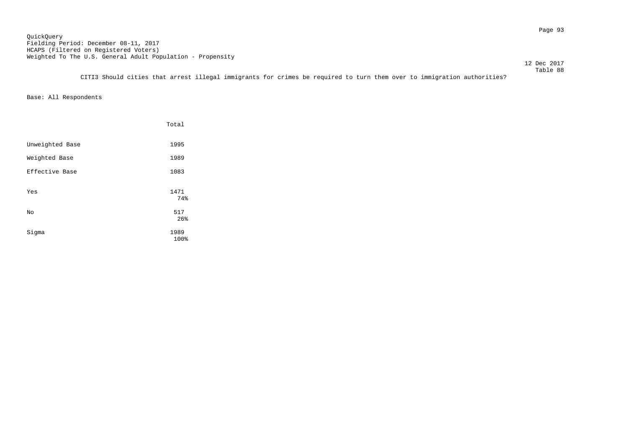Page 93 QuickQuery Fielding Period: December 08-11, 2017 HCAPS (Filtered on Registered Voters) Weighted To The U.S. General Adult Population - Propensity

 12 Dec 2017 Table 88

CITI3 Should cities that arrest illegal immigrants for crimes be required to turn them over to immigration authorities?

|                 | Total        |
|-----------------|--------------|
| Unweighted Base | 1995         |
| Weighted Base   | 1989         |
| Effective Base  | 1083         |
| Yes             | 1471<br>74%  |
| No              | 517<br>26%   |
| Sigma           | 1989<br>100% |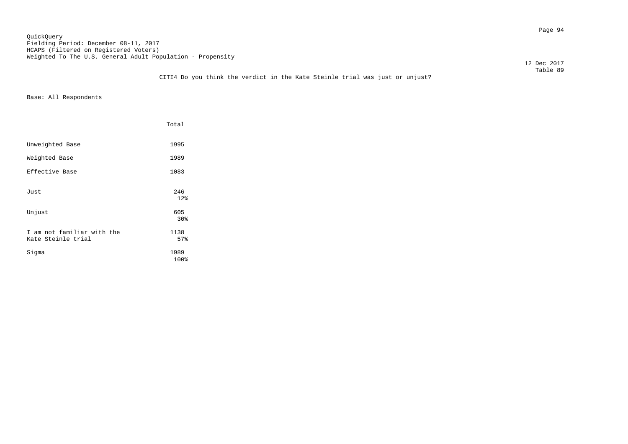Page 94 QuickQuery Fielding Period: December 08-11, 2017 HCAPS (Filtered on Registered Voters) Weighted To The U.S. General Adult Population - Propensity

12 Dec 2017

# Table 89 CITI4 Do you think the verdict in the Kate Steinle trial was just or unjust?

|                                                  | Total                  |
|--------------------------------------------------|------------------------|
| Unweighted Base                                  | 1995                   |
| Weighted Base                                    | 1989                   |
| Effective Base                                   | 1083                   |
| Just                                             | 246<br>12 <sup>8</sup> |
| Unjust                                           | 605<br>30 <sub>8</sub> |
| I am not familiar with the<br>Kate Steinle trial | 1138<br>57%            |
| Sigma                                            | 1989<br>100%           |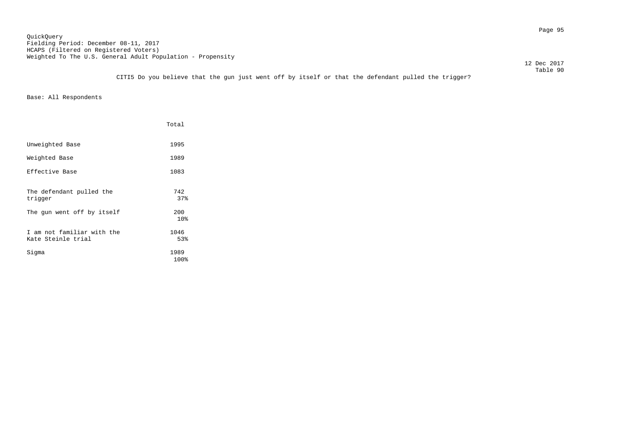Page 95 QuickQuery Fielding Period: December 08-11, 2017 HCAPS (Filtered on Registered Voters) Weighted To The U.S. General Adult Population - Propensity

12 Dec 2017

 Table 90 CITI5 Do you believe that the gun just went off by itself or that the defendant pulled the trigger?

|                                                  | Total        |
|--------------------------------------------------|--------------|
| Unweighted Base                                  | 1995         |
| Weighted Base                                    | 1989         |
| Effective Base                                   | 1083         |
| The defendant pulled the<br>trigger              | 742<br>37%   |
| The gun went off by itself                       | 200<br>10%   |
| I am not familiar with the<br>Kate Steinle trial | 1046<br>53%  |
| Sigma                                            | 1989<br>100% |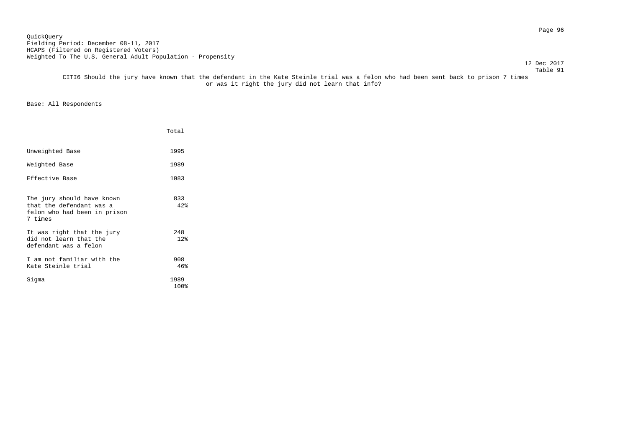Page 96 QuickQuery Fielding Period: December 08-11, 2017 HCAPS (Filtered on Registered Voters) Weighted To The U.S. General Adult Population - Propensity

#### Table 91 CITI6 Should the jury have known that the defendant in the Kate Steinle trial was a felon who had been sent back to prison 7 times or was it right the jury did not learn that info?

|                                                                                                   | Total        |
|---------------------------------------------------------------------------------------------------|--------------|
| Unweighted Base                                                                                   | 1995         |
| Weighted Base                                                                                     | 1989         |
| Effective Base                                                                                    | 1083         |
| The jury should have known<br>that the defendant was a<br>felon who had been in prison<br>7 times | 833<br>42%   |
| It was right that the jury<br>did not learn that the<br>defendant was a felon                     | 248<br>12%   |
| I am not familiar with the<br>Kate Steinle trial                                                  | 908<br>46%   |
| Sigma                                                                                             | 1989<br>100% |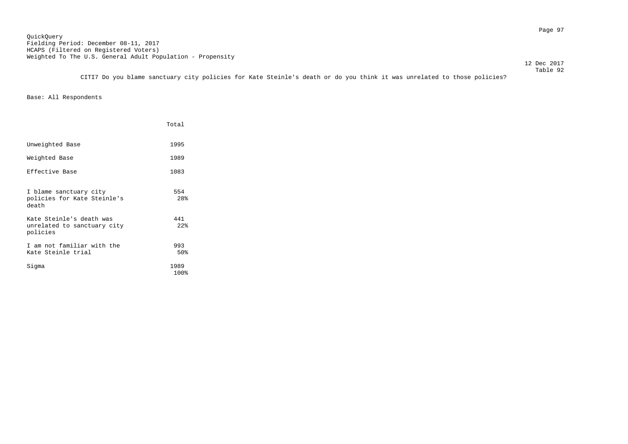12 Dec 2017

 Table 92 CITI7 Do you blame sanctuary city policies for Kate Steinle's death or do you think it was unrelated to those policies?

|                                                                     | Total        |
|---------------------------------------------------------------------|--------------|
| Unweighted Base                                                     | 1995         |
| Weighted Base                                                       | 1989         |
| Effective Base                                                      | 1083         |
| I blame sanctuary city<br>policies for Kate Steinle's<br>death      | 554<br>28%   |
| Kate Steinle's death was<br>unrelated to sanctuary city<br>policies | 441<br>22%   |
| I am not familiar with the<br>Kate Steinle trial                    | 993<br>50%   |
| Sigma                                                               | 1989<br>100% |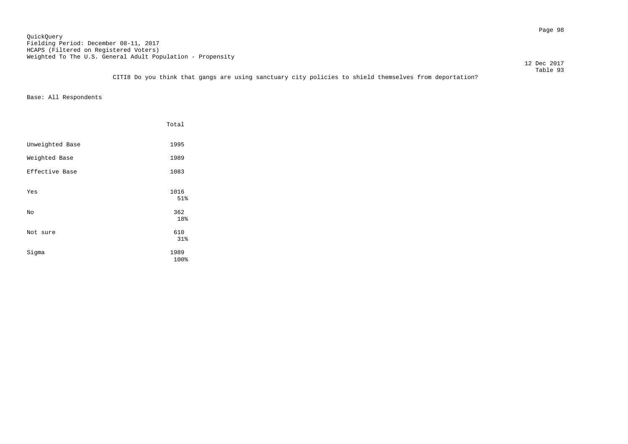Page 98 QuickQuery Fielding Period: December 08-11, 2017 HCAPS (Filtered on Registered Voters) Weighted To The U.S. General Adult Population - Propensity

12 Dec 2017

 Table 93 CITI8 Do you think that gangs are using sanctuary city policies to shield themselves from deportation?

|                 | Total             |
|-----------------|-------------------|
| Unweighted Base | 1995              |
| Weighted Base   | 1989              |
| Effective Base  | 1083              |
| Yes             | 1016<br>51%       |
| No              | 362               |
| Not sure        | 18%<br>610<br>31% |
| Sigma           | 1989<br>100%      |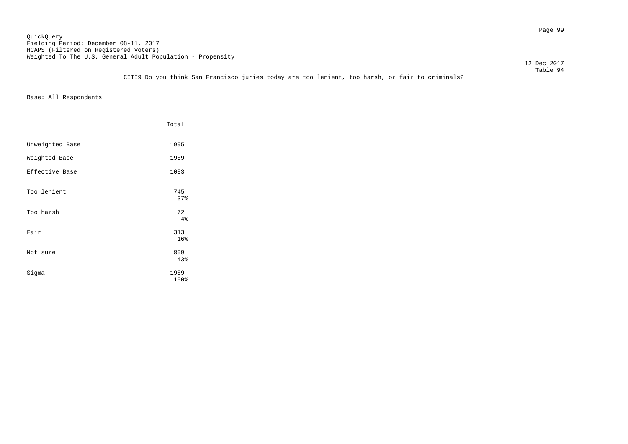Page 99 QuickQuery Fielding Period: December 08-11, 2017 HCAPS (Filtered on Registered Voters) Weighted To The U.S. General Adult Population - Propensity

12 Dec 2017

 Table 94 CITI9 Do you think San Francisco juries today are too lenient, too harsh, or fair to criminals?

|                 | Total            |
|-----------------|------------------|
| Unweighted Base | 1995             |
| Weighted Base   | 1989             |
| Effective Base  | 1083             |
| Too lenient     | 745<br>37%       |
| Too harsh       | 72               |
| Fair            | 4%<br>313<br>16% |
| Not sure        | 859<br>43%       |
| Sigma           | 1989<br>100%     |
|                 |                  |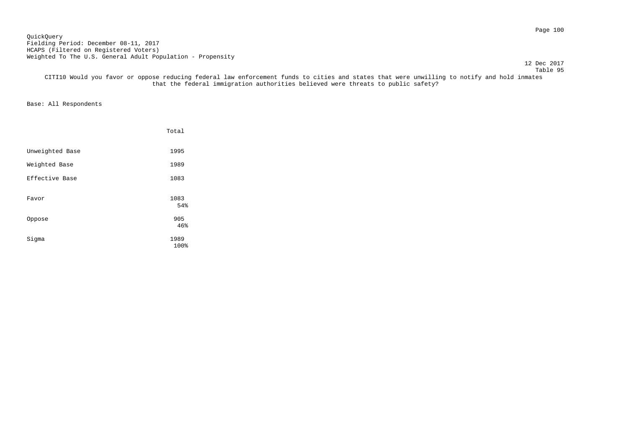### Page 100 QuickQuery Fielding Period: December 08-11, 2017 HCAPS (Filtered on Registered Voters) Weighted To The U.S. General Adult Population - Propensity

12 Dec 2017

 Table 95 CITI10 Would you favor or oppose reducing federal law enforcement funds to cities and states that were unwilling to notify and hold inmates that the federal immigration authorities believed were threats to public safety?

|                 | Total        |
|-----------------|--------------|
| Unweighted Base | 1995         |
| Weighted Base   | 1989         |
| Effective Base  | 1083         |
| Favor           | 1083<br>54%  |
| Oppose          | 905<br>46%   |
| Sigma           | 1989<br>100% |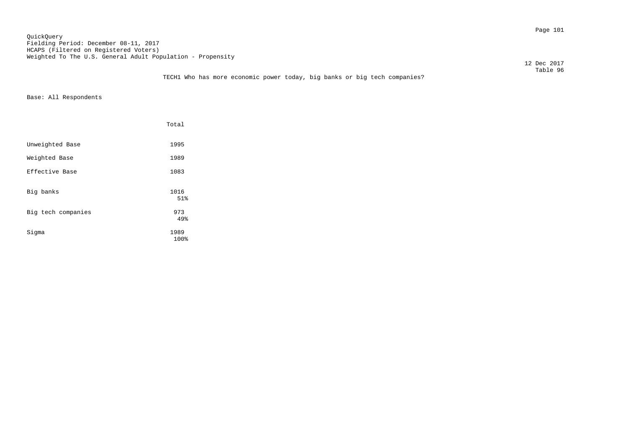Page 101 QuickQuery Fielding Period: December 08-11, 2017 HCAPS (Filtered on Registered Voters) Weighted To The U.S. General Adult Population - Propensity

12 Dec 2017

# Table 96 TECH1 Who has more economic power today, big banks or big tech companies?

|                    | Total        |
|--------------------|--------------|
| Unweighted Base    | 1995         |
| Weighted Base      | 1989         |
| Effective Base     | 1083         |
| Big banks          | 1016<br>51%  |
| Big tech companies | 973<br>49%   |
| Sigma              | 1989<br>100% |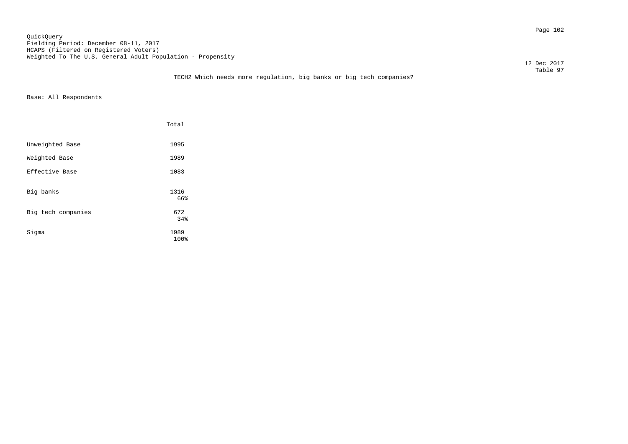Page 102 QuickQuery Fielding Period: December 08-11, 2017 HCAPS (Filtered on Registered Voters) Weighted To The U.S. General Adult Population - Propensity

12 Dec 2017

### Table 97 TECH2 Which needs more regulation, big banks or big tech companies?

|                    | Total        |
|--------------------|--------------|
| Unweighted Base    | 1995         |
| Weighted Base      | 1989         |
| Effective Base     | 1083         |
| Big banks          | 1316<br>66%  |
| Big tech companies | 672<br>34%   |
| Sigma              | 1989<br>100% |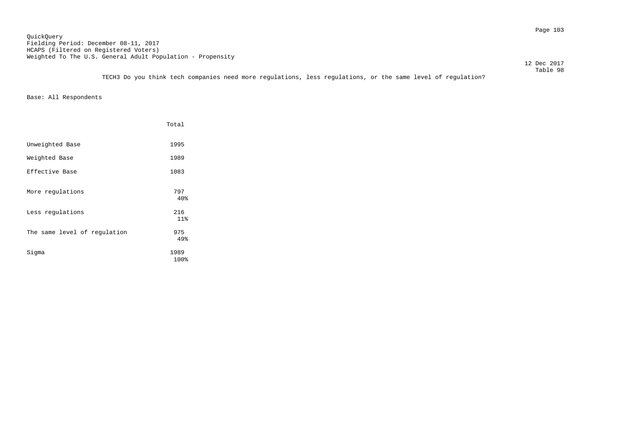Page 103 QuickQuery Fielding Period: December 08-11, 2017 HCAPS (Filtered on Registered Voters) Weighted To The U.S. General Adult Population - Propensity

12 Dec 2017

 Table 98 TECH3 Do you think tech companies need more regulations, less regulations, or the same level of regulation?

|                              | Total             |
|------------------------------|-------------------|
| Unweighted Base              | 1995              |
| Weighted Base                | 1989              |
| Effective Base               | 1083              |
| More regulations             | 797<br>40%        |
| Less regulations             | 216               |
| The same level of regulation | 11%<br>975<br>49% |
| Sigma                        | 1989<br>100%      |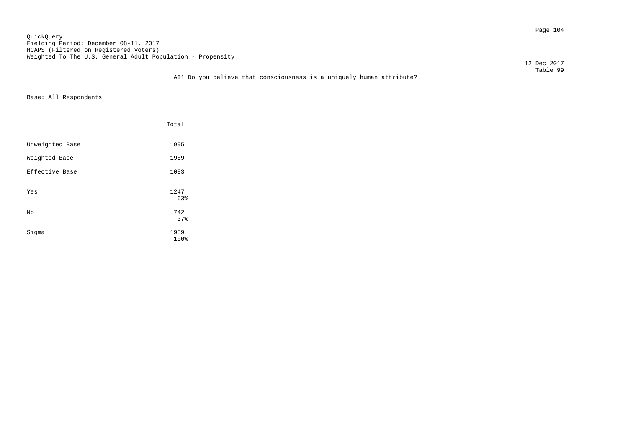Page 104 QuickQuery Fielding Period: December 08-11, 2017 HCAPS (Filtered on Registered Voters) Weighted To The U.S. General Adult Population - Propensity

12 Dec 2017

### Table 99 AI1 Do you believe that consciousness is a uniquely human attribute?

|                 | Total        |
|-----------------|--------------|
| Unweighted Base | 1995         |
| Weighted Base   | 1989         |
| Effective Base  | 1083         |
| Yes             | 1247<br>63%  |
| No              | 742<br>37%   |
| Sigma           | 1989<br>100% |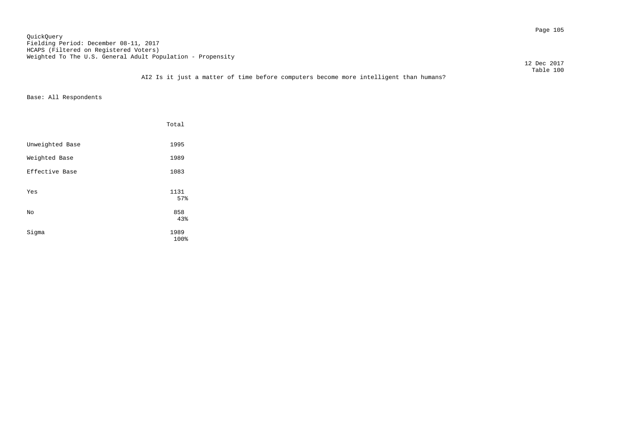Page 105 QuickQuery Fielding Period: December 08-11, 2017 HCAPS (Filtered on Registered Voters) Weighted To The U.S. General Adult Population - Propensity

12 Dec 2017

### Table 100 AI2 Is it just a matter of time before computers become more intelligent than humans?

|                 | Total        |
|-----------------|--------------|
| Unweighted Base | 1995         |
| Weighted Base   | 1989         |
| Effective Base  | 1083         |
| Yes             | 1131<br>57%  |
| No              | 858<br>43%   |
| Sigma           | 1989<br>100% |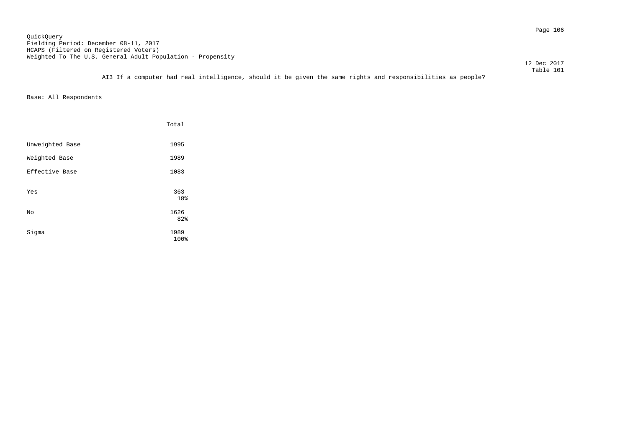Page 106 QuickQuery Fielding Period: December 08-11, 2017 HCAPS (Filtered on Registered Voters) Weighted To The U.S. General Adult Population - Propensity

12 Dec 2017

 Table 101 AI3 If a computer had real intelligence, should it be given the same rights and responsibilities as people?

|                 | Total               |
|-----------------|---------------------|
| Unweighted Base | 1995                |
| Weighted Base   | 1989                |
| Effective Base  | 1083                |
| Yes             | 363<br>18%          |
| No              | 1626                |
| Sigma           | 82%<br>1989<br>100% |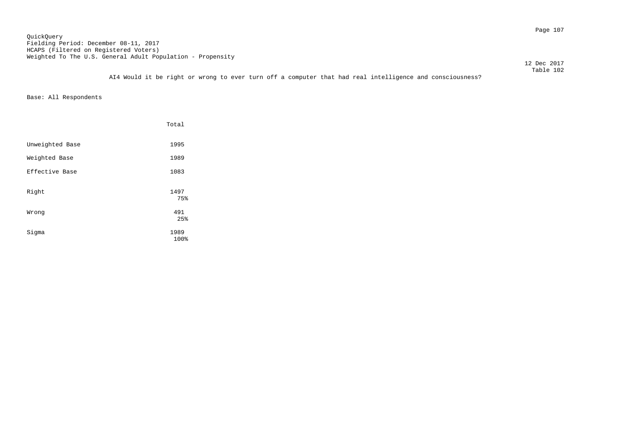Page 107 QuickQuery Fielding Period: December 08-11, 2017 HCAPS (Filtered on Registered Voters) Weighted To The U.S. General Adult Population - Propensity

12 Dec 2017

 Table 102 AI4 Would it be right or wrong to ever turn off a computer that had real intelligence and consciousness?

|                 | Total        |
|-----------------|--------------|
| Unweighted Base | 1995         |
| Weighted Base   | 1989         |
| Effective Base  | 1083         |
| Right           | 1497<br>75%  |
| Wrong           | 491<br>25%   |
| Sigma           | 1989<br>100% |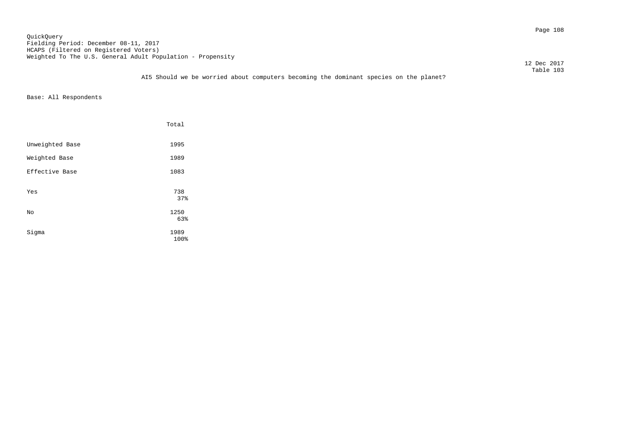Page 108 QuickQuery Fielding Period: December 08-11, 2017 HCAPS (Filtered on Registered Voters) Weighted To The U.S. General Adult Population - Propensity

12 Dec 2017

|                 | Total        |
|-----------------|--------------|
| Unweighted Base | 1995         |
| Weighted Base   | 1989         |
| Effective Base  | 1083         |
| Yes             | 738<br>37%   |
| No              | 1250<br>63%  |
| Sigma           | 1989<br>100% |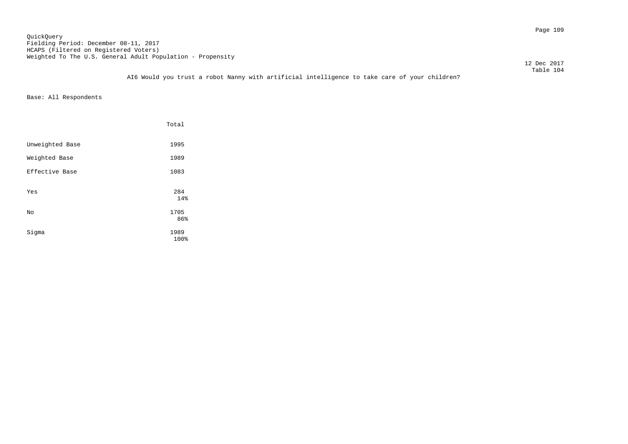Page 109 QuickQuery Fielding Period: December 08-11, 2017 HCAPS (Filtered on Registered Voters) Weighted To The U.S. General Adult Population - Propensity

12 Dec 2017

 Table 104 AI6 Would you trust a robot Nanny with artificial intelligence to take care of your children?

|                 | Total               |
|-----------------|---------------------|
| Unweighted Base | 1995                |
| Weighted Base   | 1989                |
| Effective Base  | 1083                |
| Yes             | 284<br>14%          |
| No              | 1705                |
| Sigma           | 86%<br>1989<br>100% |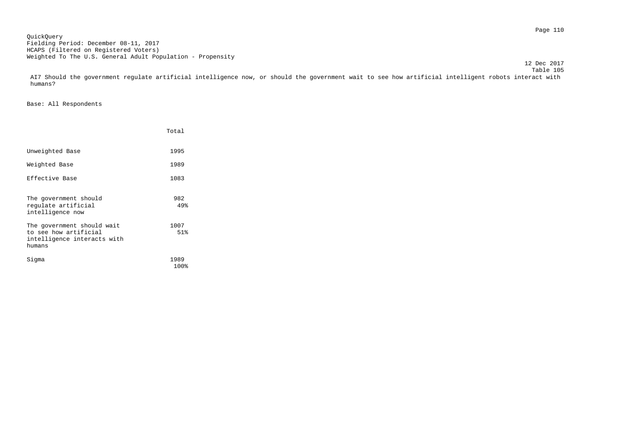Page 110 QuickQuery Fielding Period: December 08-11, 2017 HCAPS (Filtered on Registered Voters) Weighted To The U.S. General Adult Population - Propensity

 Table 105 AI7 Should the government regulate artificial intelligence now, or should the government wait to see how artificial intelligent robots interact with humans?

12 Dec 2017

|                                                                                              | Total        |
|----------------------------------------------------------------------------------------------|--------------|
| Unweighted Base                                                                              | 1995         |
| Weighted Base                                                                                | 1989         |
| Effective Base                                                                               | 1083         |
| The government should<br>requlate artificial<br>intelligence now                             | 982<br>49%   |
| The government should wait<br>to see how artificial<br>intelligence interacts with<br>humans | 1007<br>51%  |
| Siqma                                                                                        | 1989<br>100% |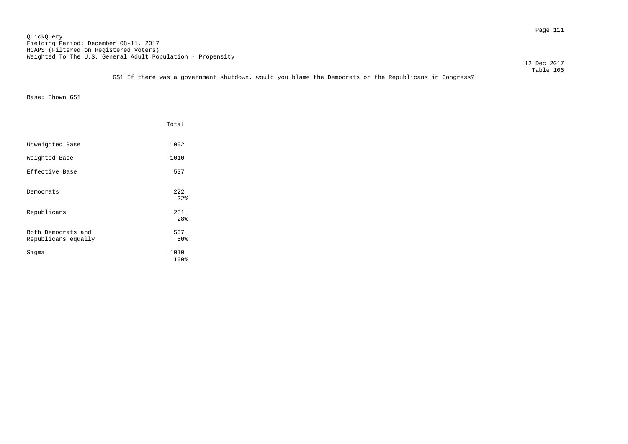Page 111 QuickQuery Fielding Period: December 08-11, 2017 HCAPS (Filtered on Registered Voters) Weighted To The U.S. General Adult Population - Propensity

GS1 If there was a government shutdown, would you blame the Democrats or the Republicans in Congress?

Base: Shown GS1

|                                           | Total                  |
|-------------------------------------------|------------------------|
| Unweighted Base                           | 1002                   |
| Weighted Base                             | 1010                   |
| Effective Base                            | 537                    |
| Democrats                                 | 222<br>22 <sub>8</sub> |
| Republicans                               | 281<br>28%             |
| Both Democrats and<br>Republicans equally | 507<br>50%             |
| Sigma                                     | 1010<br>100%           |

 12 Dec 2017 Table 106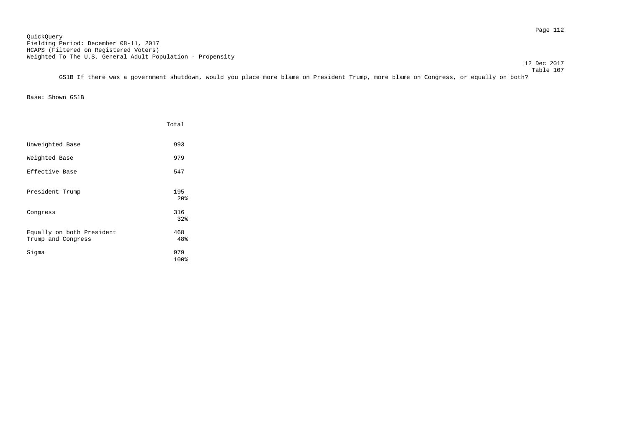Page 112 QuickQuery Fielding Period: December 08-11, 2017 HCAPS (Filtered on Registered Voters) Weighted To The U.S. General Adult Population - Propensity

12 Dec 2017

 Table 107 GS1B If there was a government shutdown, would you place more blame on President Trump, more blame on Congress, or equally on both?

Base: Shown GS1B

|                                                 | Total                  |
|-------------------------------------------------|------------------------|
| Unweighted Base                                 | 993                    |
| Weighted Base                                   | 979                    |
| Effective Base                                  | 547                    |
| President Trump                                 | 195<br>20 <sup>8</sup> |
| Congress                                        | 316<br>32%             |
| Equally on both President<br>Trump and Congress | 468<br>48%             |
| Sigma                                           | 979<br>100%            |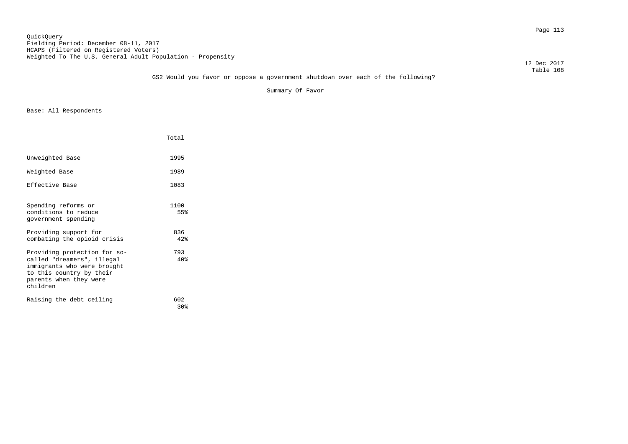#### Page 113 QuickQuery Fielding Period: December 08-11, 2017 HCAPS (Filtered on Registered Voters) Weighted To The U.S. General Adult Population - Propensity

 12 Dec 2017 Table 108

# GS2 Would you favor or oppose a government shutdown over each of the following?

Summary Of Favor

|                                                                                                                                                             | Total                  |  |
|-------------------------------------------------------------------------------------------------------------------------------------------------------------|------------------------|--|
| Unweighted Base                                                                                                                                             | 1995                   |  |
| Weighted Base                                                                                                                                               | 1989                   |  |
| Effective Base                                                                                                                                              | 1083                   |  |
| Spending reforms or<br>conditions to reduce<br>government spending                                                                                          | 1100<br>55%            |  |
| Providing support for<br>combating the opioid crisis                                                                                                        | 836<br>42%             |  |
| Providing protection for so-<br>called "dreamers", illegal<br>immigrants who were brought<br>to this country by their<br>parents when they were<br>children | 793<br>40 <sub>8</sub> |  |
| Raising the debt ceiling                                                                                                                                    | 602<br>30 <sub>8</sub> |  |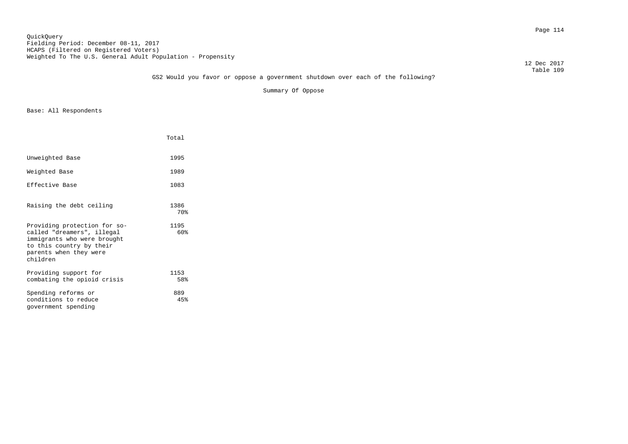#### Page 114 QuickQuery Fielding Period: December 08-11, 2017 HCAPS (Filtered on Registered Voters) Weighted To The U.S. General Adult Population - Propensity

 12 Dec 2017 Table 109

# GS2 Would you favor or oppose a government shutdown over each of the following?

Summary Of Oppose

|                                                                                                                                                             | Total       |
|-------------------------------------------------------------------------------------------------------------------------------------------------------------|-------------|
| Unweighted Base                                                                                                                                             | 1995        |
| Weighted Base                                                                                                                                               | 1989        |
| Effective Base                                                                                                                                              | 1083        |
| Raising the debt ceiling                                                                                                                                    | 1386<br>70% |
| Providing protection for so-<br>called "dreamers", illegal<br>immigrants who were brought<br>to this country by their<br>parents when they were<br>children | 1195<br>60% |
| Providing support for<br>combating the opioid crisis                                                                                                        | 1153<br>58% |
| Spending reforms or<br>conditions to reduce<br>government spending                                                                                          | 889<br>45%  |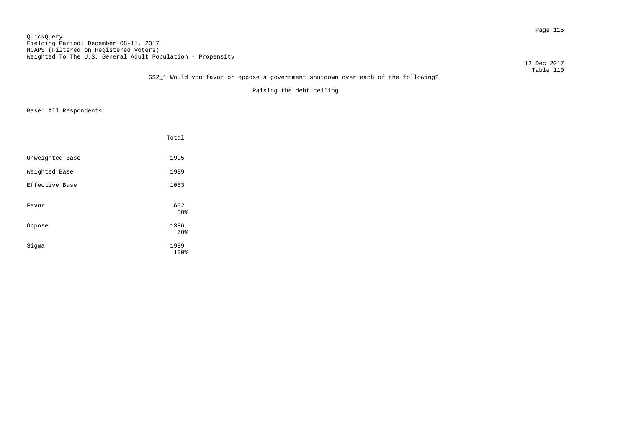#### Page 115 QuickQuery Fielding Period: December 08-11, 2017 HCAPS (Filtered on Registered Voters) Weighted To The U.S. General Adult Population - Propensity

12 Dec 2017

### Table 110 GS2\_1 Would you favor or oppose a government shutdown over each of the following?

Raising the debt ceiling

|                 | Total        |
|-----------------|--------------|
| Unweighted Base | 1995         |
| Weighted Base   | 1989         |
| Effective Base  | 1083         |
| Favor           | 602<br>30%   |
| Oppose          | 1386<br>70%  |
| Sigma           | 1989<br>100% |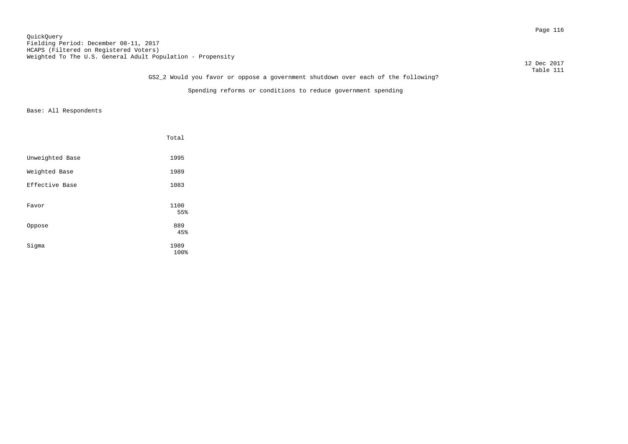Page 116 QuickQuery Fielding Period: December 08-11, 2017 HCAPS (Filtered on Registered Voters) Weighted To The U.S. General Adult Population - Propensity

 12 Dec 2017 Table 111

# GS2\_2 Would you favor or oppose a government shutdown over each of the following?

Spending reforms or conditions to reduce government spending

|                 | Total        |
|-----------------|--------------|
| Unweighted Base | 1995         |
| Weighted Base   | 1989         |
| Effective Base  | 1083         |
| Favor           | 1100<br>55%  |
| Oppose          | 889<br>45%   |
| Sigma           | 1989<br>100% |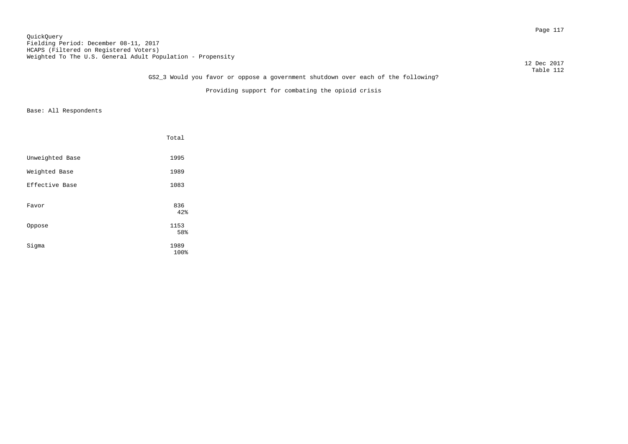Page 117 QuickQuery Fielding Period: December 08-11, 2017 HCAPS (Filtered on Registered Voters) Weighted To The U.S. General Adult Population - Propensity

 12 Dec 2017 Table 112

# GS2\_3 Would you favor or oppose a government shutdown over each of the following?

Providing support for combating the opioid crisis

|                 | Total        |
|-----------------|--------------|
| Unweighted Base | 1995         |
| Weighted Base   | 1989         |
| Effective Base  | 1083         |
| Favor           | 836<br>42%   |
| Oppose          | 1153<br>58%  |
| Sigma           | 1989<br>100% |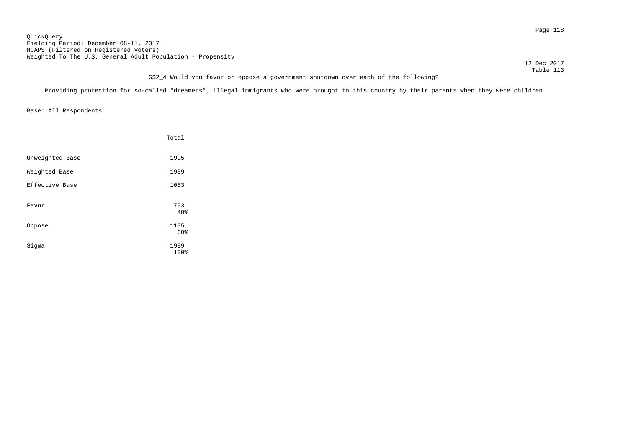Page 118 QuickQuery Fielding Period: December 08-11, 2017 HCAPS (Filtered on Registered Voters) Weighted To The U.S. General Adult Population - Propensity

 12 Dec 2017 Table 113

# GS2\_4 Would you favor or oppose a government shutdown over each of the following?

Providing protection for so-called "dreamers", illegal immigrants who were brought to this country by their parents when they were children

|                 | Total        |
|-----------------|--------------|
| Unweighted Base | 1995         |
| Weighted Base   | 1989         |
| Effective Base  | 1083         |
| Favor           | 793<br>40%   |
| Oppose          | 1195<br>60%  |
| Sigma           | 1989<br>100% |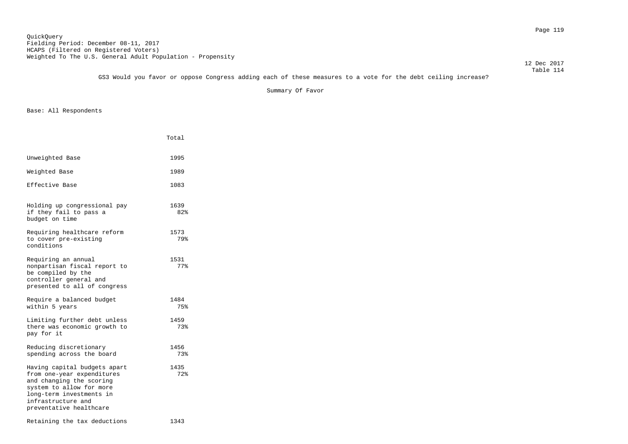Table 114 GS3 Would you favor or oppose Congress adding each of these measures to a vote for the debt ceiling increase?

Summary Of Favor

|                                                                                                                                                                                                 | Total       |
|-------------------------------------------------------------------------------------------------------------------------------------------------------------------------------------------------|-------------|
| Unweighted Base                                                                                                                                                                                 | 1995        |
| Weighted Base                                                                                                                                                                                   | 1989        |
| Effective Base                                                                                                                                                                                  | 1083        |
| Holding up congressional pay<br>if they fail to pass a<br>budget on time                                                                                                                        | 1639<br>82% |
| Requiring healthcare reform<br>to cover pre-existing<br>conditions                                                                                                                              | 1573<br>79% |
| Requiring an annual<br>nonpartisan fiscal report to<br>be compiled by the<br>controller general and<br>presented to all of congress                                                             | 1531<br>77% |
| Require a balanced budget<br>within 5 years                                                                                                                                                     | 1484<br>75% |
| Limiting further debt unless<br>there was economic growth to<br>pay for it                                                                                                                      | 1459<br>73% |
| Reducing discretionary<br>spending across the board                                                                                                                                             | 1456<br>73% |
| Having capital budgets apart<br>from one-year expenditures<br>and changing the scoring<br>system to allow for more<br>long-term investments in<br>infrastructure and<br>preventative healthcare | 1435<br>72% |
| Retaining the tax deductions                                                                                                                                                                    | 1343        |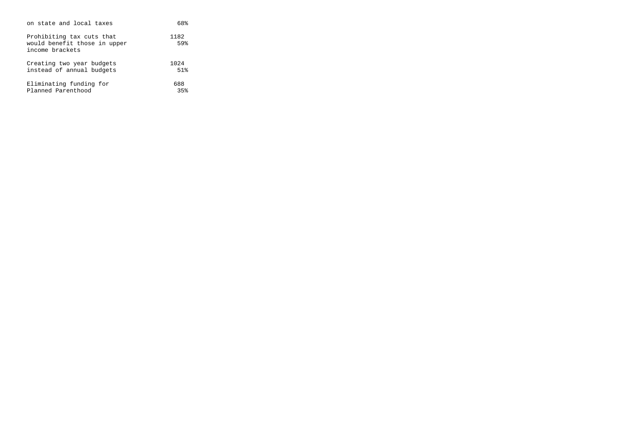| on state and local taxes                                                     | 68%         |
|------------------------------------------------------------------------------|-------------|
| Prohibiting tax cuts that<br>would benefit those in upper<br>income brackets | 1182<br>59% |
| Creating two year budgets                                                    | 1024        |
| instead of annual budgets                                                    | 51%         |
| Eliminating funding for                                                      | 688         |
| Planned Parenthood                                                           | 35%         |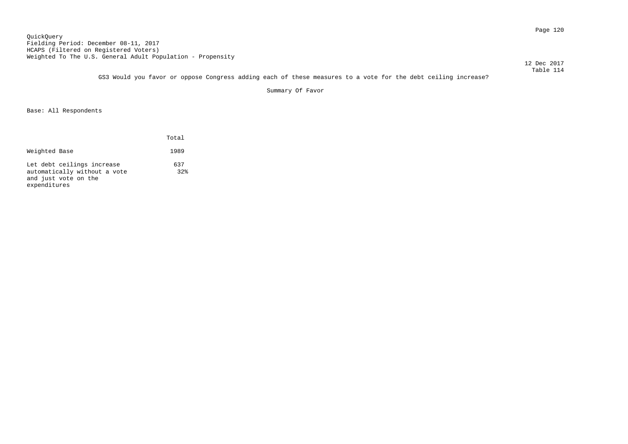Page 120 QuickQuery Fielding Period: December 08-11, 2017 HCAPS (Filtered on Registered Voters) Weighted To The U.S. General Adult Population - Propensity

 12 Dec 2017 Table 114

GS3 Would you favor or oppose Congress adding each of these measures to a vote for the debt ceiling increase?

Summary Of Favor

|                                                                                                    | Total      |
|----------------------------------------------------------------------------------------------------|------------|
| Weighted Base                                                                                      | 1989       |
| Let debt ceilings increase<br>automatically without a vote<br>and just vote on the<br>expenditures | 637<br>32% |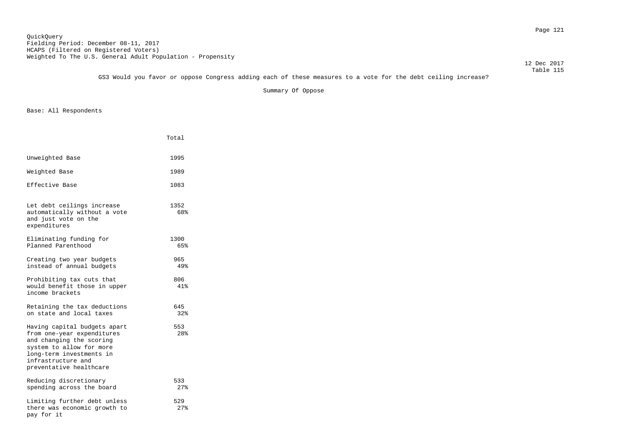12 Dec 2017

 Table 115 GS3 Would you favor or oppose Congress adding each of these measures to a vote for the debt ceiling increase?

Summary Of Oppose

|                                                                                                                                                                                                 | Total                  |
|-------------------------------------------------------------------------------------------------------------------------------------------------------------------------------------------------|------------------------|
| Unweighted Base                                                                                                                                                                                 | 1995                   |
| Weighted Base                                                                                                                                                                                   | 1989                   |
| Effective Base                                                                                                                                                                                  | 1083                   |
| Let debt ceilings increase<br>automatically without a vote<br>and just vote on the<br>expenditures                                                                                              | 1352<br>68%            |
| Eliminating funding for<br>Planned Parenthood                                                                                                                                                   | 1300<br>65%            |
| Creating two year budgets<br>instead of annual budgets                                                                                                                                          | 965<br>49%             |
| Prohibiting tax cuts that<br>would benefit those in upper<br>income brackets                                                                                                                    | 806<br>41%             |
| Retaining the tax deductions<br>on state and local taxes                                                                                                                                        | 645<br>32%             |
| Having capital budgets apart<br>from one-year expenditures<br>and changing the scoring<br>system to allow for more<br>long-term investments in<br>infrastructure and<br>preventative healthcare | 553<br>28 <sup>8</sup> |
| Reducing discretionary<br>spending across the board                                                                                                                                             | 533<br>27%             |
| Limiting further debt unless<br>there was economic growth to<br>pay for it                                                                                                                      | 529<br>27%             |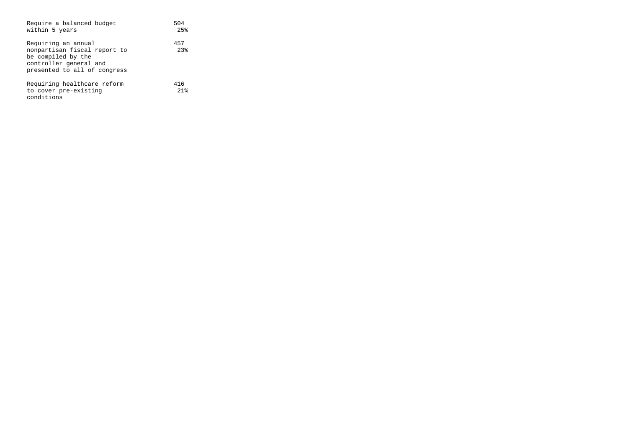| Require a balanced budget<br>within 5 years                                                                                         | 504<br>2.5%               |
|-------------------------------------------------------------------------------------------------------------------------------------|---------------------------|
| Requiring an annual<br>nonpartisan fiscal report to<br>be compiled by the<br>controller general and<br>presented to all of congress | 457<br>2.3%               |
| Requiring healthcare reform<br>to cover pre-existing<br>conditions                                                                  | 416<br>$21$ $\frac{6}{5}$ |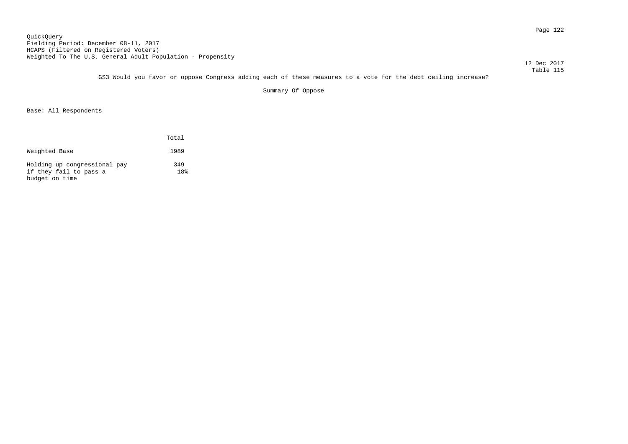Page 122 QuickQuery Fielding Period: December 08-11, 2017 HCAPS (Filtered on Registered Voters) Weighted To The U.S. General Adult Population - Propensity

12 Dec 2017

 Table 115 GS3 Would you favor or oppose Congress adding each of these measures to a vote for the debt ceiling increase?

Summary Of Oppose

|                                                                          | Total                  |
|--------------------------------------------------------------------------|------------------------|
| Weighted Base                                                            | 1989                   |
| Holding up congressional pay<br>if they fail to pass a<br>budget on time | 349<br>18 <sup>°</sup> |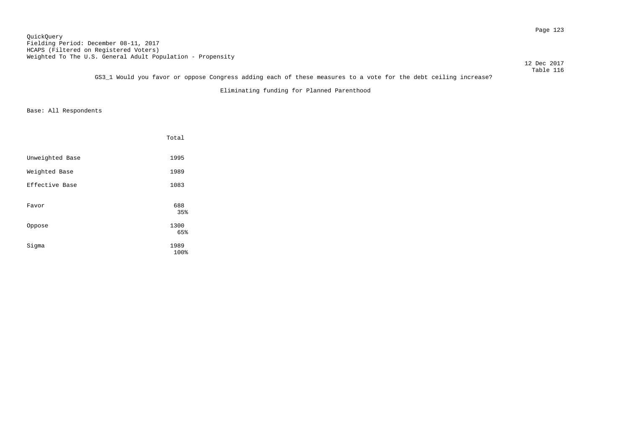Page 123 QuickQuery Fielding Period: December 08-11, 2017 HCAPS (Filtered on Registered Voters) Weighted To The U.S. General Adult Population - Propensity

 12 Dec 2017 Table 116

GS3\_1 Would you favor or oppose Congress adding each of these measures to a vote for the debt ceiling increase?

Eliminating funding for Planned Parenthood

|                 | Total       |
|-----------------|-------------|
| Unweighted Base | 1995        |
| Weighted Base   | 1989        |
| Effective Base  | 1083        |
| Favor           | 688<br>35%  |
| Oppose          | 1300<br>65% |
| Sigma           | 1989        |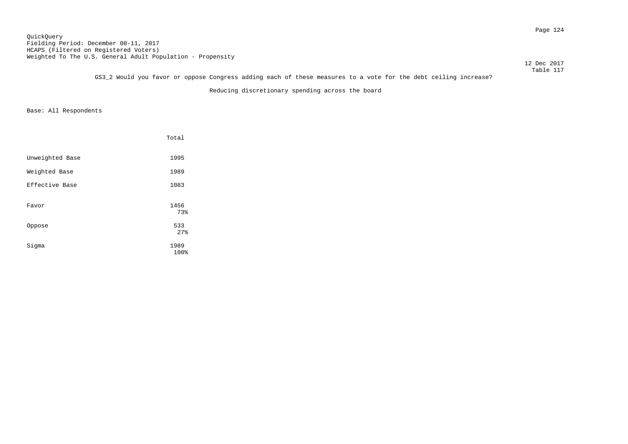Page 124 QuickQuery Fielding Period: December 08-11, 2017 HCAPS (Filtered on Registered Voters) Weighted To The U.S. General Adult Population - Propensity

12 Dec 2017

 Table 117 GS3\_2 Would you favor or oppose Congress adding each of these measures to a vote for the debt ceiling increase?

Reducing discretionary spending across the board

|                 | Total        |
|-----------------|--------------|
| Unweighted Base | 1995         |
| Weighted Base   | 1989         |
| Effective Base  | 1083         |
| Favor           | 1456<br>73%  |
| Oppose          | 533<br>27%   |
| Sigma           | 1989<br>100% |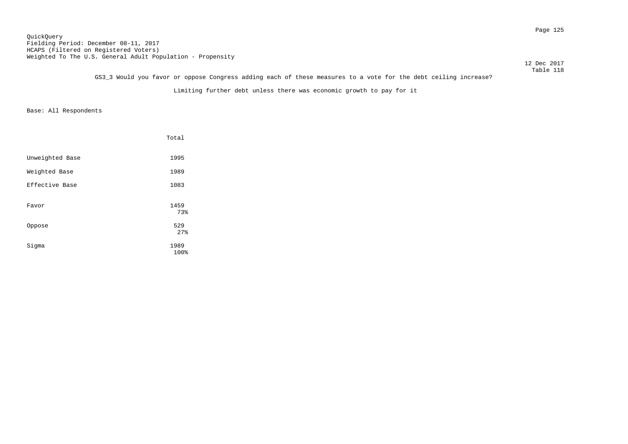Page 125 QuickQuery Fielding Period: December 08-11, 2017 HCAPS (Filtered on Registered Voters) Weighted To The U.S. General Adult Population - Propensity

12 Dec 2017

### Table 118 GS3\_3 Would you favor or oppose Congress adding each of these measures to a vote for the debt ceiling increase?

Limiting further debt unless there was economic growth to pay for it

|                 | Total        |
|-----------------|--------------|
| Unweighted Base | 1995         |
| Weighted Base   | 1989         |
| Effective Base  | 1083         |
| Favor           | 1459<br>73%  |
| Oppose          | 529<br>27%   |
| Sigma           | 1989<br>100% |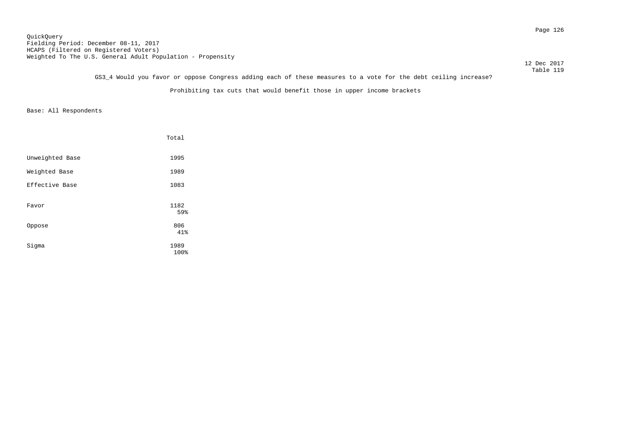Page 126 QuickQuery Fielding Period: December 08-11, 2017 HCAPS (Filtered on Registered Voters) Weighted To The U.S. General Adult Population - Propensity

12 Dec 2017

 Table 119 GS3\_4 Would you favor or oppose Congress adding each of these measures to a vote for the debt ceiling increase?

Prohibiting tax cuts that would benefit those in upper income brackets

|                 | Total        |
|-----------------|--------------|
| Unweighted Base | 1995         |
| Weighted Base   | 1989         |
| Effective Base  | 1083         |
| Favor           | 1182<br>59%  |
| Oppose          | 806<br>41%   |
| Sigma           | 1989<br>100% |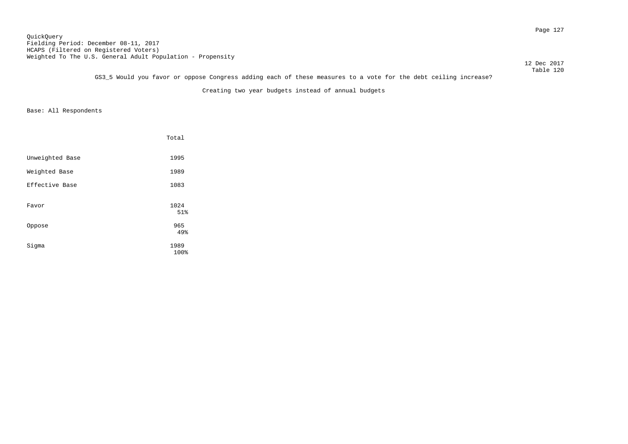Page 127 QuickQuery Fielding Period: December 08-11, 2017 HCAPS (Filtered on Registered Voters) Weighted To The U.S. General Adult Population - Propensity

12 Dec 2017

 Table 120 GS3\_5 Would you favor or oppose Congress adding each of these measures to a vote for the debt ceiling increase?

Creating two year budgets instead of annual budgets

|                 | Total        |
|-----------------|--------------|
| Unweighted Base | 1995         |
| Weighted Base   | 1989         |
| Effective Base  | 1083         |
| Favor           | 1024<br>51%  |
| Oppose          | 965<br>49%   |
| Sigma           | 1989<br>100% |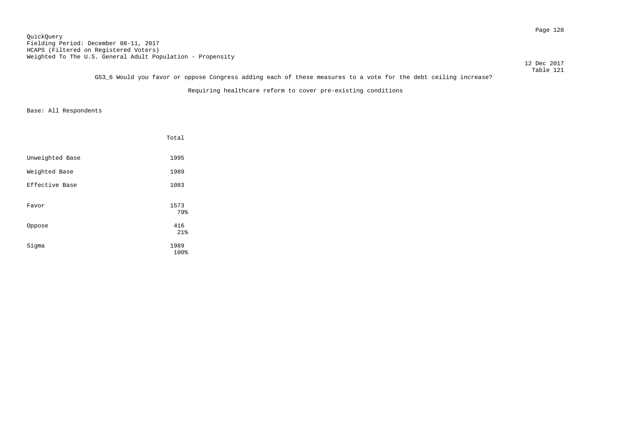Page 128 QuickQuery Fielding Period: December 08-11, 2017 HCAPS (Filtered on Registered Voters) Weighted To The U.S. General Adult Population - Propensity

12 Dec 2017

 Table 121 GS3\_6 Would you favor or oppose Congress adding each of these measures to a vote for the debt ceiling increase?

Requiring healthcare reform to cover pre-existing conditions

|                 | Total        |
|-----------------|--------------|
| Unweighted Base | 1995         |
| Weighted Base   | 1989         |
| Effective Base  | 1083         |
| Favor           | 1573<br>79%  |
| Oppose          | 416<br>21%   |
| Sigma           | 1989<br>100% |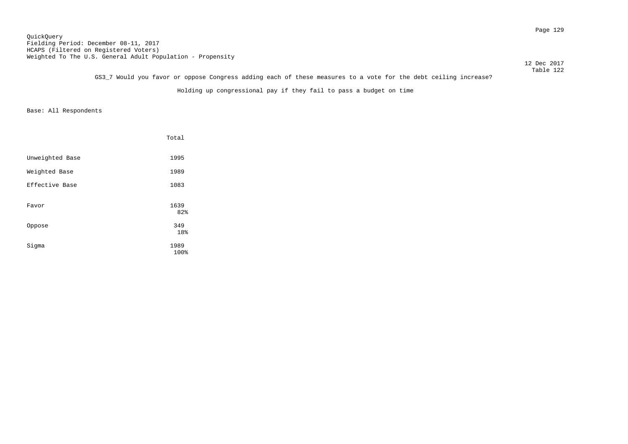Page 129 QuickQuery Fielding Period: December 08-11, 2017 HCAPS (Filtered on Registered Voters) Weighted To The U.S. General Adult Population - Propensity

12 Dec 2017

 Table 122 GS3\_7 Would you favor or oppose Congress adding each of these measures to a vote for the debt ceiling increase?

Holding up congressional pay if they fail to pass a budget on time

|                 | Total        |
|-----------------|--------------|
| Unweighted Base | 1995         |
| Weighted Base   | 1989         |
| Effective Base  | 1083         |
| Favor           | 1639<br>82%  |
| Oppose          | 349<br>18%   |
| Sigma           | 1989<br>100% |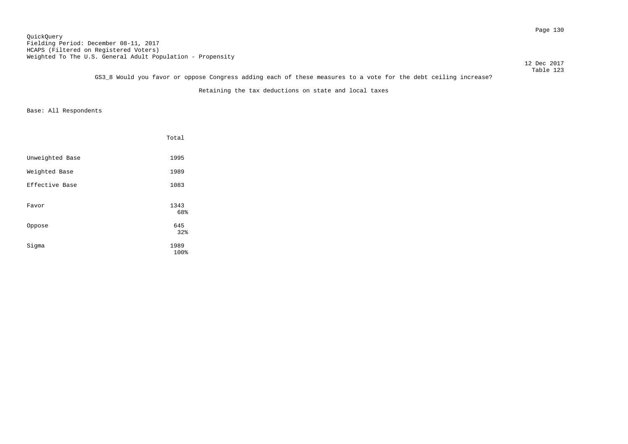Page 130 QuickQuery Fielding Period: December 08-11, 2017 HCAPS (Filtered on Registered Voters) Weighted To The U.S. General Adult Population - Propensity

12 Dec 2017

 Table 123 GS3\_8 Would you favor or oppose Congress adding each of these measures to a vote for the debt ceiling increase?

Retaining the tax deductions on state and local taxes

|                 | Total        |
|-----------------|--------------|
| Unweighted Base | 1995         |
| Weighted Base   | 1989         |
| Effective Base  | 1083         |
| Favor           | 1343<br>68%  |
| Oppose          | 645<br>32%   |
| Sigma           | 1989<br>100% |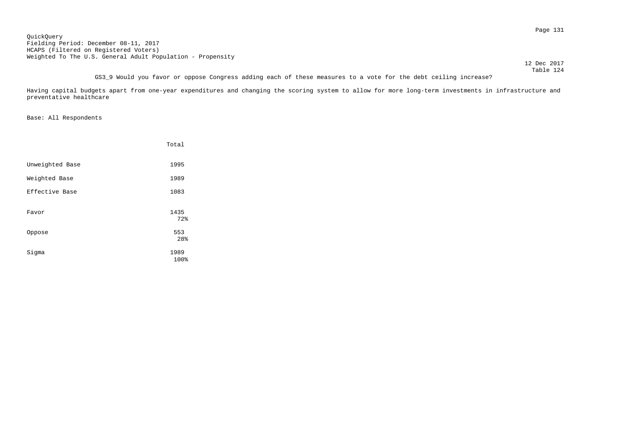Page 131 QuickQuery Fielding Period: December 08-11, 2017 HCAPS (Filtered on Registered Voters) Weighted To The U.S. General Adult Population - Propensity

12 Dec 2017

 Table 124 GS3\_9 Would you favor or oppose Congress adding each of these measures to a vote for the debt ceiling increase?

Having capital budgets apart from one-year expenditures and changing the scoring system to allow for more long-term investments in infrastructure and preventative healthcare

|                 | Total        |
|-----------------|--------------|
| Unweighted Base | 1995         |
| Weighted Base   | 1989         |
| Effective Base  | 1083         |
| Favor           | 1435<br>72%  |
| Oppose          | 553<br>28%   |
| Sigma           | 1989<br>100% |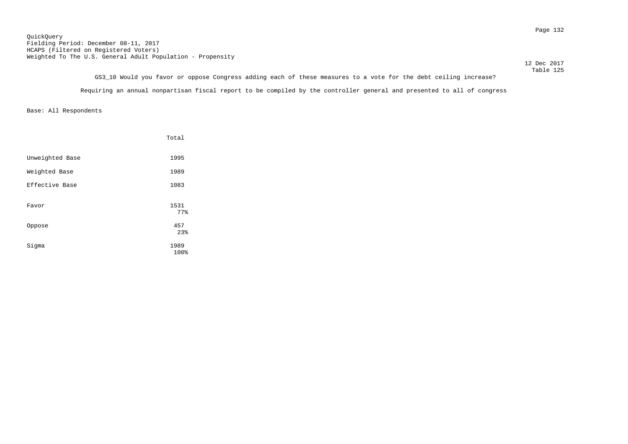Page 132 QuickQuery Fielding Period: December 08-11, 2017 HCAPS (Filtered on Registered Voters) Weighted To The U.S. General Adult Population - Propensity

12 Dec 2017

 Table 125 GS3\_10 Would you favor or oppose Congress adding each of these measures to a vote for the debt ceiling increase? Requiring an annual nonpartisan fiscal report to be compiled by the controller general and presented to all of congress

|                 | Total        |
|-----------------|--------------|
| Unweighted Base | 1995         |
| Weighted Base   | 1989         |
| Effective Base  | 1083         |
| Favor           | 1531<br>77%  |
| Oppose          | 457<br>23%   |
| Sigma           | 1989<br>100% |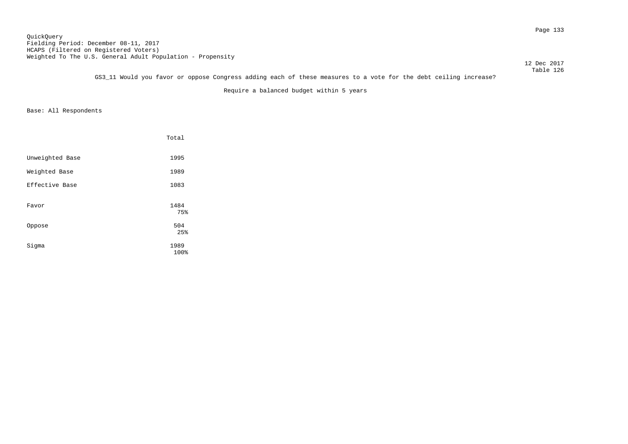Page 133 QuickQuery Fielding Period: December 08-11, 2017 HCAPS (Filtered on Registered Voters) Weighted To The U.S. General Adult Population - Propensity

12 Dec 2017

 Table 126 GS3\_11 Would you favor or oppose Congress adding each of these measures to a vote for the debt ceiling increase?

Require a balanced budget within 5 years

|                 | Total        |
|-----------------|--------------|
| Unweighted Base | 1995         |
| Weighted Base   | 1989         |
| Effective Base  | 1083         |
| Favor           | 1484<br>75%  |
| Oppose          | 504<br>25%   |
| Sigma           | 1989<br>100% |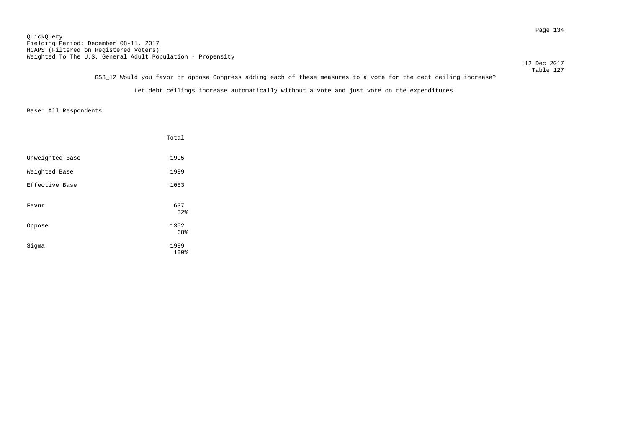Page 134 QuickQuery Fielding Period: December 08-11, 2017 HCAPS (Filtered on Registered Voters) Weighted To The U.S. General Adult Population - Propensity

12 Dec 2017

 Table 127 GS3\_12 Would you favor or oppose Congress adding each of these measures to a vote for the debt ceiling increase?

Let debt ceilings increase automatically without a vote and just vote on the expenditures

|                 | Total       |
|-----------------|-------------|
| Unweighted Base | 1995        |
| Weighted Base   | 1989        |
| Effective Base  | 1083        |
| Favor           | 637         |
|                 | 32%         |
| Oppose          | 1352<br>68% |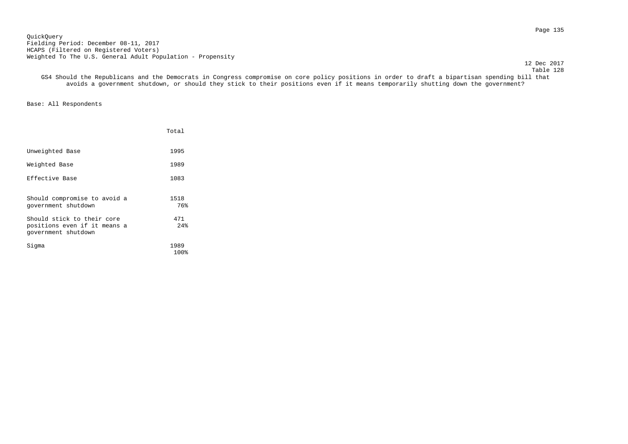Page 135 QuickQuery Fielding Period: December 08-11, 2017 HCAPS (Filtered on Registered Voters) Weighted To The U.S. General Adult Population - Propensity

12 Dec 2017

 Table 128 GS4 Should the Republicans and the Democrats in Congress compromise on core policy positions in order to draft a bipartisan spending bill that avoids a government shutdown, or should they stick to their positions even if it means temporarily shutting down the government?

|                                                                                   | Total        |
|-----------------------------------------------------------------------------------|--------------|
| Unweighted Base                                                                   | 1995         |
| Weighted Base                                                                     | 1989         |
| Effective Base                                                                    | 1083         |
| Should compromise to avoid a<br>government shutdown                               | 1518<br>76%  |
| Should stick to their core<br>positions even if it means a<br>government shutdown | 471<br>2.4%  |
| Sigma                                                                             | 1989<br>100% |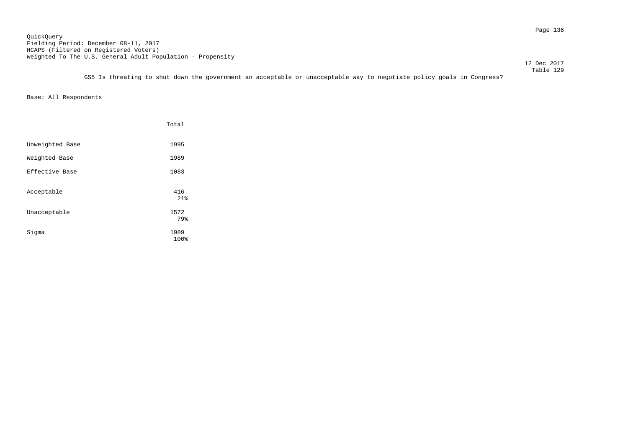Page 136 QuickQuery Fielding Period: December 08-11, 2017 HCAPS (Filtered on Registered Voters) Weighted To The U.S. General Adult Population - Propensity

12 Dec 2017

 Table 129 GS5 Is threating to shut down the government an acceptable or unacceptable way to negotiate policy goals in Congress?

|                 | Total        |
|-----------------|--------------|
| Unweighted Base | 1995         |
| Weighted Base   | 1989         |
| Effective Base  | 1083         |
| Acceptable      | 416<br>21%   |
| Unacceptable    | 1572<br>79%  |
| Sigma           | 1989<br>100% |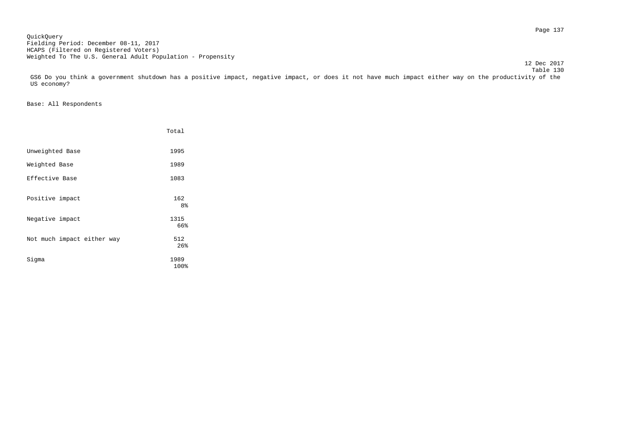Page 137 QuickQuery Fielding Period: December 08-11, 2017 HCAPS (Filtered on Registered Voters) Weighted To The U.S. General Adult Population - Propensity

 Table 130 GS6 Do you think a government shutdown has a positive impact, negative impact, or does it not have much impact either way on the productivity of the US economy?

12 Dec 2017

|                            | Total                 |
|----------------------------|-----------------------|
| Unweighted Base            | 1995                  |
| Weighted Base              | 1989                  |
| Effective Base             | 1083                  |
| Positive impact            | 162<br>8 <sup>°</sup> |
| Negative impact            | 1315<br>66%           |
| Not much impact either way | 512<br>26%            |
| Sigma                      | 1989<br>100%          |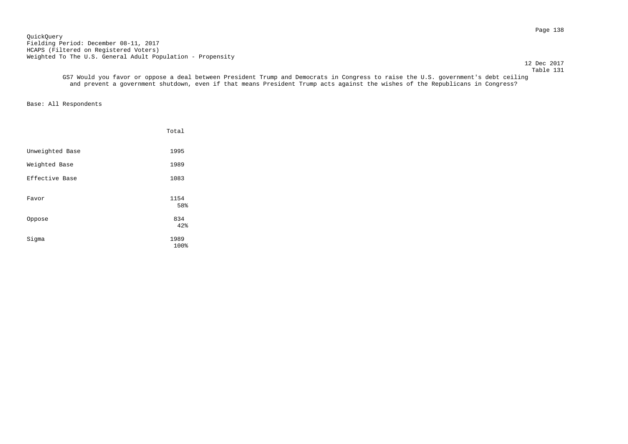Page 138 QuickQuery Fielding Period: December 08-11, 2017 HCAPS (Filtered on Registered Voters) Weighted To The U.S. General Adult Population - Propensity

 12 Dec 2017 Table 131

 GS7 Would you favor or oppose a deal between President Trump and Democrats in Congress to raise the U.S. government's debt ceiling and prevent a government shutdown, even if that means President Trump acts against the wishes of the Republicans in Congress?

|                 | Total        |
|-----------------|--------------|
| Unweighted Base | 1995         |
| Weighted Base   | 1989         |
| Effective Base  | 1083         |
| Favor           | 1154<br>58%  |
| Oppose          | 834<br>42%   |
| Sigma           | 1989<br>100% |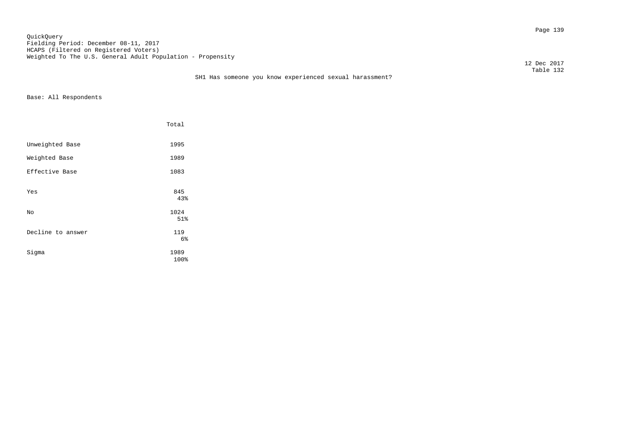Page 139 QuickQuery Fielding Period: December 08-11, 2017 HCAPS (Filtered on Registered Voters) Weighted To The U.S. General Adult Population - Propensity

12 Dec 2017

|                   | Total            |  |
|-------------------|------------------|--|
| Unweighted Base   | 1995             |  |
| Weighted Base     | 1989             |  |
| Effective Base    | 1083             |  |
| Yes               | 845<br>43%       |  |
| No                | 1024             |  |
| Decline to answer | 51%<br>119<br>6% |  |
| Sigma             | 1989<br>100%     |  |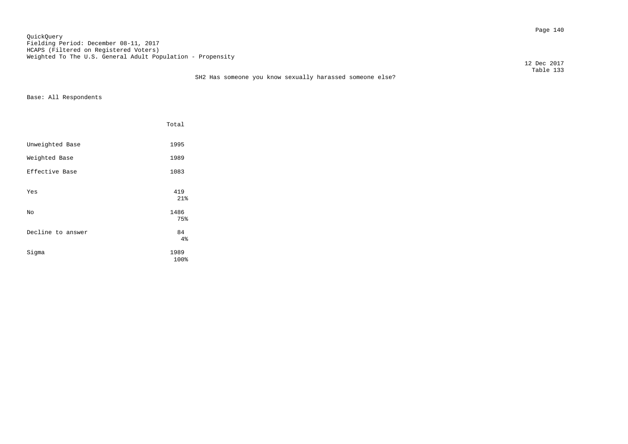Page 140 QuickQuery Fielding Period: December 08-11, 2017 HCAPS (Filtered on Registered Voters) Weighted To The U.S. General Adult Population - Propensity

 12 Dec 2017 Table 133

|                   | Total           |  |
|-------------------|-----------------|--|
| Unweighted Base   | 1995            |  |
| Weighted Base     | 1989            |  |
| Effective Base    | 1083            |  |
| Yes               | 419<br>21%      |  |
| No                | 1486            |  |
| Decline to answer | 75%<br>84<br>4% |  |
| Sigma             | 1989<br>100%    |  |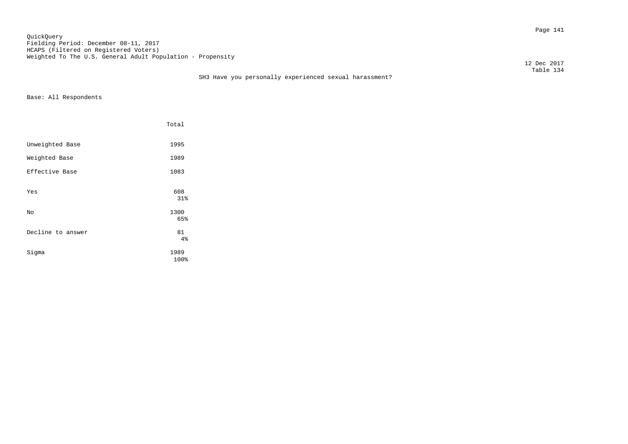Page 141 QuickQuery Fielding Period: December 08-11, 2017 HCAPS (Filtered on Registered Voters) Weighted To The U.S. General Adult Population - Propensity

12 Dec 2017

### Table 134 SH3 Have you personally experienced sexual harassment?

|                   | Total           |
|-------------------|-----------------|
| Unweighted Base   | 1995            |
| Weighted Base     | 1989            |
| Effective Base    | 1083            |
| Yes               | 608<br>31%      |
| No                | 1300            |
| Decline to answer | 65%<br>81<br>4% |
| Sigma             | 1989<br>100%    |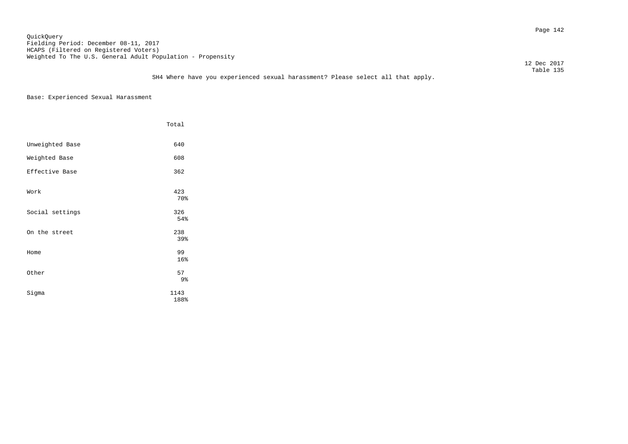#### Page 142 QuickQuery Fielding Period: December 08-11, 2017 HCAPS (Filtered on Registered Voters) Weighted To The U.S. General Adult Population - Propensity

12 Dec 2017

Base: Experienced Sexual Harassment

|                 | Total                |
|-----------------|----------------------|
| Unweighted Base | 640                  |
| Weighted Base   | 608                  |
| Effective Base  | 362                  |
| Work            | 423<br>70%           |
| Social settings | 326<br>54%           |
| On the street   | 238<br>39%           |
| Home            | 99<br>16%            |
| Other           | 57<br>9 <sub>8</sub> |
| Sigma           | 1143<br>188%         |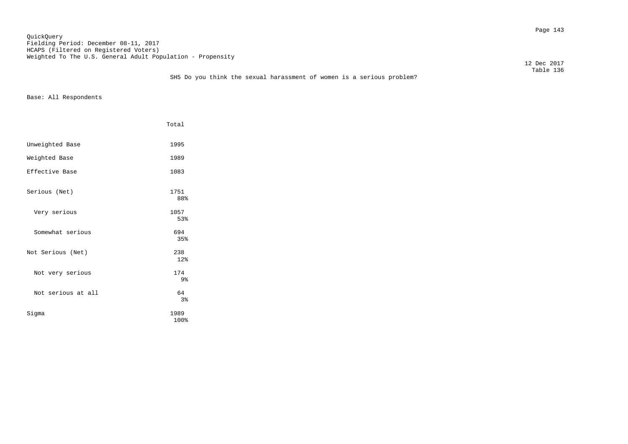Page 143 QuickQuery Fielding Period: December 08-11, 2017 HCAPS (Filtered on Registered Voters) Weighted To The U.S. General Adult Population - Propensity

12 Dec 2017

### Table 136 SH5 Do you think the sexual harassment of women is a serious problem?

|                    | Total                 |
|--------------------|-----------------------|
| Unweighted Base    | 1995                  |
| Weighted Base      | 1989                  |
| Effective Base     | 1083                  |
| Serious (Net)      | 1751<br>88%           |
| Very serious       | 1057<br>53%           |
| Somewhat serious   | 694<br>35%            |
| Not Serious (Net)  | 238<br>12%            |
| Not very serious   | 174<br>9 <sub>8</sub> |
| Not serious at all | 64<br>3%              |
| Sigma              | 1989<br>100%          |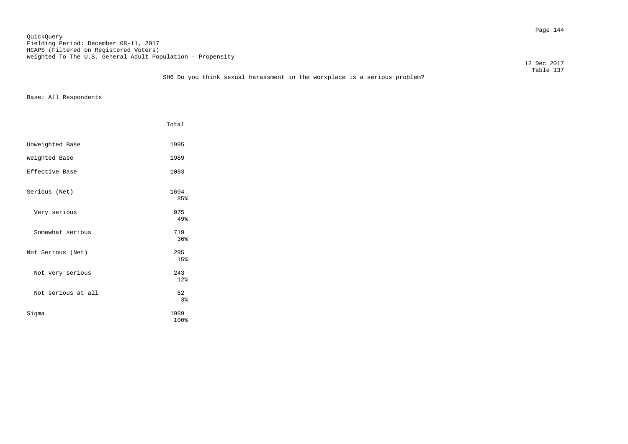Page 144 QuickQuery Fielding Period: December 08-11, 2017 HCAPS (Filtered on Registered Voters) Weighted To The U.S. General Adult Population - Propensity

12 Dec 2017

### Table 137 SH6 Do you think sexual harassment in the workplace is a serious problem?

|                    | Total        |
|--------------------|--------------|
| Unweighted Base    | 1995         |
| Weighted Base      | 1989         |
| Effective Base     | 1083         |
| Serious (Net)      | 1694<br>85%  |
| Very serious       | 975<br>49%   |
| Somewhat serious   | 719<br>36%   |
| Not Serious (Net)  | 295<br>15%   |
| Not very serious   | 243<br>12%   |
| Not serious at all | 52<br>3%     |
| Sigma              | 1989<br>100% |
|                    |              |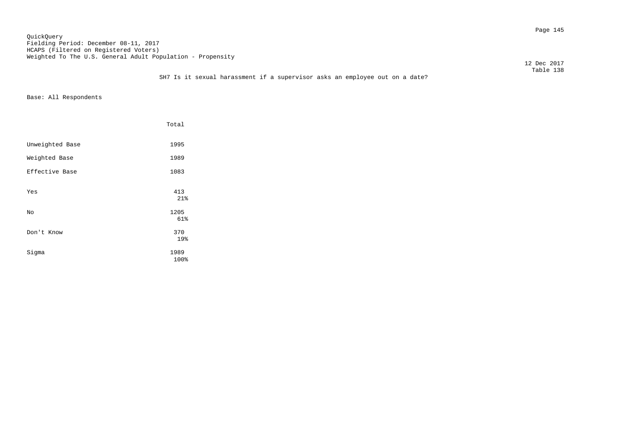Page 145 QuickQuery Fielding Period: December 08-11, 2017 HCAPS (Filtered on Registered Voters) Weighted To The U.S. General Adult Population - Propensity

12 Dec 2017

|                 | Total             |
|-----------------|-------------------|
| Unweighted Base | 1995              |
| Weighted Base   | 1989              |
| Effective Base  | 1083              |
| Yes             | 413<br>21%        |
| No              | 1205              |
| Don't Know      | 61%<br>370<br>19% |
| Sigma           | 1989<br>100%      |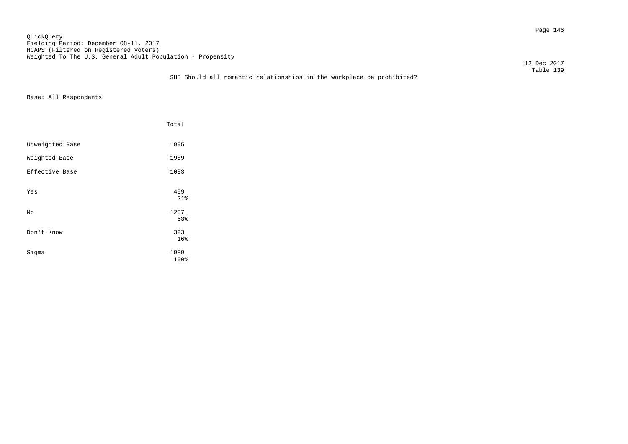Page 146 QuickQuery Fielding Period: December 08-11, 2017 HCAPS (Filtered on Registered Voters) Weighted To The U.S. General Adult Population - Propensity

12 Dec 2017

### Table 139 SH8 Should all romantic relationships in the workplace be prohibited?

|                 | Total             |
|-----------------|-------------------|
| Unweighted Base | 1995              |
| Weighted Base   | 1989              |
| Effective Base  | 1083              |
| Yes             | 409<br>21%        |
| No              | 1257              |
| Don't Know      | 63%<br>323<br>16% |
| Sigma           | 1989<br>100%      |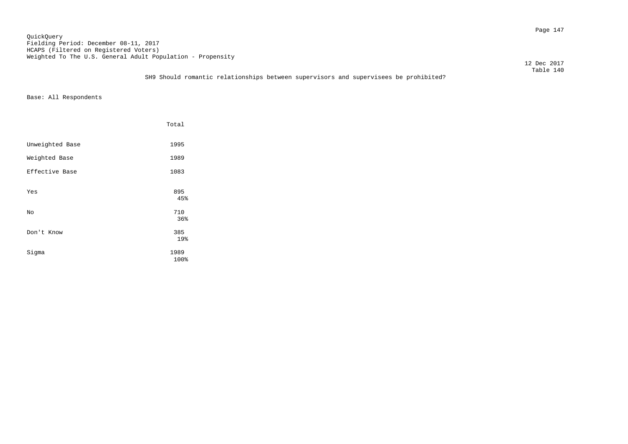Page 147 QuickQuery Fielding Period: December 08-11, 2017 HCAPS (Filtered on Registered Voters) Weighted To The U.S. General Adult Population - Propensity

12 Dec 2017

### Table 140 SH9 Should romantic relationships between supervisors and supervisees be prohibited?

|                 | Total             |
|-----------------|-------------------|
| Unweighted Base | 1995              |
| Weighted Base   | 1989              |
| Effective Base  | 1083              |
| Yes             | 895<br>45%        |
| No              | 710               |
| Don't Know      | 36%<br>385<br>19% |
| Sigma           | 1989<br>100%      |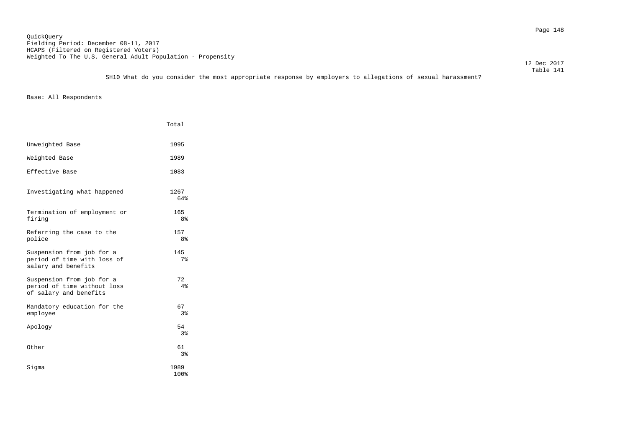Page 148 QuickQuery Fielding Period: December 08-11, 2017 HCAPS (Filtered on Registered Voters) Weighted To The U.S. General Adult Population - Propensity

 Table 141 SH10 What do you consider the most appropriate response by employers to allegations of sexual harassment?

Base: All Respondents

|                                                                                    | Total                 |
|------------------------------------------------------------------------------------|-----------------------|
| Unweighted Base                                                                    | 1995                  |
| Weighted Base                                                                      | 1989                  |
| Effective Base                                                                     | 1083                  |
| Investigating what happened                                                        | 1267<br>64%           |
| Termination of employment or<br>firing                                             | 165<br>8 <sup>°</sup> |
| Referring the case to the<br>police                                                | 157<br>8 <sup>°</sup> |
| Suspension from job for a<br>period of time with loss of<br>salary and benefits    | 145<br>7 <sup>°</sup> |
| Suspension from job for a<br>period of time without loss<br>of salary and benefits | 72<br>4%              |
| Mandatory education for the<br>employee                                            | 67<br>3%              |
| Apology                                                                            | 54<br>3%              |
| Other                                                                              | 61<br>3%              |
| Siqma                                                                              | 1989<br>100%          |

12 Dec 2017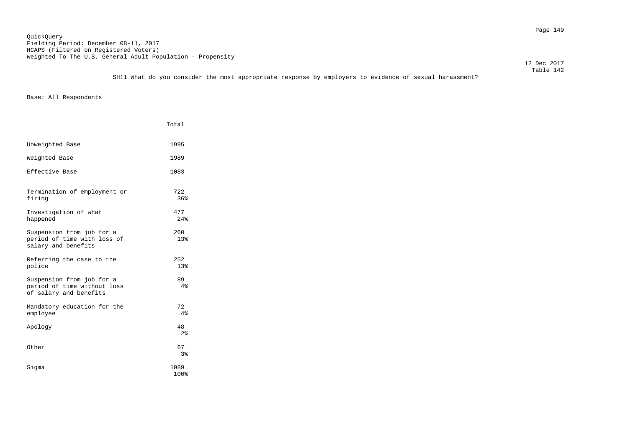Page 149 QuickQuery Fielding Period: December 08-11, 2017 HCAPS (Filtered on Registered Voters) Weighted To The U.S. General Adult Population - Propensity

 12 Dec 2017 Table 142

SH11 What do you consider the most appropriate response by employers to evidence of sexual harassment?

|                                                                                    | Total                |
|------------------------------------------------------------------------------------|----------------------|
| Unweighted Base                                                                    | 1995                 |
| Weighted Base                                                                      | 1989                 |
| Effective Base                                                                     | 1083                 |
| Termination of employment or<br>firing                                             | 722<br>36%           |
| Investigation of what<br>happened                                                  | 477<br>24%           |
| Suspension from job for a<br>period of time with loss of<br>salary and benefits    | 260<br>13%           |
| Referring the case to the<br>police                                                | 252<br>13%           |
| Suspension from job for a<br>period of time without loss<br>of salary and benefits | 89<br>4%             |
| Mandatory education for the<br>employee                                            | 72<br>4%             |
| Apology                                                                            | 48<br>2 <sup>°</sup> |
| Other                                                                              | 67<br>3%             |
| Siqma                                                                              | 1989<br>100%         |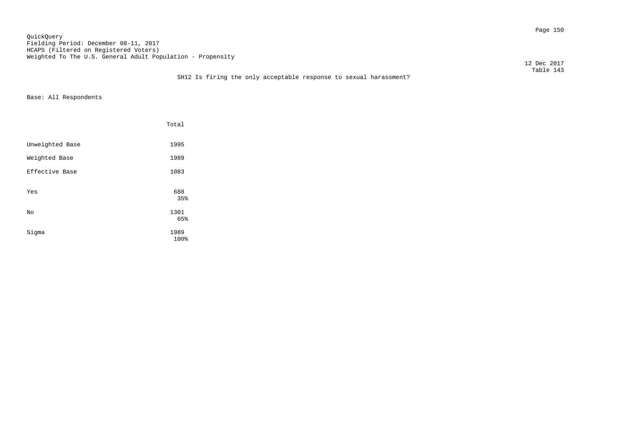Page 150 QuickQuery Fielding Period: December 08-11, 2017 HCAPS (Filtered on Registered Voters) Weighted To The U.S. General Adult Population - Propensity

12 Dec 2017

### Table 143 SH12 Is firing the only acceptable response to sexual harassment?

|                 | Total        |  |
|-----------------|--------------|--|
| Unweighted Base | 1995         |  |
| Weighted Base   | 1989         |  |
| Effective Base  | 1083         |  |
| Yes             | 688<br>35%   |  |
| No              | 1301<br>65%  |  |
| Sigma           | 1989<br>100% |  |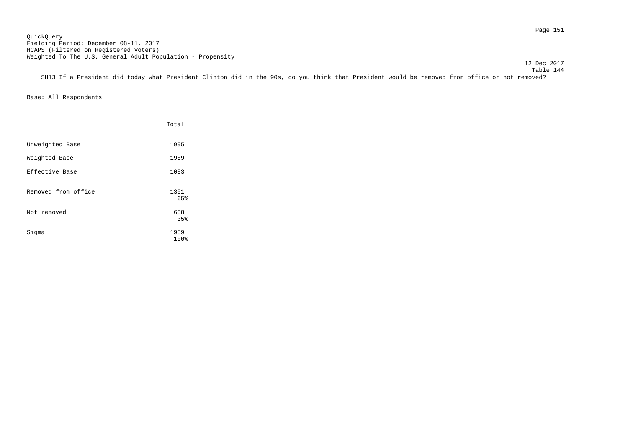Page 151 QuickQuery Fielding Period: December 08-11, 2017 HCAPS (Filtered on Registered Voters) Weighted To The U.S. General Adult Population - Propensity

 Table 144 SH13 If a President did today what President Clinton did in the 90s, do you think that President would be removed from office or not removed?

|                     | Total        |
|---------------------|--------------|
| Unweighted Base     | 1995         |
| Weighted Base       | 1989         |
| Effective Base      | 1083         |
| Removed from office | 1301<br>65%  |
| Not removed         | 688<br>35%   |
| Sigma               | 1989<br>100% |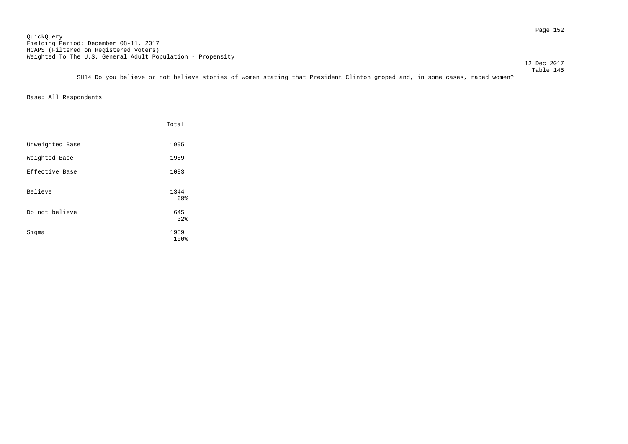Page 152 QuickQuery Fielding Period: December 08-11, 2017 HCAPS (Filtered on Registered Voters) Weighted To The U.S. General Adult Population - Propensity

12 Dec 2017

 Table 145 SH14 Do you believe or not believe stories of women stating that President Clinton groped and, in some cases, raped women?

|                 | Total        |
|-----------------|--------------|
| Unweighted Base | 1995         |
| Weighted Base   | 1989         |
| Effective Base  | 1083         |
| Believe         | 1344<br>68%  |
| Do not believe  | 645<br>32%   |
| Sigma           | 1989<br>100% |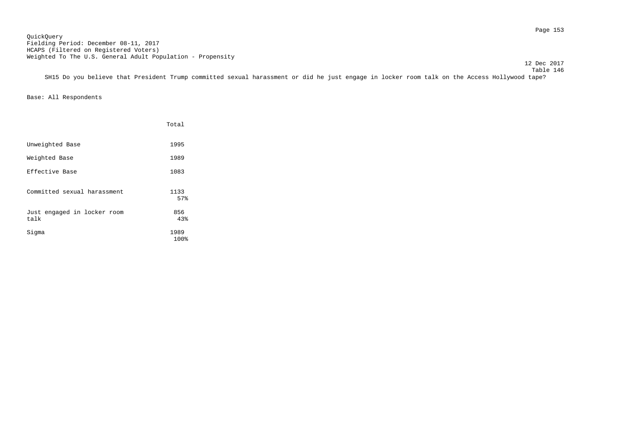12 Dec 2017

 Table 146 SH15 Do you believe that President Trump committed sexual harassment or did he just engage in locker room talk on the Access Hollywood tape?

|                                     | Total        |
|-------------------------------------|--------------|
| Unweighted Base                     | 1995         |
| Weighted Base                       | 1989         |
| Effective Base                      | 1083         |
| Committed sexual harassment         | 1133<br>57%  |
| Just engaged in locker room<br>talk | 856<br>43%   |
| Sigma                               | 1989<br>100% |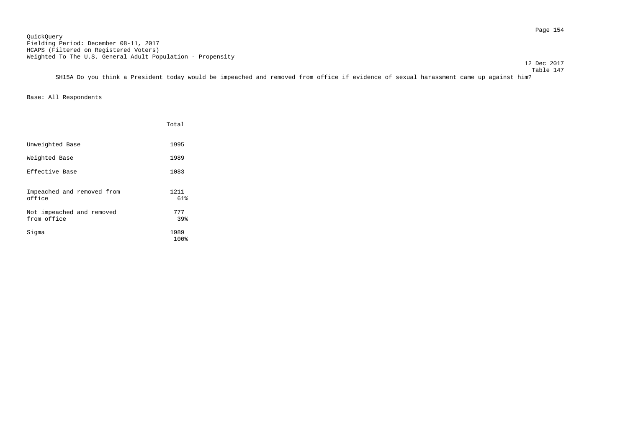Page 154 QuickQuery Fielding Period: December 08-11, 2017 HCAPS (Filtered on Registered Voters) Weighted To The U.S. General Adult Population - Propensity

12 Dec 2017

 Table 147 SH15A Do you think a President today would be impeached and removed from office if evidence of sexual harassment came up against him?

|                                          | Total        |
|------------------------------------------|--------------|
| Unweighted Base                          | 1995         |
| Weighted Base                            | 1989         |
| Effective Base                           | 1083         |
| Impeached and removed from<br>office     | 1211<br>61%  |
| Not impeached and removed<br>from office | 777<br>39%   |
| Sigma                                    | 1989<br>100% |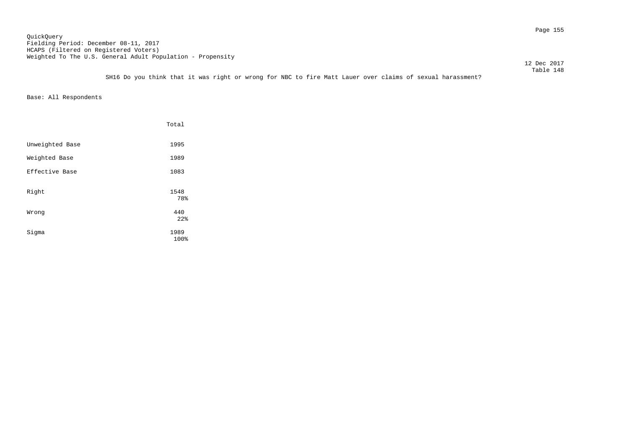Page 155 QuickQuery Fielding Period: December 08-11, 2017 HCAPS (Filtered on Registered Voters) Weighted To The U.S. General Adult Population - Propensity

12 Dec 2017

 Table 148 SH16 Do you think that it was right or wrong for NBC to fire Matt Lauer over claims of sexual harassment?

|                 | Total        |
|-----------------|--------------|
| Unweighted Base | 1995         |
| Weighted Base   | 1989         |
| Effective Base  | 1083         |
| Right           | 1548<br>78%  |
| Wrong           | 440<br>22%   |
| Sigma           | 1989<br>100% |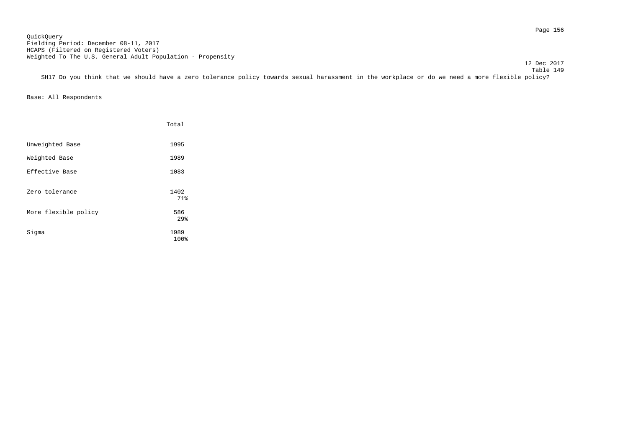Page 156 QuickQuery Fielding Period: December 08-11, 2017 HCAPS (Filtered on Registered Voters) Weighted To The U.S. General Adult Population - Propensity

12 Dec 2017

 Table 149 SH17 Do you think that we should have a zero tolerance policy towards sexual harassment in the workplace or do we need a more flexible policy?

|                      | Total        |
|----------------------|--------------|
| Unweighted Base      | 1995         |
| Weighted Base        | 1989         |
| Effective Base       | 1083         |
| Zero tolerance       | 1402<br>71%  |
| More flexible policy | 586<br>29%   |
| Sigma                | 1989<br>100% |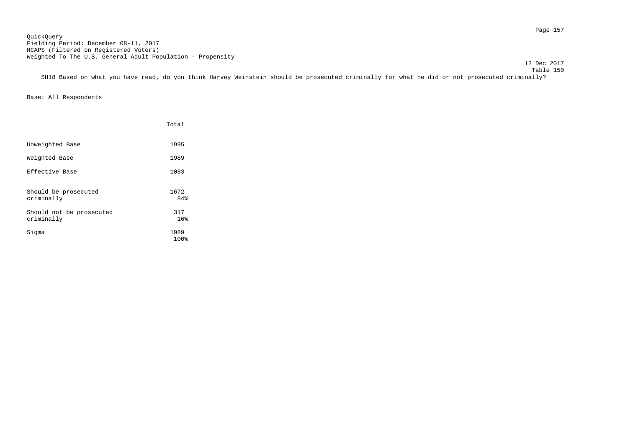Page 157 QuickQuery Fielding Period: December 08-11, 2017 HCAPS (Filtered on Registered Voters) Weighted To The U.S. General Adult Population - Propensity

12 Dec 2017

SH18 Based on what you have read, do you think Harvey Weinstein should be prosecuted criminally for what he did or not prosecuted criminally?

|                                        | Total        |
|----------------------------------------|--------------|
| Unweighted Base                        | 1995         |
| Weighted Base                          | 1989         |
| Effective Base                         | 1083         |
| Should be prosecuted<br>criminally     | 1672<br>84%  |
| Should not be prosecuted<br>criminally | 317<br>16%   |
| Sigma                                  | 1989<br>100% |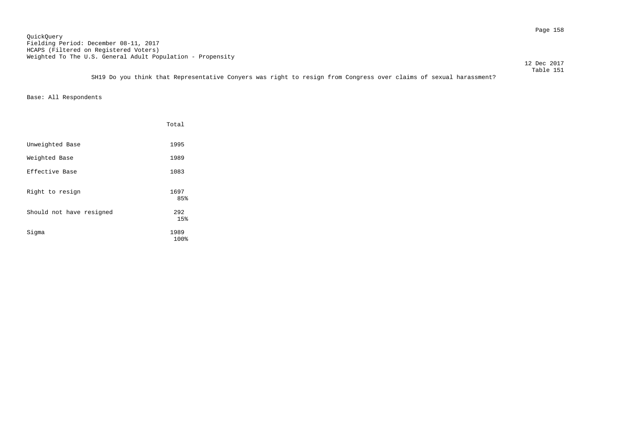Page 158 QuickQuery Fielding Period: December 08-11, 2017 HCAPS (Filtered on Registered Voters) Weighted To The U.S. General Adult Population - Propensity

12 Dec 2017

 Table 151 SH19 Do you think that Representative Conyers was right to resign from Congress over claims of sexual harassment?

|                          | Total        |
|--------------------------|--------------|
| Unweighted Base          | 1995         |
| Weighted Base            | 1989         |
| Effective Base           | 1083         |
| Right to resign          | 1697<br>85%  |
| Should not have resigned | 292<br>15%   |
| Sigma                    | 1989<br>100% |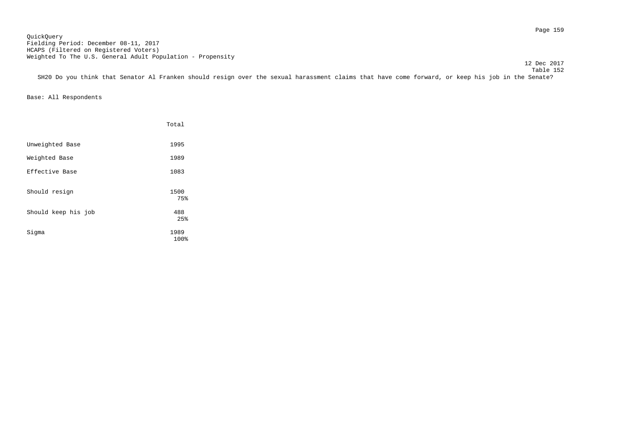Page 159 QuickQuery Fielding Period: December 08-11, 2017 HCAPS (Filtered on Registered Voters) Weighted To The U.S. General Adult Population - Propensity

12 Dec 2017

 Table 152 SH20 Do you think that Senator Al Franken should resign over the sexual harassment claims that have come forward, or keep his job in the Senate?

|                     | Total        |
|---------------------|--------------|
| Unweighted Base     | 1995         |
| Weighted Base       | 1989         |
| Effective Base      | 1083         |
| Should resign       | 1500<br>75%  |
| Should keep his job | 488<br>25%   |
| Sigma               | 1989<br>100% |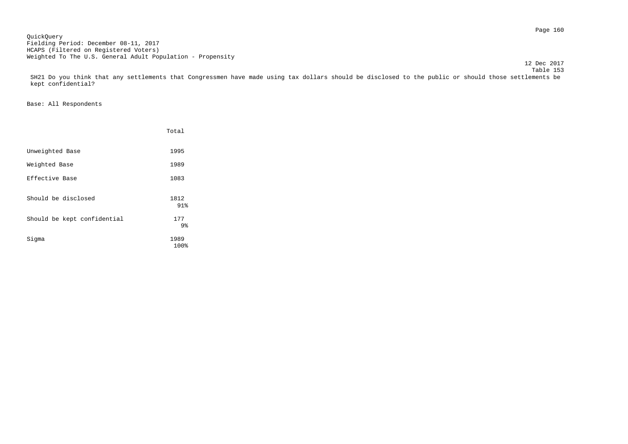Page 160 QuickQuery Fielding Period: December 08-11, 2017 HCAPS (Filtered on Registered Voters) Weighted To The U.S. General Adult Population - Propensity

 Table 153 SH21 Do you think that any settlements that Congressmen have made using tax dollars should be disclosed to the public or should those settlements be kept confidential?

12 Dec 2017

|                             | Total                 |
|-----------------------------|-----------------------|
| Unweighted Base             | 1995                  |
| Weighted Base               | 1989                  |
| Effective Base              | 1083                  |
| Should be disclosed         | 1812<br>91%           |
| Should be kept confidential | 177<br>9 <sub>8</sub> |
| Sigma                       | 1989<br>100%          |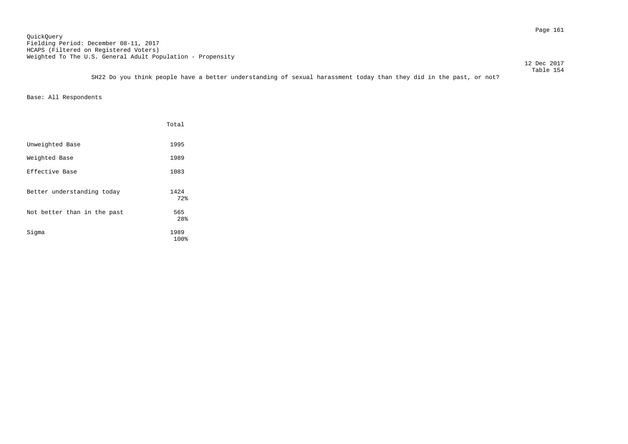12 Dec 2017

 Table 154 SH22 Do you think people have a better understanding of sexual harassment today than they did in the past, or not?

|                             | Total        |
|-----------------------------|--------------|
| Unweighted Base             | 1995         |
| Weighted Base               | 1989         |
| Effective Base              | 1083         |
| Better understanding today  | 1424<br>72%  |
| Not better than in the past | 565<br>28%   |
| Sigma                       | 1989<br>100% |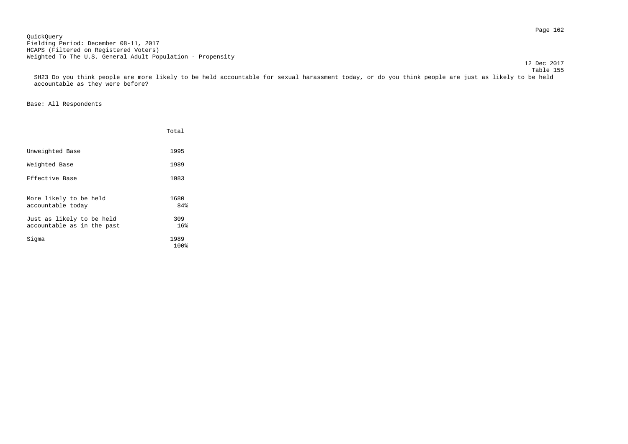Page 162 QuickQuery Fielding Period: December 08-11, 2017 HCAPS (Filtered on Registered Voters) Weighted To The U.S. General Adult Population - Propensity

 Table 155 SH23 Do you think people are more likely to be held accountable for sexual harassment today, or do you think people are just as likely to be held accountable as they were before?

## Base: All Respondents

|                                                         | Total        |
|---------------------------------------------------------|--------------|
| Unweighted Base                                         | 1995         |
| Weighted Base                                           | 1989         |
| Effective Base                                          | 1083         |
| More likely to be held<br>accountable today             | 1680<br>84%  |
| Just as likely to be held<br>accountable as in the past | 309<br>16%   |
| Sigma                                                   | 1989<br>100% |

12 Dec 2017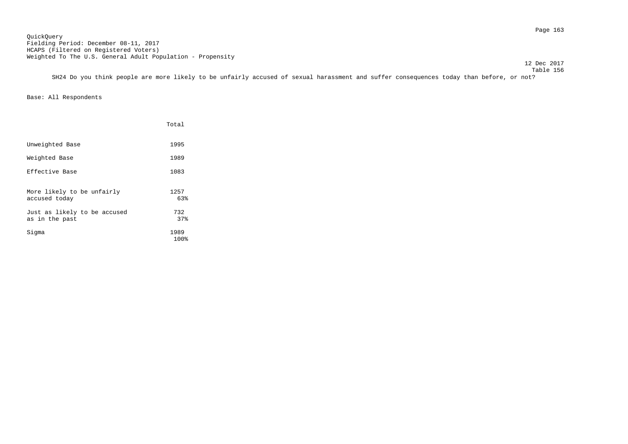12 Dec 2017

 Table 156 SH24 Do you think people are more likely to be unfairly accused of sexual harassment and suffer consequences today than before, or not?

|                                                | Total        |
|------------------------------------------------|--------------|
| Unweighted Base                                | 1995         |
| Weighted Base                                  | 1989         |
| Effective Base                                 | 1083         |
| More likely to be unfairly<br>accused today    | 1257<br>63%  |
| Just as likely to be accused<br>as in the past | 732<br>37%   |
| Sigma                                          | 1989<br>100% |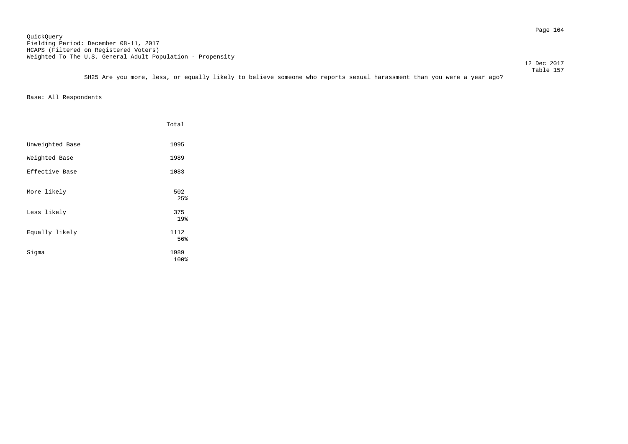Page 164 QuickQuery Fielding Period: December 08-11, 2017 HCAPS (Filtered on Registered Voters) Weighted To The U.S. General Adult Population - Propensity

12 Dec 2017

 Table 157 SH25 Are you more, less, or equally likely to believe someone who reports sexual harassment than you were a year ago?

|                 | Total        |
|-----------------|--------------|
| Unweighted Base | 1995         |
| Weighted Base   | 1989         |
| Effective Base  | 1083         |
| More likely     | 502<br>25%   |
| Less likely     | 375<br>19%   |
| Equally likely  | 1112<br>56%  |
| Sigma           | 1989<br>100% |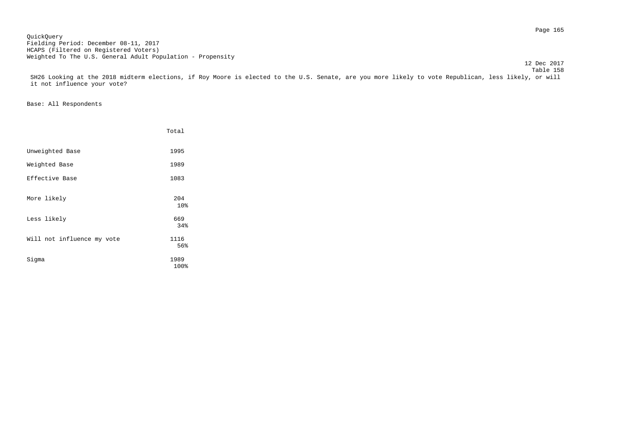Page 165 QuickQuery Fielding Period: December 08-11, 2017 HCAPS (Filtered on Registered Voters) Weighted To The U.S. General Adult Population - Propensity

 Table 158 SH26 Looking at the 2018 midterm elections, if Roy Moore is elected to the U.S. Senate, are you more likely to vote Republican, less likely, or will it not influence your vote?

12 Dec 2017

|                            | Total        |
|----------------------------|--------------|
| Unweighted Base            | 1995         |
| Weighted Base              | 1989         |
| Effective Base             | 1083         |
| More likely                | 204<br>10%   |
| Less likely                | 669<br>34%   |
| Will not influence my vote | 1116<br>56%  |
| Sigma                      | 1989<br>100% |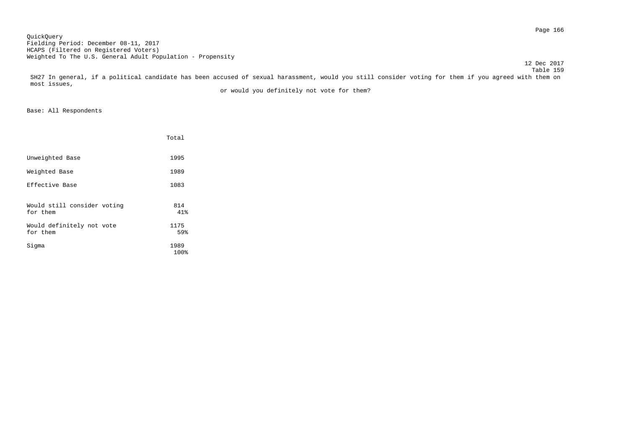Page 166 QuickQuery Fielding Period: December 08-11, 2017 HCAPS (Filtered on Registered Voters) Weighted To The U.S. General Adult Population - Propensity

 Table 159 SH27 In general, if a political candidate has been accused of sexual harassment, would you still consider voting for them if you agreed with them on most issues,

12 Dec 2017

or would you definitely not vote for them?

|                                         | Total        |
|-----------------------------------------|--------------|
| Unweighted Base                         | 1995         |
| Weighted Base                           | 1989         |
| Effective Base                          | 1083         |
| Would still consider voting<br>for them | 814<br>41%   |
| Would definitely not vote<br>for them   | 1175<br>59%  |
| Sigma                                   | 1989<br>100% |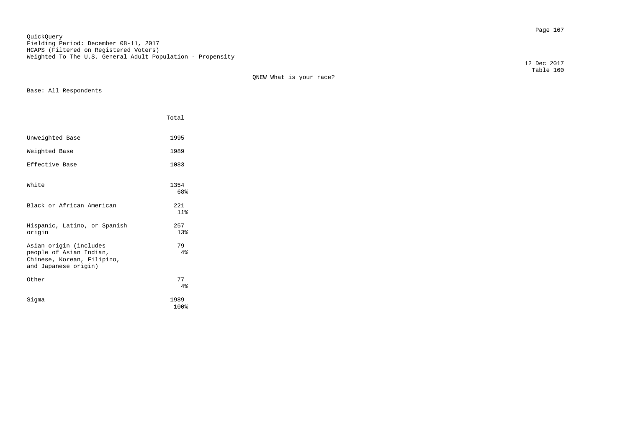Page 167 QuickQuery Fielding Period: December 08-11, 2017 HCAPS (Filtered on Registered Voters) Weighted To The U.S. General Adult Population - Propensity

QNEW What is your race?

Base: All Respondents

|                                                                                                         | Total        |
|---------------------------------------------------------------------------------------------------------|--------------|
| Unweighted Base                                                                                         | 1995         |
| Weighted Base                                                                                           | 1989         |
| Effective Base                                                                                          | 1083         |
| White                                                                                                   | 1354<br>68%  |
| Black or African American                                                                               | 221<br>11%   |
| Hispanic, Latino, or Spanish<br>origin                                                                  | 257<br>13%   |
| Asian origin (includes<br>people of Asian Indian,<br>Chinese, Korean, Filipino,<br>and Japanese origin) | 79<br>4%     |
| Other                                                                                                   | 77<br>4%     |
| Siqma                                                                                                   | 1989<br>100% |

 12 Dec 2017 Table 160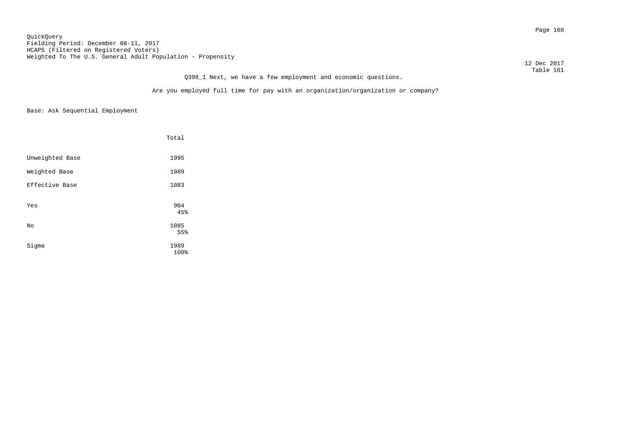Page 168 QuickQuery Fielding Period: December 08-11, 2017 HCAPS (Filtered on Registered Voters) Weighted To The U.S. General Adult Population - Propensity

 12 Dec 2017 Table 161

# Q398\_1 Next, we have a few employment and economic questions.

Are you employed full time for pay with an organization/organization or company?

|                 | Total       |
|-----------------|-------------|
| Unweighted Base | 1995        |
| Weighted Base   | 1989        |
| Effective Base  | 1083        |
| Yes             | 904<br>45%  |
| No              | 1085<br>55% |
|                 |             |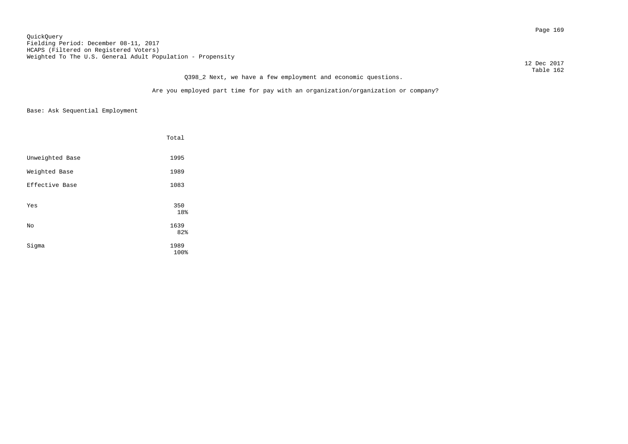Page 169 QuickQuery Fielding Period: December 08-11, 2017 HCAPS (Filtered on Registered Voters) Weighted To The U.S. General Adult Population - Propensity

 12 Dec 2017 Table 162

# Q398\_2 Next, we have a few employment and economic questions.

Are you employed part time for pay with an organization/organization or company?

|                 | Total        |
|-----------------|--------------|
| Unweighted Base | 1995         |
| Weighted Base   | 1989         |
| Effective Base  | 1083         |
| Yes             | 350<br>18%   |
| No              | 1639<br>82%  |
| Sigma           | 1989<br>100% |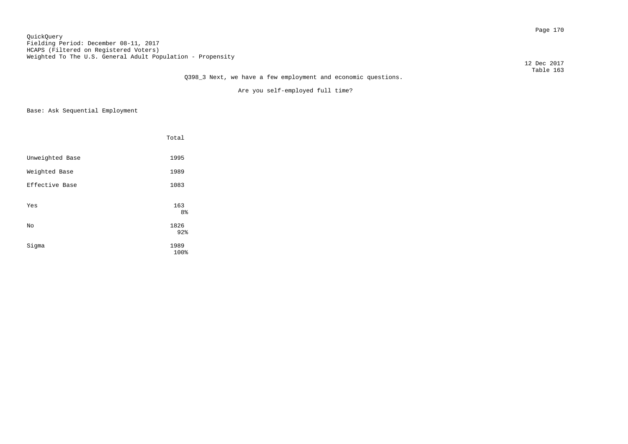12 Dec 2017

Are you self-employed full time?

|                 | Total        |
|-----------------|--------------|
| Unweighted Base | 1995         |
| Weighted Base   | 1989         |
| Effective Base  | 1083         |
| Yes             | 163<br>8%    |
| No              | 1826<br>92%  |
| Sigma           | 1989<br>100% |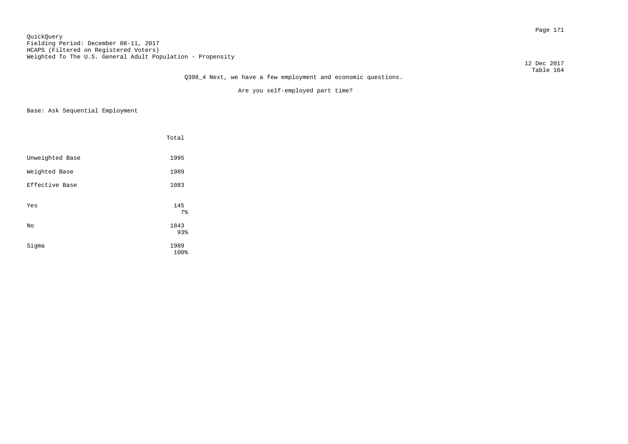12 Dec 2017 Table 164

Are you self-employed part time?

|                 | Total        |
|-----------------|--------------|
| Unweighted Base | 1995         |
| Weighted Base   | 1989         |
| Effective Base  | 1083         |
| Yes             | 145<br>$7\,$ |
| No              | 1843<br>93%  |
| Sigma           | 1989<br>100% |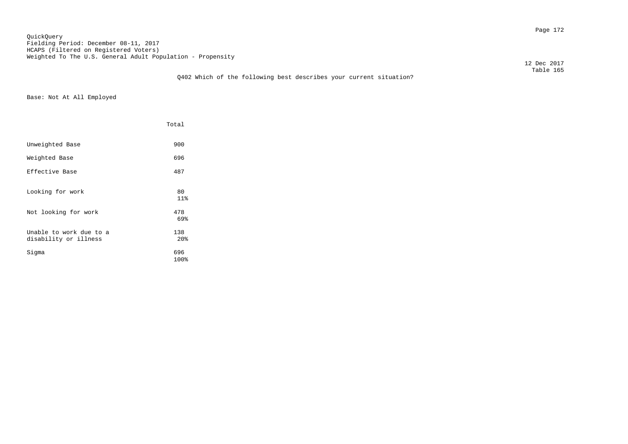Page 172 QuickQuery Fielding Period: December 08-11, 2017 HCAPS (Filtered on Registered Voters) Weighted To The U.S. General Adult Population - Propensity

12 Dec 2017

### Table 165 Q402 Which of the following best describes your current situation?

Base: Not At All Employed

|                                                  | Total                  |  |
|--------------------------------------------------|------------------------|--|
| Unweighted Base                                  | 900                    |  |
| Weighted Base                                    | 696                    |  |
| Effective Base                                   | 487                    |  |
| Looking for work                                 | 80<br>11%              |  |
| Not looking for work                             | 478<br>69%             |  |
| Unable to work due to a<br>disability or illness | 138<br>20 <sup>8</sup> |  |
| Sigma                                            | 696<br>100%            |  |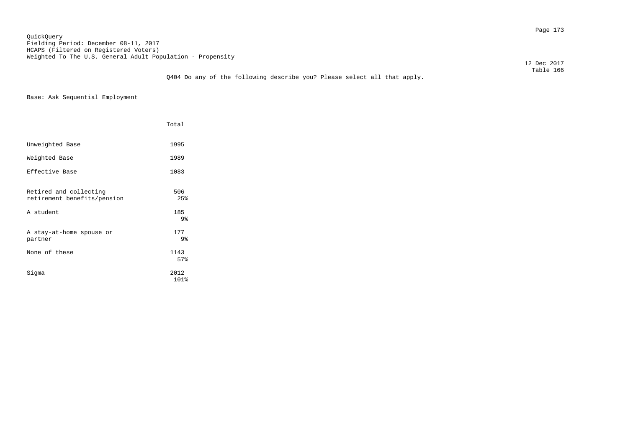Page 173 QuickQuery Fielding Period: December 08-11, 2017 HCAPS (Filtered on Registered Voters) Weighted To The U.S. General Adult Population - Propensity

12 Dec 2017

### Table 166 Q404 Do any of the following describe you? Please select all that apply.

Base: Ask Sequential Employment

|                                                       | Total        |
|-------------------------------------------------------|--------------|
| Unweighted Base                                       | 1995         |
| Weighted Base                                         | 1989         |
| Effective Base                                        | 1083         |
| Retired and collecting<br>retirement benefits/pension | 506<br>25%   |
| A student                                             | 185<br>9%    |
| A stay-at-home spouse or<br>partner                   | 177<br>9%    |
| None of these                                         | 1143<br>57%  |
| Sigma                                                 | 2012<br>101% |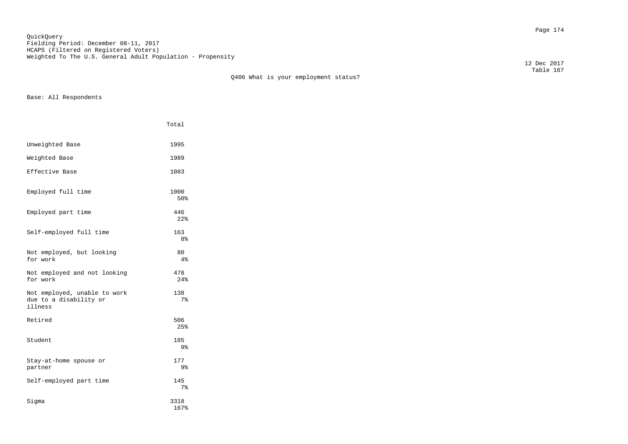Page 174 QuickQuery Fielding Period: December 08-11, 2017 HCAPS (Filtered on Registered Voters) Weighted To The U.S. General Adult Population - Propensity

 Table 167 Q406 What is your employment status?

Base: All Respondents

|                                                                   | Total        |
|-------------------------------------------------------------------|--------------|
| Unweighted Base                                                   | 1995         |
| Weighted Base                                                     | 1989         |
| Effective Base                                                    | 1083         |
| Employed full time                                                | 1000<br>50%  |
| Employed part time                                                | 446<br>22%   |
| Self-employed full time                                           | 163<br>8%    |
| Not employed, but looking<br>for work                             | 80<br>4%     |
| Not employed and not looking<br>for work                          | 478<br>24%   |
| Not employed, unable to work<br>due to a disability or<br>illness | 138<br>7%    |
| Retired                                                           | 506<br>25%   |
| Student                                                           | 185<br>9%    |
| Stay-at-home spouse or<br>partner                                 | 177<br>9%    |
| Self-employed part time                                           | 145<br>$7\,$ |
| Siqma                                                             | 3318<br>167% |

12 Dec 2017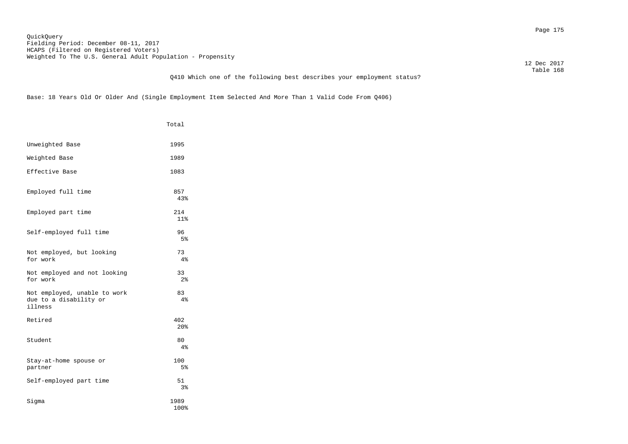Page 175 QuickQuery Fielding Period: December 08-11, 2017 HCAPS (Filtered on Registered Voters) Weighted To The U.S. General Adult Population - Propensity

 12 Dec 2017 Table 168

## Q410 Which one of the following best describes your employment status?

Base: 18 Years Old Or Older And (Single Employment Item Selected And More Than 1 Valid Code From Q406)

|                                                                   | Total                  |
|-------------------------------------------------------------------|------------------------|
| Unweighted Base                                                   | 1995                   |
| Weighted Base                                                     | 1989                   |
| Effective Base                                                    | 1083                   |
| Employed full time                                                | 857<br>43%             |
| Employed part time                                                | 214<br>11%             |
| Self-employed full time                                           | 96<br>5%               |
| Not employed, but looking<br>for work                             | 73<br>4%               |
| Not employed and not looking<br>for work                          | 33<br>2 <sup>°</sup>   |
| Not employed, unable to work<br>due to a disability or<br>illness | 83<br>4%               |
| Retired                                                           | 402<br>20 <sup>8</sup> |
| Student                                                           | 80<br>4%               |
| Stay-at-home spouse or<br>partner                                 | 100<br>5%              |
| Self-employed part time                                           | 51<br>3%               |
| Sigma                                                             | 1989<br>100%           |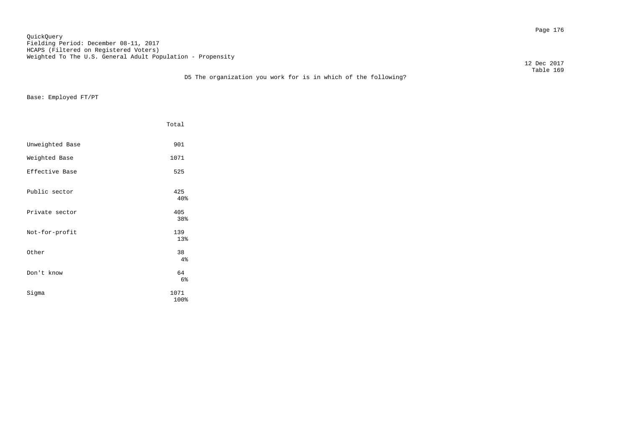Page 176 QuickQuery Fielding Period: December 08-11, 2017 HCAPS (Filtered on Registered Voters) Weighted To The U.S. General Adult Population - Propensity

12 Dec 2017

Base: Employed FT/PT

|                 | Total        |
|-----------------|--------------|
| Unweighted Base | 901          |
| Weighted Base   | 1071         |
| Effective Base  | 525          |
| Public sector   | 425<br>40%   |
| Private sector  | 405<br>38%   |
| Not-for-profit  | 139<br>13%   |
| Other           | 38<br>4%     |
| Don't know      | 64<br>6%     |
| Sigma           | 1071<br>100% |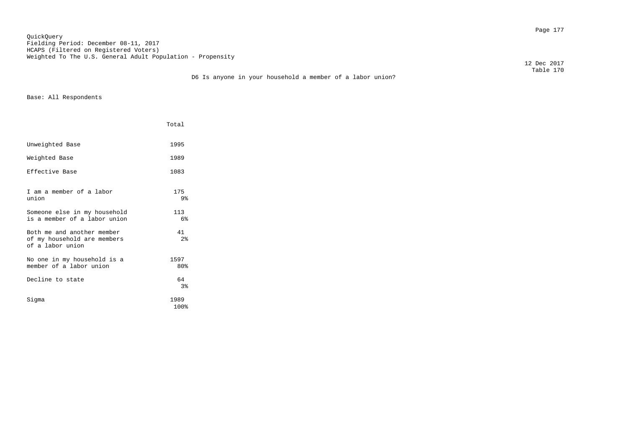Page 177 QuickQuery Fielding Period: December 08-11, 2017 HCAPS (Filtered on Registered Voters) Weighted To The U.S. General Adult Population - Propensity

12 Dec 2017

|                                                                               | Total        |
|-------------------------------------------------------------------------------|--------------|
| Unweighted Base                                                               | 1995         |
| Weighted Base                                                                 | 1989         |
| Effective Base                                                                | 1083         |
| I am a member of a labor<br>union                                             | 175<br>9%    |
| Someone else in my household<br>is a member of a labor union                  | 113<br>6%    |
| Both me and another member<br>of my household are members<br>of a labor union | 41<br>2%     |
| No one in my household is a<br>member of a labor union                        | 1597<br>80%  |
| Decline to state                                                              | 64<br>$3\,$  |
| Siqma                                                                         | 1989<br>100% |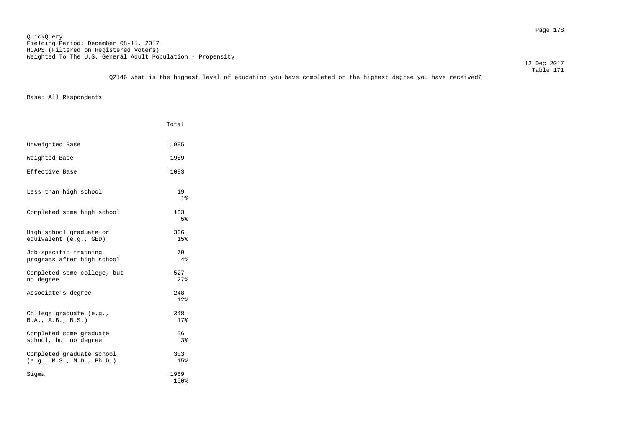12 Dec 2017

|                                                        | Total                |
|--------------------------------------------------------|----------------------|
| Unweighted Base                                        | 1995                 |
| Weighted Base                                          | 1989                 |
| Effective Base                                         | 1083                 |
| Less than high school                                  | 19<br>1 <sub>8</sub> |
| Completed some high school                             | 103<br>5%            |
| High school graduate or<br>equivalent (e.g., GED)      | 306<br>15%           |
| Job-specific training<br>programs after high school    | 79<br>4%             |
| Completed some college, but<br>no degree               | 527<br>27%           |
| Associate's degree                                     | 248<br>12%           |
| College graduate (e.g.,<br>B.A., A.B., B.S.)           | 348<br>17%           |
| Completed some graduate<br>school, but no degree       | 56<br>3%             |
| Completed graduate school<br>(e.g., M.S., M.D., Ph.D.) | 303<br>15%           |
| Sigma                                                  | 1989<br>100%         |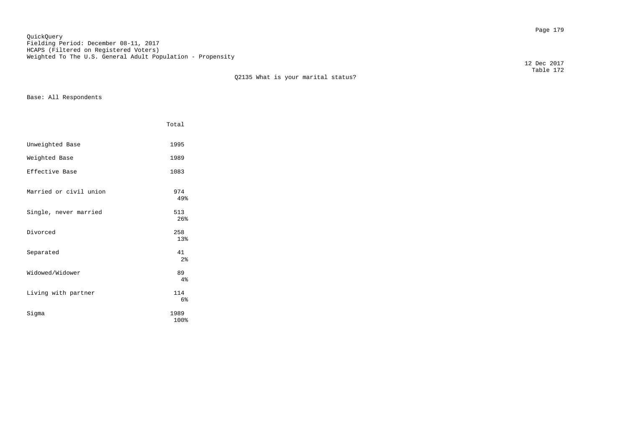Page 179 QuickQuery Fielding Period: December 08-11, 2017 HCAPS (Filtered on Registered Voters) Weighted To The U.S. General Adult Population - Propensity

Q2135 What is your marital status?

Base: All Respondents

|                        | Total                |  |
|------------------------|----------------------|--|
| Unweighted Base        | 1995                 |  |
| Weighted Base          | 1989                 |  |
| Effective Base         | 1083                 |  |
| Married or civil union | 974<br>49%           |  |
| Single, never married  | 513<br>26%           |  |
| Divorced               | 258<br>13%           |  |
| Separated              | 41<br>2 <sup>°</sup> |  |
| Widowed/Widower        | 89<br>4%             |  |
| Living with partner    | 114<br>6%            |  |
| Sigma                  | 1989<br>100%         |  |

 12 Dec 2017 Table 172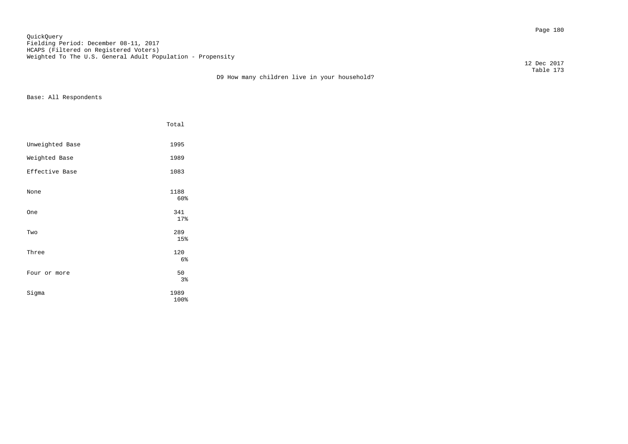Page 180 QuickQuery Fielding Period: December 08-11, 2017 HCAPS (Filtered on Registered Voters) Weighted To The U.S. General Adult Population - Propensity

12 Dec 2017

 Table 173 D9 How many children live in your household?

|                 | Total        |
|-----------------|--------------|
| Unweighted Base | 1995         |
| Weighted Base   | 1989         |
| Effective Base  | 1083         |
| None            | 1188<br>60%  |
| <b>One</b>      | 341<br>17%   |
| Two             | 289<br>15%   |
| Three           | 120<br>6%    |
| Four or more    | 50<br>3%     |
| Sigma           | 1989<br>100% |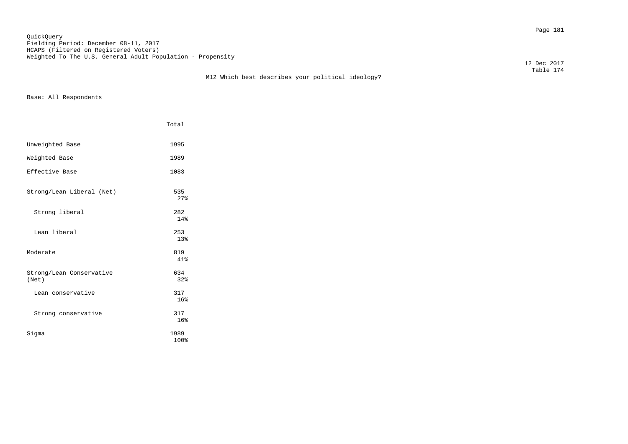Page 181 QuickQuery Fielding Period: December 08-11, 2017 HCAPS (Filtered on Registered Voters) Weighted To The U.S. General Adult Population - Propensity

12 Dec 2017

 Table 174 M12 Which best describes your political ideology?

|                                   | Total        |
|-----------------------------------|--------------|
| Unweighted Base                   | 1995         |
| Weighted Base                     | 1989         |
| Effective Base                    | 1083         |
| Strong/Lean Liberal (Net)         | 535<br>27%   |
| Strong liberal                    | 282<br>14%   |
| Lean liberal                      | 253<br>13%   |
| Moderate                          | 819<br>41%   |
| Strong/Lean Conservative<br>(Net) | 634<br>32%   |
| Lean conservative                 | 317<br>16%   |
| Strong conservative               | 317<br>16%   |
| Siqma                             | 1989<br>100% |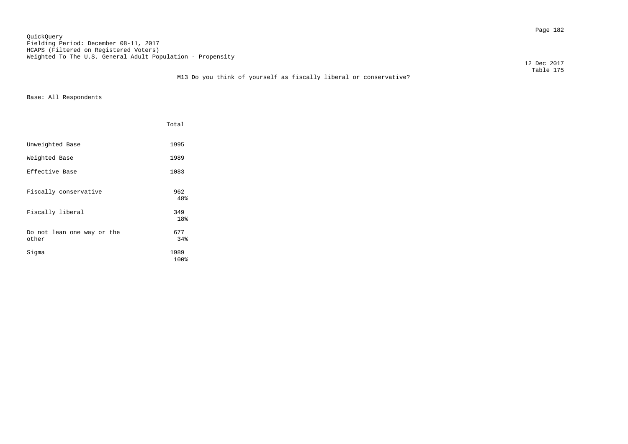Page 182 QuickQuery Fielding Period: December 08-11, 2017 HCAPS (Filtered on Registered Voters) Weighted To The U.S. General Adult Population - Propensity

12 Dec 2017

### Table 175 M13 Do you think of yourself as fiscally liberal or conservative?

|                                     | Total        |
|-------------------------------------|--------------|
| Unweighted Base                     | 1995         |
| Weighted Base                       | 1989         |
| Effective Base                      | 1083         |
| Fiscally conservative               | 962<br>48%   |
| Fiscally liberal                    | 349<br>18%   |
| Do not lean one way or the<br>other | 677<br>34%   |
| Sigma                               | 1989<br>100% |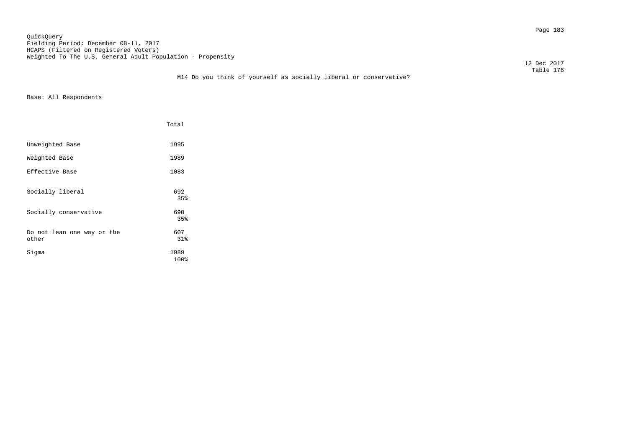Page 183 QuickQuery Fielding Period: December 08-11, 2017 HCAPS (Filtered on Registered Voters) Weighted To The U.S. General Adult Population - Propensity

12 Dec 2017

### Table 176 M14 Do you think of yourself as socially liberal or conservative?

|                                     | Total        |
|-------------------------------------|--------------|
| Unweighted Base                     | 1995         |
| Weighted Base                       | 1989         |
| Effective Base                      | 1083         |
| Socially liberal                    | 692<br>35%   |
| Socially conservative               | 690<br>35%   |
| Do not lean one way or the<br>other | 607<br>31%   |
| Sigma                               | 1989<br>100% |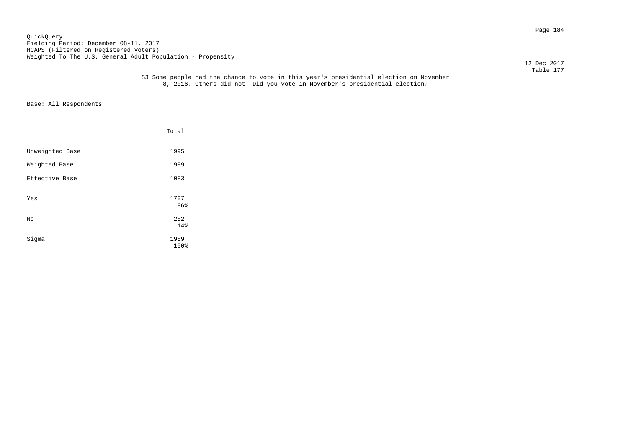Page 184 QuickQuery Fielding Period: December 08-11, 2017 HCAPS (Filtered on Registered Voters) Weighted To The U.S. General Adult Population - Propensity

12 Dec 2017

#### Table 177 S3 Some people had the chance to vote in this year's presidential election on November 8, 2016. Others did not. Did you vote in November's presidential election?

|                 | Total        |  |
|-----------------|--------------|--|
| Unweighted Base | 1995         |  |
| Weighted Base   | 1989         |  |
| Effective Base  | 1083         |  |
| Yes             | 1707<br>86%  |  |
| No              | 282<br>14%   |  |
| Sigma           | 1989<br>100% |  |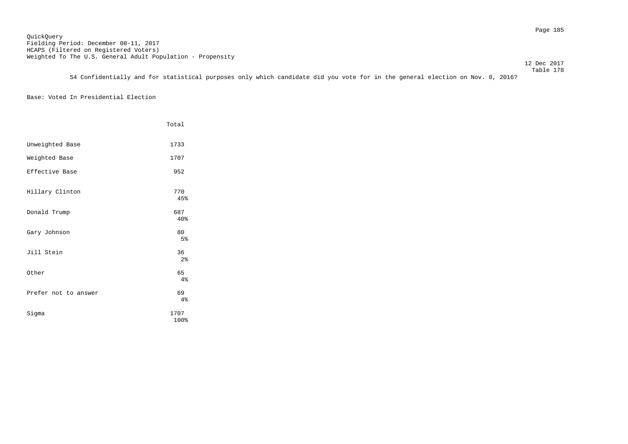12 Dec 2017

 Table 178 S4 Confidentially and for statistical purposes only which candidate did you vote for in the general election on Nov. 8, 2016?

# Base: Voted In Presidential Election

|                      | Total                |  |
|----------------------|----------------------|--|
| Unweighted Base      | 1733                 |  |
| Weighted Base        | 1707                 |  |
| Effective Base       | 952                  |  |
| Hillary Clinton      | 770<br>45%           |  |
| Donald Trump         | 687<br>40%           |  |
| Gary Johnson         | 80<br>5%             |  |
| Jill Stein           | 36<br>2 <sup>°</sup> |  |
| Other                | 65<br>4%             |  |
| Prefer not to answer | 69<br>4%             |  |
| Sigma                | 1707<br>100%         |  |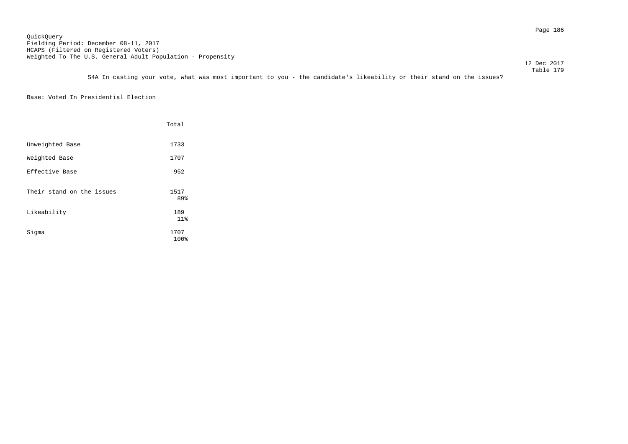12 Dec 2017

 Table 179 S4A In casting your vote, what was most important to you - the candidate's likeability or their stand on the issues?

Base: Voted In Presidential Election

|                           | Total        |
|---------------------------|--------------|
| Unweighted Base           | 1733         |
| Weighted Base             | 1707         |
| Effective Base            | 952          |
| Their stand on the issues | 1517<br>89%  |
| Likeability               | 189<br>11%   |
| Sigma                     | 1707<br>100% |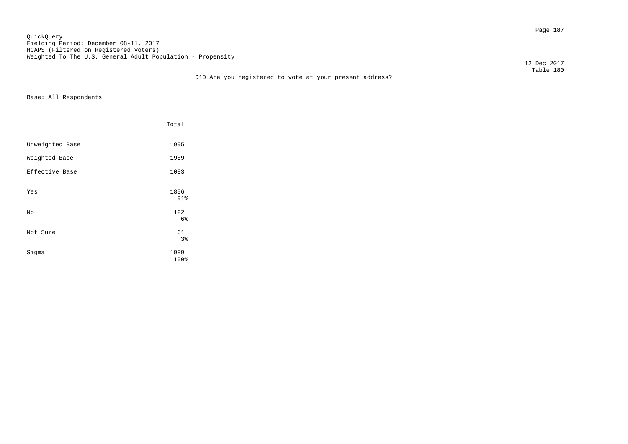Page 187 QuickQuery Fielding Period: December 08-11, 2017 HCAPS (Filtered on Registered Voters) Weighted To The U.S. General Adult Population - Propensity

 12 Dec 2017 Table 180

|                 | Total             |  |
|-----------------|-------------------|--|
| Unweighted Base | 1995              |  |
| Weighted Base   | 1989              |  |
| Effective Base  | 1083              |  |
| Yes             | 1806<br>91%       |  |
| No              | 122               |  |
| Not Sure        | 6%<br>61<br>$3\,$ |  |
| Sigma           | 1989<br>100%      |  |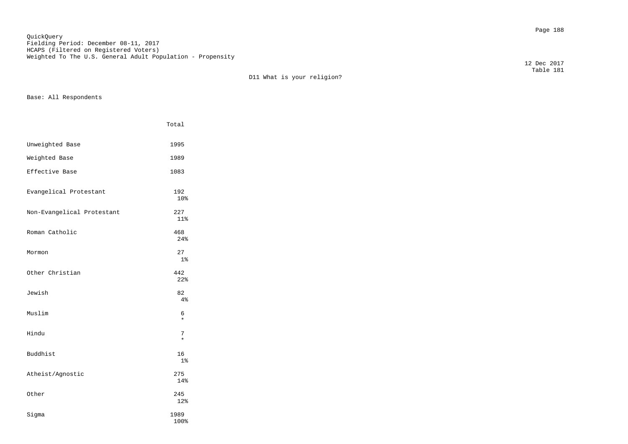Page 188 QuickQuery Fielding Period: December 08-11, 2017 HCAPS (Filtered on Registered Voters) Weighted To The U.S. General Adult Population - Propensity

 Table 181 D11 What is your religion?

Base: All Respondents

|                            | Total                |
|----------------------------|----------------------|
| Unweighted Base            | 1995                 |
| Weighted Base              | 1989                 |
| Effective Base             | 1083                 |
| Evangelical Protestant     | 192<br>10%           |
| Non-Evangelical Protestant | 227<br>11%           |
| Roman Catholic             | 468<br>24%           |
| Mormon                     | 27<br>1 <sup>°</sup> |
| Other Christian            | 442<br>22%           |
| Jewish                     | 82<br>4%             |
| Muslim                     | 6<br>$\star$         |
| Hindu                      | 7<br>$\star$         |
| Buddhist                   | 16<br>1 <sup>°</sup> |
| Atheist/Agnostic           | 275<br>14%           |
| Other                      | 245<br>12%           |
| Sigma                      | 1989<br>100%         |

12 Dec 2017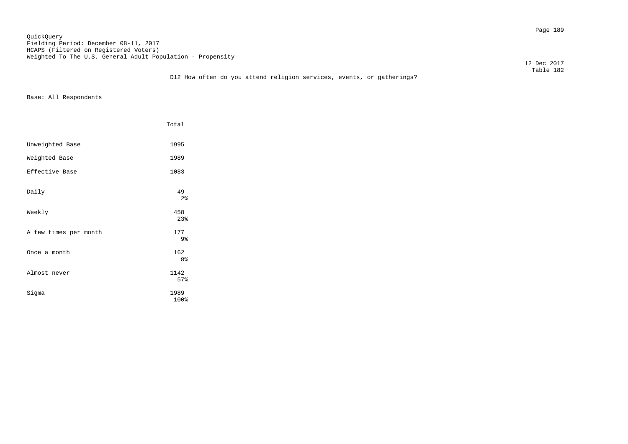Page 189 QuickQuery Fielding Period: December 08-11, 2017 HCAPS (Filtered on Registered Voters) Weighted To The U.S. General Adult Population - Propensity

12 Dec 2017

|                       | Total                 |
|-----------------------|-----------------------|
| Unweighted Base       | 1995                  |
| Weighted Base         | 1989                  |
| Effective Base        | 1083                  |
| Daily                 | 49<br>$2\,$           |
| Weekly                | 458<br>23%            |
| A few times per month | 177<br>9%             |
| Once a month          | 162<br>8 <sup>°</sup> |
| Almost never          | 1142<br>57%           |
| Sigma                 | 1989<br>100%          |
|                       |                       |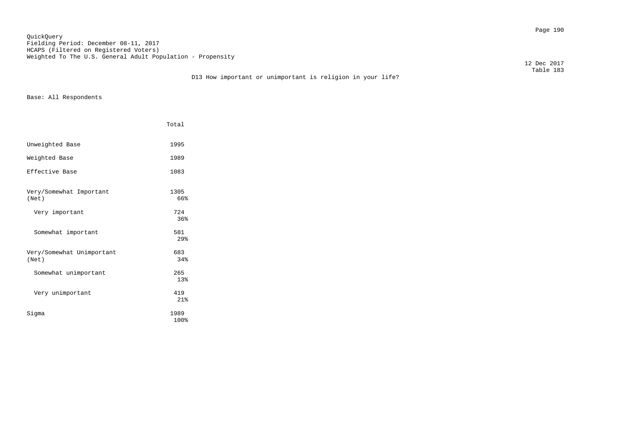Page 190 QuickQuery Fielding Period: December 08-11, 2017 HCAPS (Filtered on Registered Voters) Weighted To The U.S. General Adult Population - Propensity

12 Dec 2017

|                                    | Total                  |
|------------------------------------|------------------------|
| Unweighted Base                    | 1995                   |
| Weighted Base                      | 1989                   |
| Effective Base                     | 1083                   |
| Very/Somewhat Important<br>(Net)   | 1305<br>66%            |
| Very important                     | 724<br>36%             |
| Somewhat important                 | 581<br>29 <sub>8</sub> |
| Very/Somewhat Unimportant<br>(Net) | 683<br>34%             |
| Somewhat unimportant               | 265<br>13%             |
| Very unimportant                   | 419<br>21%             |
| Sigma                              | 1989<br>100%           |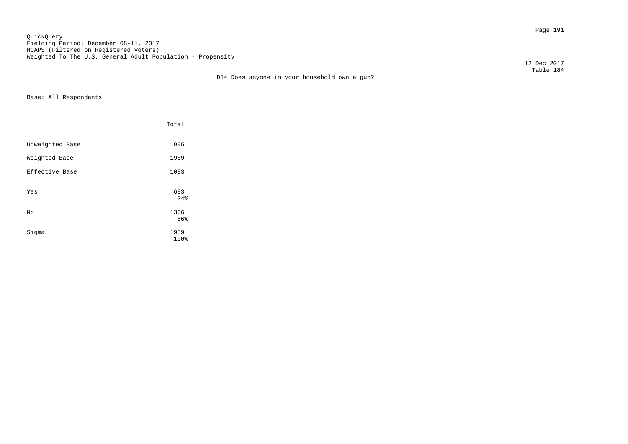Page 191 QuickQuery Fielding Period: December 08-11, 2017 HCAPS (Filtered on Registered Voters) Weighted To The U.S. General Adult Population - Propensity

12 Dec 2017

 Table 184 D14 Does anyone in your household own a gun?

|                 | Total               |  |
|-----------------|---------------------|--|
| Unweighted Base | 1995                |  |
| Weighted Base   | 1989                |  |
| Effective Base  | 1083                |  |
| Yes             | 683<br>34%          |  |
| No              | 1306                |  |
| Sigma           | 66%<br>1989<br>100% |  |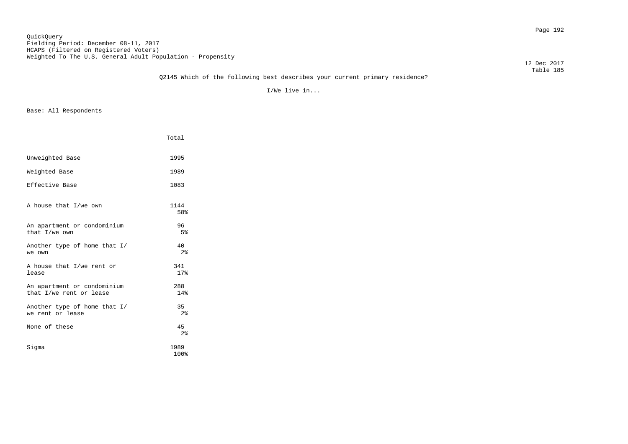12 Dec 2017

I/We live in...

|                                                        | Total                |
|--------------------------------------------------------|----------------------|
| Unweighted Base                                        | 1995                 |
| Weighted Base                                          | 1989                 |
| Effective Base                                         | 1083                 |
| A house that I/we own                                  | 1144<br>58%          |
| An apartment or condominium<br>that I/we own           | 96<br>5%             |
| Another type of home that I/<br>we own                 | 40<br>2 <sup>8</sup> |
| A house that I/we rent or<br>lease                     | 341<br>17%           |
| An apartment or condominium<br>that I/we rent or lease | 288<br>14%           |
| Another type of home that I/<br>we rent or lease       | 35<br>2 <sup>8</sup> |
| None of these                                          | 45<br>2 <sup>8</sup> |
| Sigma                                                  | 1989<br>100%         |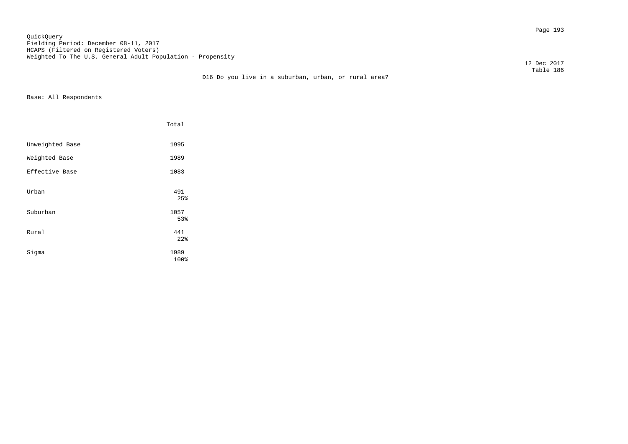Page 193 QuickQuery Fielding Period: December 08-11, 2017 HCAPS (Filtered on Registered Voters) Weighted To The U.S. General Adult Population - Propensity

12 Dec 2017

### Table 186 D16 Do you live in a suburban, urban, or rural area?

|                 | Total             |
|-----------------|-------------------|
| Unweighted Base | 1995              |
| Weighted Base   | 1989              |
| Effective Base  | 1083              |
| Urban           | 491<br>25%        |
| Suburban        | 1057              |
| Rural           | 53%<br>441<br>22% |
| Sigma           | 1989<br>100%      |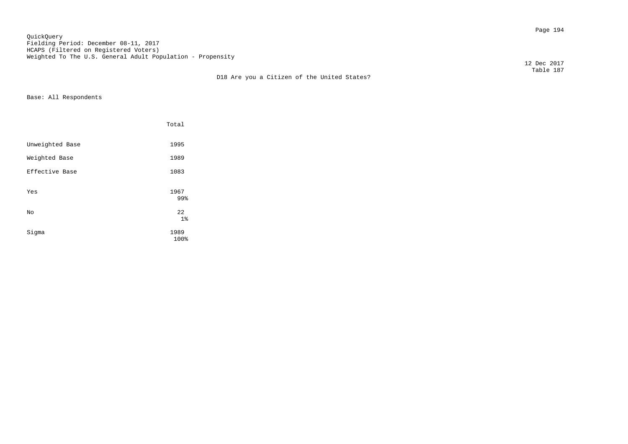Page 194 QuickQuery Fielding Period: December 08-11, 2017 HCAPS (Filtered on Registered Voters) Weighted To The U.S. General Adult Population - Propensity

12 Dec 2017

|                 | Total        |  |
|-----------------|--------------|--|
| Unweighted Base | 1995         |  |
| Weighted Base   | 1989         |  |
| Effective Base  | 1083         |  |
| Yes             | 1967<br>99%  |  |
| No              | 22<br>$1\%$  |  |
| Sigma           | 1989<br>100% |  |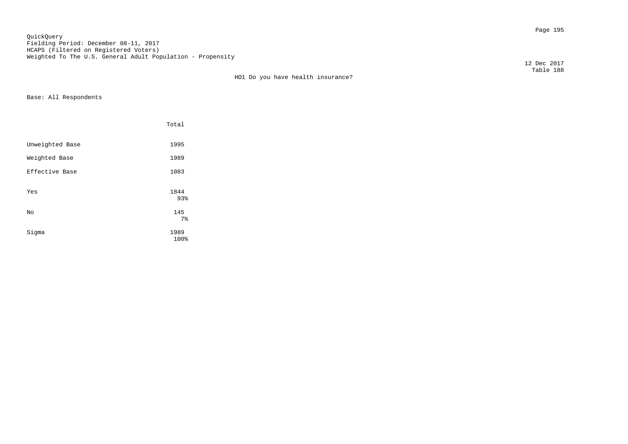Page 195 QuickQuery Fielding Period: December 08-11, 2017 HCAPS (Filtered on Registered Voters) Weighted To The U.S. General Adult Population - Propensity

HO1 Do you have health insurance?

Base: All Respondents

|                 | Total                          |  |
|-----------------|--------------------------------|--|
| Unweighted Base | 1995                           |  |
| Weighted Base   | 1989                           |  |
| Effective Base  | 1083                           |  |
| Yes             | 1844<br>93%                    |  |
| No              | 145                            |  |
| Sigma           | 7 <sup>°</sup><br>1989<br>100% |  |

 12 Dec 2017 Table 188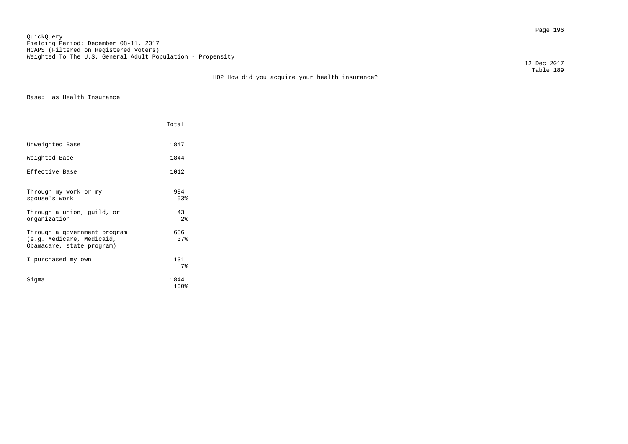Page 196 QuickQuery Fielding Period: December 08-11, 2017 HCAPS (Filtered on Registered Voters) Weighted To The U.S. General Adult Population - Propensity

12 Dec 2017

Base: Has Health Insurance

|                                                                                                                      | Total                                            |
|----------------------------------------------------------------------------------------------------------------------|--------------------------------------------------|
| Unweighted Base                                                                                                      | 1847                                             |
| Weighted Base                                                                                                        | 1844                                             |
| Effective Base                                                                                                       | 1012                                             |
| Through my work or my<br>spouse's work<br>Through a union, guild, or<br>organization<br>Through a government program | 984<br>53%<br>43<br>2 <sup>8</sup><br>686<br>37% |
| (e.g. Medicare, Medicaid,<br>Obamacare, state program)                                                               |                                                  |
| I purchased my own                                                                                                   | 131<br>7 <sup>8</sup>                            |
| Sigma                                                                                                                | 1844<br>100%                                     |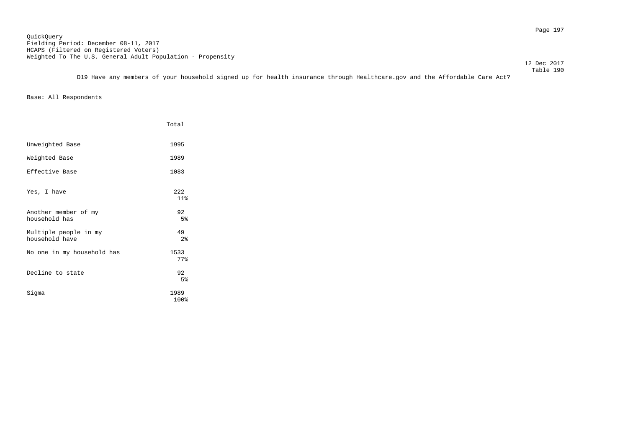Page 197 QuickQuery Fielding Period: December 08-11, 2017 HCAPS (Filtered on Registered Voters) Weighted To The U.S. General Adult Population - Propensity

12 Dec 2017

 Table 190 D19 Have any members of your household signed up for health insurance through Healthcare.gov and the Affordable Care Act?

|                                         | Total        |
|-----------------------------------------|--------------|
| Unweighted Base                         | 1995         |
| Weighted Base                           | 1989         |
| Effective Base                          | 1083         |
| Yes, I have                             | 2.2.2<br>11% |
| Another member of my<br>household has   | 92<br>5%     |
| Multiple people in my<br>household have | 49<br>2%     |
| No one in my household has              | 1533<br>77%  |
| Decline to state                        | 92<br>5%     |
| Sigma                                   | 1989<br>100% |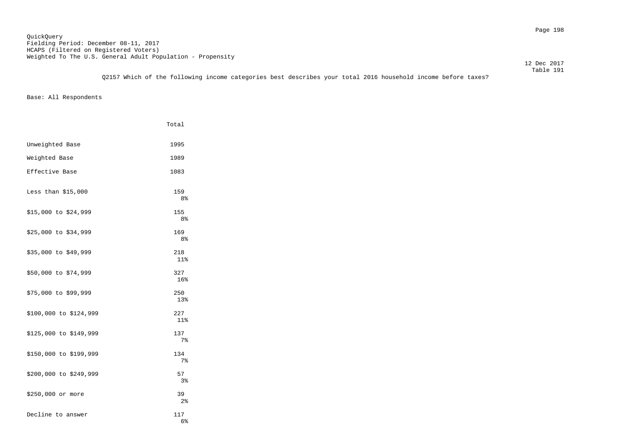Table 191 Q2157 Which of the following income categories best describes your total 2016 household income before taxes?

|                        | Total                 |
|------------------------|-----------------------|
| Unweighted Base        | 1995                  |
| Weighted Base          | 1989                  |
| Effective Base         | 1083                  |
| Less than $$15,000$    | 159<br>8%             |
| \$15,000 to \$24,999   | 155<br>8%             |
| \$25,000 to \$34,999   | 169<br>8%             |
| \$35,000 to \$49,999   | 218<br>11%            |
| \$50,000 to \$74,999   | 327<br>16%            |
| \$75,000 to \$99,999   | 250<br>13%            |
| \$100,000 to \$124,999 | 227<br>$11$ %         |
| \$125,000 to \$149,999 | 137<br>7%             |
| \$150,000 to \$199,999 | 134<br>7 <sup>8</sup> |
| \$200,000 to \$249,999 | 57<br>3%              |
| \$250,000 or more      | 39<br>2 <sup>8</sup>  |
| Decline to answer      | 117<br>6%             |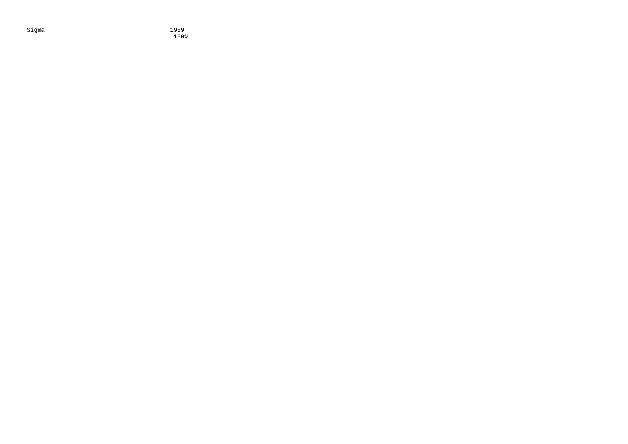Sigma 1989<br>1989 - 1989<br>100% 100% 100%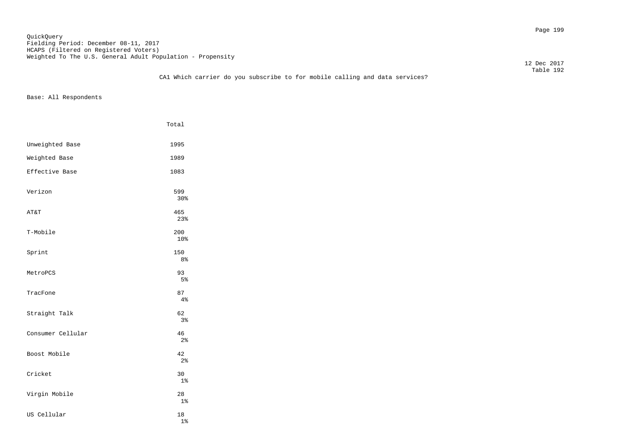Page 199 QuickQuery Fielding Period: December 08-11, 2017 HCAPS (Filtered on Registered Voters) Weighted To The U.S. General Adult Population - Propensity

 12 Dec 2017 Table 192

## CA1 Which carrier do you subscribe to for mobile calling and data services?

|                   | Total                 |
|-------------------|-----------------------|
| Unweighted Base   | 1995                  |
| Weighted Base     | 1989                  |
| Effective Base    | 1083                  |
| Verizon           | 599<br>30%            |
| AT&T              | 465<br>23%            |
| T-Mobile          | 200<br>10%            |
| Sprint            | 150<br>8 <sup>°</sup> |
| MetroPCS          | 93<br>5%              |
| TracFone          | 87<br>4%              |
| Straight Talk     | 62<br>3%              |
| Consumer Cellular | 46<br>2 <sup>°</sup>  |
| Boost Mobile      | 42<br>2 <sub>8</sub>  |
| Cricket           | 30<br>$1\%$           |
| Virgin Mobile     | 28<br>1 <sup>°</sup>  |
| US Cellular       | 18<br>$1\%$           |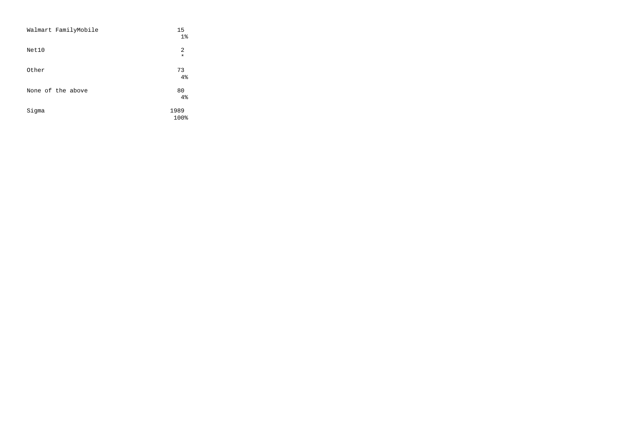| Walmart FamilyMobile | 15<br>1 <sup>°</sup>      |
|----------------------|---------------------------|
| Net10                | $\overline{2}$<br>$\star$ |
| Other                | 73<br>4%                  |
| None of the above    | 80<br>4%                  |
| Sigma                | 1989<br>100%              |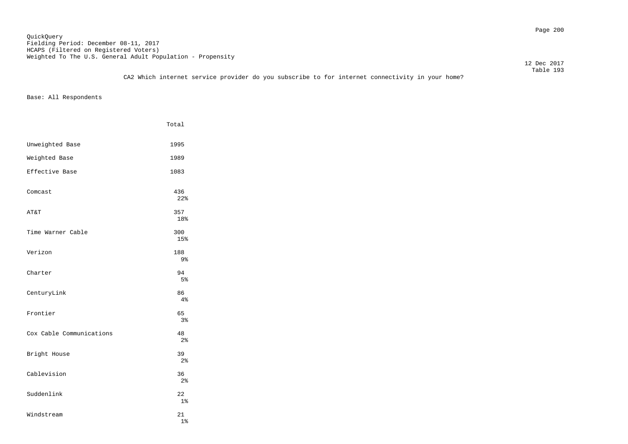Page 200 QuickQuery Fielding Period: December 08-11, 2017 HCAPS (Filtered on Registered Voters) Weighted To The U.S. General Adult Population - Propensity

 12 Dec 2017 Table 193

|                          | Total                |
|--------------------------|----------------------|
| Unweighted Base          | 1995                 |
| Weighted Base            | 1989                 |
| Effective Base           | 1083                 |
| Comcast                  | 436<br>22%           |
| AT&T                     | 357<br>18%           |
| Time Warner Cable        | 300<br>15%           |
| Verizon                  | 188<br>9%            |
| Charter                  | 94<br>5%             |
| CenturyLink              | 86<br>4%             |
| Frontier                 | 65<br>3 <sup>°</sup> |
| Cox Cable Communications | 48<br>2 <sup>°</sup> |
| Bright House             | 39<br>2 <sub>8</sub> |
| Cablevision              | 36<br>2 <sup>°</sup> |
| Suddenlink               | 22<br>1 <sup>°</sup> |
| Windstream               | 21<br>$1\%$          |